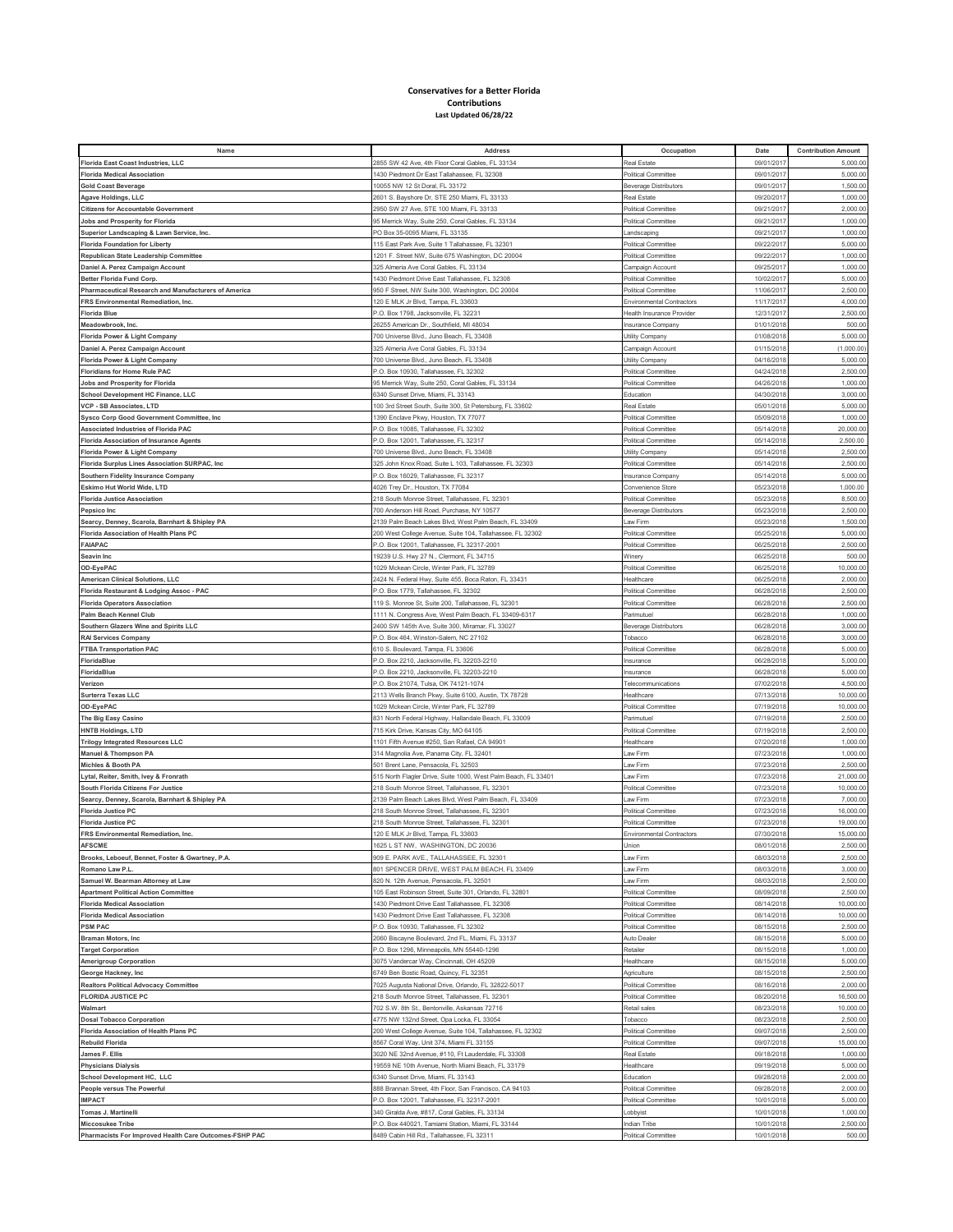## **Conservatives for a Better Florida Contributions Last Updated 06/28/22**

| Name                                                   | Address                                                        | Occupation                       | Date       | <b>Contribution Amount</b> |
|--------------------------------------------------------|----------------------------------------------------------------|----------------------------------|------------|----------------------------|
| <b>Florida East Coast Industries, LLC</b>              | 2855 SW 42 Ave. 4th Floor Coral Gables, FL 33134               | Real Estate                      | 09/01/2017 | 5,000.00                   |
| <b>Florida Medical Association</b>                     | 430 Piedmont Dr East Tallahassee, FL 32308                     | Political Committee              | 09/01/201  | 5,000.00                   |
| <b>Gold Coast Beverage</b>                             | 10055 NW 12 St Doral, FL 33172                                 | <b>Beverage Distributors</b>     | 09/01/201  | 1,500.00                   |
|                                                        |                                                                | Real Estate                      |            |                            |
| Agave Holdings, LLC                                    | 2601 S. Bayshore Dr, STE 250 Miami, FL 33133                   |                                  | 09/20/201  | 1,000.00                   |
| <b>Citizens for Accountable Government</b>             | 2950 SW 27 Ave, STE 100 Miami, FL 33133                        | Political Committee              | 09/21/201  | 2,000.00                   |
| Jobs and Prosperity for Florida                        | 15 Merrick Way, Suite 250, Coral Gables, FL 33134              | Political Committee              | 09/21/201  | 1,000.00                   |
| Superior Landscaping & Lawn Service, Inc.              | O Box 35-0095 Miami, FL 33135                                  | Landscaping                      | 09/21/201  | 1,000.00                   |
| <b>Florida Foundation for Liberty</b>                  | 15 East Park Ave, Suite 1 Tallahassee, FL 32301                | Political Committee              | 09/22/201  | 5,000.00                   |
| Republican State Leadership Committee                  | 1201 F. Street NW, Suite 675 Washington, DC 20004              | Political Committee              | 09/22/201  | 1,000.00                   |
| Daniel A. Perez Campaign Account                       | 25 Almeria Ave Coral Gables, FL 33134                          | Campaign Account                 | 09/25/201  | 1,000.00                   |
| <b>Better Florida Fund Corp</b>                        | 1430 Piedmont Drive East Tallahassee, FL 32308                 | Political Committee              | 10/02/201  | 5,000.00                   |
| Pharmaceutical Research and Manufacturers of America   | 950 F Street, NW Suite 300, Washington, DC 20004               | Political Committee              | 11/06/201  | 2,500.00                   |
|                                                        |                                                                |                                  |            |                            |
| FRS Environmental Remediation, Inc.                    | 120 E MLK Jr Blvd, Tampa, FL 33603                             | <b>Environmental Contractors</b> | 11/17/2017 | 4,000.00                   |
| <b>Florida Blue</b>                                    | <sup>2</sup> .O. Box 1798, Jacksonville, FL 32231              | Health Insurance Provider        | 12/31/201  | 2,500.00                   |
| Meadowbrook, Inc.                                      | 26255 American Dr., Southfield, MI 48034                       | Insurance Company                | 01/01/2018 | 500.00                     |
| Florida Power & Light Company                          | 700 Universe Blvd., Juno Beach, FL 33408                       | Utility Company                  | 01/08/201  | 5,000.00                   |
| Daniel A. Perez Campaign Account                       | 325 Almeria Ave Coral Gables, FL 33134                         | Campaign Account                 | 01/15/2018 | (1,000.00)                 |
| Florida Power & Light Company                          | 700 Universe Blvd., Juno Beach, FL 33408                       | Utility Company                  | 04/16/201  | 5,000.00                   |
| <b>Floridians for Home Rule PAC</b>                    | <sup>2</sup> .O. Box 10930, Tallahassee, FL 32302              | Political Committee              | 04/24/2018 | 2,500.00                   |
| Jobs and Prosperity for Florida                        | 95 Merrick Way, Suite 250, Coral Gables, FL 33134              | Political Committee              | 04/26/201  | 1,000.00                   |
| School Development HC Finance, LLC                     | 6340 Sunset Drive, Miami, FL 33143                             | Education                        | 04/30/2018 | 3,000.00                   |
|                                                        |                                                                |                                  |            |                            |
| VCP - SB Associates, LTD                               | 100 3rd Street South, Suite 300, St Petersburg, FL 33602       | <b>Real Estate</b>               | 05/01/201  | 5,000.00                   |
| <b>Sysco Corp Good Government Committee, Inc.</b>      | 1390 Enclave Pkwy, Houston, TX 77077                           | Political Committee              | 05/09/2018 | 1,000.00                   |
| Associated Industries of Florida PAC                   | <sup>2</sup> .O. Box 10085, Tallahassee, FL 32302              | Political Committee              | 05/14/201  | 20,000.00                  |
| Florida Association of Insurance Agents                | <sup>2</sup> .O. Box 12001, Tallahassee, FL 32317              | Political Committee              | 05/14/2018 | 2,500.00                   |
| Florida Power & Light Company                          | 700 Universe Blvd., Juno Beach, FL 33408                       | Utility Company                  | 05/14/201  | 2,500.00                   |
| Florida Surplus Lines Association SURPAC, Inc.         | 325 John Knox Road, Suite L 103, Tallahassee, FL 32303         | Political Committee              | 05/14/201  | 2,500.00                   |
| Southern Fidelity Insurance Company                    | <sup>2</sup> .O. Box 16029, Tallahassee, FL 32317              | Insurance Company                | 05/14/201  | 5,000.00                   |
| Eskimo Hut World Wide, LTD                             | 4026 Trey Dr., Houston, TX 77084                               | Convenience Store                | 05/23/201  | 1,000.00                   |
| <b>Florida Justice Association</b>                     | 218 South Monroe Street, Tallahassee, FL 32301                 | Political Committee              | 05/23/201  | 8,500.00                   |
| Pepsico Inc                                            | 700 Anderson Hill Road, Purchase, NY 10577                     | Beverage Distributors            | 05/23/201  | 2,500.00                   |
|                                                        |                                                                |                                  |            |                            |
| Searcy, Denney, Scarola, Barnhart & Shipley PA         | 2139 Palm Beach Lakes Blvd, West Palm Beach, FL 33409          | Law Firm                         | 05/23/201  | 1,500.00                   |
| Florida Association of Health Plans PC                 | 200 West College Avenue, Suite 104, Tallahassee, FL 32302      | Political Committee              | 05/25/201  | 5,000.00                   |
| <b>FAIAPAC</b>                                         | <sup>2</sup> .O. Box 12001, Tallahassee, FL 32317-2001         | Political Committee              | 06/25/201  | 2,500.00                   |
| Seavin Inc                                             | 9239 U.S. Hwy 27 N., Clermont, FL 34715                        | Winery                           | 06/25/201  | 500.00                     |
| OD-EyePAC                                              | 1029 Mckean Circle, Winter Park, FL 32789                      | Political Committee              | 06/25/201  | 10,000.00                  |
| American Clinical Solutions, LLC                       | 424 N. Federal Hwy, Suite 455, Boca Raton, FL 33431            | Healthcare                       | 06/25/201  | 2,000.00                   |
| Florida Restaurant & Lodging Assoc - PAC               | <sup>2</sup> .O. Box 1779, Tallahassee, FL 32302               | Political Committee              | 06/28/2018 | 2,500.00                   |
| <b>Florida Operators Association</b>                   | 119 S. Monroe St, Suite 200, Tallahassee, FL 32301             | Political Committee              | 06/28/201  | 2,500.00                   |
|                                                        |                                                                |                                  |            |                            |
| Palm Beach Kennel Club                                 | 1111 N. Congress Ave, West Palm Beach, FL 33409-6317           | Parimutuel                       | 06/28/2018 | 1,000.00                   |
| Southern Glazers Wine and Spirits LLC                  | 400 SW 145th Ave, Suite 300, Miramar, FL 33027                 | <b>Beverage Distributors</b>     | 06/28/201  | 3,000.00                   |
| RAI Services Company                                   | P.O. Box 464, Winston-Salem, NC 27102                          | Tobacco                          | 06/28/2018 | 3,000.00                   |
| <b>FTBA Transportation PAC</b>                         | 310 S. Boulevard, Tampa, FL 33606                              | Political Committee              | 06/28/201  | 5,000.00                   |
| FloridaBlue                                            | <sup>2</sup> .O. Box 2210, Jacksonville, FL 32203-2210         | Insurance                        | 06/28/2018 | 5,000.00                   |
| FloridaBlue                                            | -. O. Box 2210, Jacksonville, FL 32203-2210                    | Insurance                        | 06/28/201  | 5,000.00                   |
| Verizon                                                | P.O. Box 21074, Tulsa, OK 74121-1074                           | Telecommunications               | 07/02/2018 | 4,500.00                   |
| Surterra Texas LLC                                     | 2113 Wells Branch Pkwy, Suite 6100, Austin, TX 78728           | Healthcare                       | 07/13/201  | 10,000.00                  |
| OD-EyePAC                                              | 1029 Mckean Circle, Winter Park, FL 32789                      | Political Committee              | 07/19/2018 | 10,000.00                  |
|                                                        | 331 North Federal Highway, Hallandale Beach, FL 33009          | Parimutuel                       | 07/19/201  | 2,500.00                   |
| The Big Easy Casino                                    |                                                                |                                  |            | 2,500.00                   |
| <b>HNTB Holdings, LTD</b>                              | 715 Kirk Drive, Kansas City, MO 64105                          | Political Committee              | 07/19/2018 |                            |
| <b>Trilogy Integrated Resources LLC</b>                | 1101 Fifth Avenue #250, San Rafael, CA 94901                   | Healthcare                       | 07/20/2018 | 1,000.00                   |
| Manuel & Thompson PA                                   | 314 Magnolia Ave, Panama City, FL 32401                        | Law Firm                         | 07/23/2018 | 1,000.00                   |
| Michles & Booth PA                                     | 501 Brent Lane, Pensacola, FL 32503                            | Law Firm                         | 07/23/201  | 2,500.00                   |
| ytal, Reiter, Smith, Ivey & Fronrath                   | 515 North Flagler Drive, Suite 1000, West Palm Beach, FL 33401 | Law Firm                         | 07/23/201  | 21,000.00                  |
| South Florida Citizens For Justice                     | 218 South Monroe Street, Tallahassee, FL 32301                 | Political Committee              | 07/23/201  | 10,000.00                  |
| Searcy, Denney, Scarola, Barnhart & Shipley PA         | 139 Palm Beach Lakes Blvd, West Palm Beach, FL 33409           | Law Firm                         | 07/23/201  | 7,000.00                   |
| <b>Florida Justice PC</b>                              | 218 South Monroe Street, Tallahassee, FL 32301                 | Political Committee              | 07/23/201  | 16,000.00                  |
| <b>Florida Justice PC</b>                              | 218 South Monroe Street, Tallahassee, FL 32301                 | Political Committee              | 07/23/201  | 19,000.00                  |
| FRS Environmental Remediation, Inc.                    | 120 E MLK Jr Blvd, Tampa, FL 33603                             | <b>Environmental Contractors</b> | 07/30/201  | 15,000.00                  |
|                                                        | 625 L ST NW, WASHINGTON, DC 2003                               |                                  |            |                            |
| <b>AFSUME</b>                                          |                                                                | Jnior                            |            |                            |
| Brooks, Leboeuf, Bennet, Foster & Gwartney, P.A.       | 909 E. PARK AVE., TALLAHASSEE, FL 32301                        | Law Firm                         | 08/03/2018 | 2,500.00                   |
| Romano Law P.L.                                        | 301 SPENCER DRIVE, WEST PALM BEACH, FL 33409                   | Law Firm                         | 08/03/201  | 3,000.00                   |
| Samuel W. Bearman Attorney at Law                      | 320 N. 12th Avenue, Pensacola, FL 32501                        | Law Firm                         | 08/03/201  | 2,500.00                   |
| <b>Apartment Political Action Committee</b>            | 105 East Robinson Street, Suite 301, Orlando, FL 32801         | Political Committee              | 08/09/2018 | 2,500.00                   |
| <b>Florida Medical Association</b>                     | 1430 Piedmont Drive East Tallahassee, FL 32308                 | Political Committee              | 08/14/2018 | 10,000.00                  |
| <b>Florida Medical Association</b>                     | 1430 Piedmont Drive East Tallahassee, FL 32308                 | Political Committee              | 08/14/201  | 10,000.00                  |
| <b>PSM PAC</b>                                         | P.O. Box 10930, Tallahassee, FL 32302                          | Political Committee              | 08/15/2018 | 2,500.00                   |
| Braman Motors, Inc                                     | 2060 Biscayne Boulevard, 2nd FL, Miami, FL 33137               | Auto Dealer                      | 08/15/2018 | 5,000.00                   |
| <b>Target Corporation</b>                              | <sup>2</sup> .O. Box 1296, Minneapolis, MN 55440-1296          | Retailer                         | 08/15/2018 | 1,000.00                   |
| <b>Amerigroup Corporation</b>                          | 3075 Vandercar Way, Cincinnati, OH 45209                       | Healthcare                       | 08/15/201  | 5,000.00                   |
| George Hackney, Inc                                    | 6749 Ben Bostic Road, Quincy, FL 32351                         | Agriculture                      | 08/15/2018 | 2,500.00                   |
|                                                        |                                                                |                                  |            |                            |
| <b>Realtors Political Advocacy Committee</b>           | 7025 Augusta National Drive, Orlando, FL 32822-5017            | Political Committee              | 08/16/201  | 2,000.00                   |
| <b>FLORIDA JUSTICE PC</b>                              | 218 South Monroe Street, Tallahassee, FL 32301                 | Political Committee              | 08/20/2018 | 16,500.00                  |
| Walmart                                                | 702 S.W. 8th St., Bentonville, Askansas 72716                  | Retail sales                     | 08/23/2018 | 10,000.00                  |
| <b>Dosal Tobacco Corporation</b>                       | 4775 NW 132nd Street, Opa Locka, FL 33054                      | Tobacco                          | 08/23/2018 | 2,500.00                   |
| Florida Association of Health Plans PC                 | 200 West College Avenue, Suite 104, Tallahassee, FL 32302      | Political Committee              | 09/07/2018 | 2,500.00                   |
| <b>Rebuild Florida</b>                                 | 8567 Coral Way, Unit 374, Miami FL 33155                       | Political Committee              | 09/07/2018 | 15,000.00                  |
| James F. Ellis                                         | 3020 NE 32nd Avenue, #110, Ft Lauderdale, FL 33308             | Real Estate                      | 09/18/201  | 1,000.00                   |
| <b>Physicians Dialysis</b>                             | 19559 NE 10th Avenue, North Miami Beach, FL 33179              | Healthcare                       | 09/19/2018 | 5,000.00                   |
| School Development HC, LLC                             | 6340 Sunset Drive, Miami, FL 33143                             | Education                        | 09/28/2018 | 2,000.00                   |
|                                                        |                                                                |                                  | 09/28/2018 | 2,000.00                   |
| People versus The Powerful                             | 388 Brannan Street, 4th Floor, San Francisco, CA 94103         | Political Committee              |            |                            |
| <b>IMPACT</b>                                          | P.O. Box 12001, Tallahassee, FL 32317-2001                     | Political Committee              | 10/01/201  | 5,000.00                   |
| Tomas J. Martinelli                                    | 340 Giralda Ave, #817, Coral Gables, FL 33134                  | Lobbyist                         | 10/01/2018 | 1,000.00                   |
| Miccosukee Tribe                                       | <sup>2</sup> .O. Box 440021, Tamiami Station, Miami, FL 33144  | Indian Tribe                     | 10/01/2018 | 2,500.00                   |
| Pharmacists For Improved Health Care Outcomes-FSHP PAC | 3489 Cabin Hill Rd., Tallahassee, FL 32311                     | Political Committee              | 10/01/201  | 500.00                     |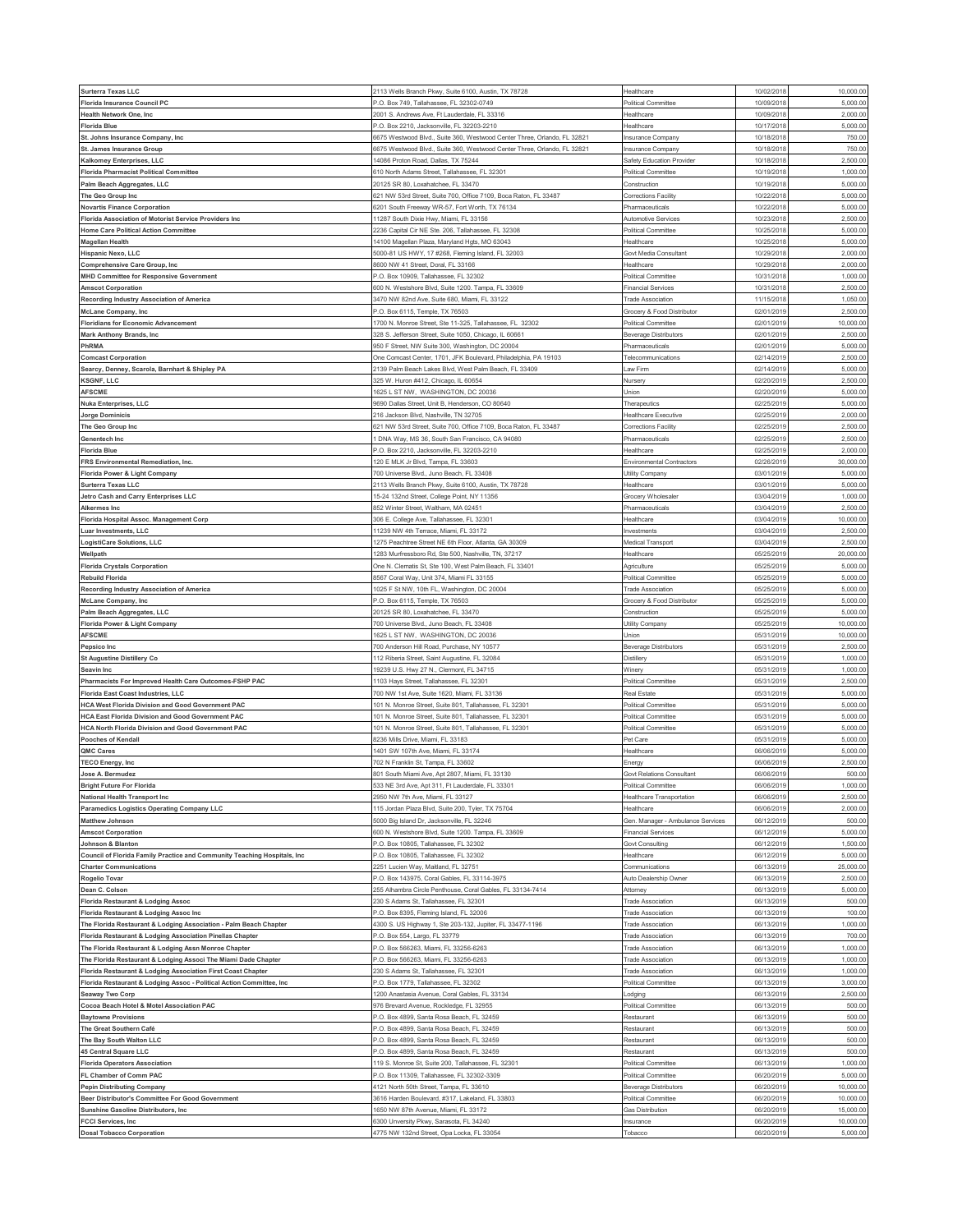| <b>Surterra Texas LLC</b>                                                | 2113 Wells Branch Pkwy, Suite 6100, Austin, TX 78728                                 | Healthcare                          | 10/02/2018               | 10,000.00             |
|--------------------------------------------------------------------------|--------------------------------------------------------------------------------------|-------------------------------------|--------------------------|-----------------------|
| <b>Florida Insurance Council PC</b>                                      | P.O. Box 749, Tallahassee, FL 32302-0749                                             | Political Committee                 | 10/09/2018               | 5,000.00              |
| Health Network One, Inc.                                                 | 2001 S. Andrews Ave, Ft Lauderdale, FL 33316                                         | Healthcare                          | 10/09/2018               | 2,000.00              |
|                                                                          |                                                                                      |                                     |                          |                       |
| <b>Florida Blue</b>                                                      | P.O. Box 2210, Jacksonville, FL 32203-2210                                           | Healthcare                          | 10/17/2018               | 5,000.00<br>750.0     |
| St. Johns Insurance Company, Inc                                         | 6675 Westwood Blvd., Suite 360, Westwood Center Three, Orlando, FL 32821             | Insurance Company                   | 10/18/2018               |                       |
| St. James Insurance Group                                                | 6675 Westwood Blvd., Suite 360, Westwood Center Three, Orlando, FL 32821             | Insurance Company                   | 10/18/2018               | 750.00                |
| Kalkomey Enterprises, LLC                                                | 14086 Proton Road, Dallas, TX 75244                                                  | Safety Education Provider           | 10/18/2018               | 2,500.00              |
| <b>Florida Pharmacist Political Committee</b>                            | 610 North Adams Street, Tallahassee, FL 32301                                        | Political Committee                 | 10/19/2018               | 1,000.00              |
| Palm Beach Aggregates, LLC                                               | 20125 SR 80, Loxahatchee, FL 33470                                                   | Construction                        | 10/19/2018               | 5,000.0               |
| The Geo Group Inc                                                        | 621 NW 53rd Street, Suite 700, Office 7109, Boca Raton, FL 33487                     | Corrections Facility                | 10/22/2018               | 5,000.00              |
| <b>Novartis Finance Corporation</b>                                      | 6201 South Freeway WR-57, Fort Worth, TX 76134                                       | Pharmaceuticals                     | 10/22/201                | 5,000.00              |
| Florida Association of Motorist Service Providers Inc                    | 11287 South Dixie Hwy, Miami, FL 33156                                               | Automotive Services                 | 10/23/2018               | 2,500.00              |
| Home Care Political Action Committee                                     | 2236 Capital Cir NE Ste. 206, Tallahassee, FL 32308                                  | Political Committee                 | 10/25/201                | 5,000.0               |
| <b>Magellan Health</b>                                                   | 14100 Magellan Plaza, Maryland Hgts, MO 63043                                        | Healthcare                          | 10/25/2018               | 5,000.00              |
| Hispanic Nexo, LLC                                                       | 5000-81 US HWY, 17 #268, Fleming Island, FL 32003                                    | Govt Media Consultant               | 10/29/201                | 2,000.00              |
| Comprehensive Care Group, Inc                                            | 8600 NW 41 Street, Doral, FL 33166                                                   | Healthcare                          | 10/29/2018               | 2,000.00              |
| <b>MHD Committee for Responsive Government</b>                           | P.O. Box 10909, Tallahassee, FL 32302                                                | Political Committee                 | 10/31/2018               | 1,000.00              |
| <b>Amscot Corporation</b>                                                | 600 N. Westshore Blvd, Suite 1200. Tampa, FL 33609                                   | <b>Financial Services</b>           | 10/31/2018               | 2,500.00              |
| Recording Industry Association of America                                | 3470 NW 82nd Ave, Suite 680, Miami, FL 33122                                         | <b>Trade Association</b>            | 11/15/201                | 1,050.0               |
| <b>McLane Company, Inc</b>                                               | P.O. Box 6115, Temple, TX 76503                                                      | Grocery & Food Distributor          | 02/01/2019               | 2,500.00              |
| <b>Floridians for Economic Advancement</b>                               | 1700 N. Monroe Street, Ste 11-325, Tallahassee, FL 32302                             | Political Committee                 | 02/01/201                | 10,000.0              |
| Mark Anthony Brands, Inc                                                 | 328 S. Jefferson Street, Suite 1050, Chicago, IL 60661                               | Beverage Distributors               | 02/01/2019               | 2,500.00              |
| PhRMA                                                                    | 950 F Street, NW Suite 300, Washington, DC 20004                                     | Pharmaceuticals                     | 02/01/2019               | 5,000.00              |
|                                                                          | One Comcast Center, 1701, JFK Boulevard, Philadelphia, PA 19103                      | Telecommunications                  | 02/14/2019               | 2,500.00              |
| <b>Comcast Corporation</b>                                               |                                                                                      |                                     |                          |                       |
| Searcy, Denney, Scarola, Barnhart & Shipley PA                           | 2139 Palm Beach Lakes Blvd, West Palm Beach, FL 33409                                | aw Firm                             | 02/14/2019               | 5,000.00<br>2,500.00  |
| <b>KSGNF, LLC</b>                                                        | 325 W. Huron #412, Chicago, IL 60654                                                 | Nursery                             | 02/20/2019               |                       |
| <b>AFSCME</b>                                                            | 1625 L ST NW, WASHINGTON, DC 20036                                                   | Union                               | 02/20/2019               | 5,000.00              |
| <b>Nuka Enterprises, LLC</b>                                             | 9690 Dallas Street, Unit B. Henderson, CO 80640                                      | Therapeutics                        | 02/25/2019               | 5,000.00              |
| <b>Jorge Dominicis</b>                                                   | 216 Jackson Blvd, Nashville, TN 32705                                                | <b>Healthcare Executive</b>         | 02/25/2019               | 2,000.00              |
| The Geo Group Inc                                                        | 621 NW 53rd Street, Suite 700, Office 7109, Boca Raton, FL 33487                     | Corrections Facility                | 02/25/2019               | 2,500.0               |
| Genentech Inc                                                            | 1 DNA Way, MS 36, South San Francisco, CA 94080                                      | Pharmaceuticals                     | 02/25/2019               | 2,500.00              |
| <b>Florida Blue</b>                                                      | P.O. Box 2210, Jacksonville, FL 32203-2210                                           | Healthcare                          | 02/25/201                | 2,000.00              |
| FRS Environmental Remediation, Inc.                                      | 120 E MLK Jr Blvd, Tampa, FL 33603                                                   | <b>Environmental Contractors</b>    | 02/26/201                | 30,000.0              |
| Florida Power & Light Company                                            | 700 Universe Blvd., Juno Beach, FL 33408                                             | Utility Company                     | 03/01/201                | 5,000.0               |
| <b>Surterra Texas LLC</b>                                                | 2113 Wells Branch Pkwy, Suite 6100, Austin, TX 78728                                 | Healthcare                          | 03/01/2019               | 5,000.00              |
| Jetro Cash and Carry Enterprises LLC                                     | 15-24 132nd Street, College Point, NY 11356                                          | Grocery Wholesaler                  | 03/04/201                | 1,000.00              |
| Alkermes Inc                                                             | 852 Winter Street, Waltham, MA 02451                                                 | Pharmaceuticals                     | 03/04/201                | 2,500.00              |
| Florida Hospital Assoc. Management Corp                                  | 306 E. College Ave, Tallahassee, FL 32301                                            | Healthcare                          | 03/04/201                | 10,000.0              |
| Luar Investments, LLC                                                    | 11239 NW 4th Terrace, Miami, FL 33172                                                | nvestments                          | 03/04/2019               | 2,500.00              |
| LogistiCare Solutions, LLC                                               | 1275 Peachtree Street NE 6th Floor, Atlanta, GA 30309                                | Medical Transport                   | 03/04/201                | 2,500.0               |
| Wellpath                                                                 | 1283 Murfressboro Rd, Ste 500, Nashville, TN, 37217                                  | Healthcare                          | 05/25/2019               | 20,000.00             |
|                                                                          |                                                                                      |                                     | 05/25/201                | 5,000.00              |
| <b>Florida Crystals Corporation</b>                                      | One N. Clematis St, Ste 100, West Palm Beach, FL 33401                               | Agriculture                         |                          |                       |
| <b>Rebuild Florida</b>                                                   | 8567 Coral Way, Unit 374, Miami FL 33155                                             | Political Committee                 | 05/25/2019               | 5,000.00              |
| Recording Industry Association of America                                | 1025 F St NW, 10th FL, Washington, DC 20004                                          | <b>Trade Association</b>            | 05/25/201                | 5,000.00              |
| <b>McLane Company, Inc.</b>                                              | P.O. Box 6115, Temple, TX 76503                                                      | Grocery & Food Distributor          | 05/25/2019               | 5,000.00              |
| Palm Beach Aggregates, LLC                                               | 20125 SR 80, Loxahatchee, FL 33470                                                   | Construction                        | 05/25/201                | 5,000.0               |
| Florida Power & Light Company                                            | 700 Universe Blvd., Juno Beach, FL 33408                                             | Utility Company                     | 05/25/2019               | 10,000.00             |
| <b>AFSCME</b>                                                            | 1625 L ST NW, WASHINGTON, DC 20036                                                   | Union                               | 05/31/201                | 10,000.0              |
| Pepsico Inc                                                              | 700 Anderson Hill Road, Purchase, NY 10577                                           | Beverage Distributors               | 05/31/2019               | 2,500.00              |
|                                                                          |                                                                                      | Distillen                           | 05/31/2019               | 1,000.00              |
| <b>St Augustine Distillery Co</b>                                        | 112 Riberia Street, Saint Augustine, FL 32084                                        |                                     |                          |                       |
| Seavin Inc.                                                              | 19239 U.S. Hwy 27 N., Clermont, FL 34715                                             | Winery                              | 05/31/2019               | 1,000.00              |
| Pharmacists For Improved Health Care Outcomes-FSHP PAC                   | 1103 Hays Street, Tallahassee, FL 32301                                              | Political Committee                 | 05/31/2019               | 2,500.0               |
| <b>Florida East Coast Industries, LLC</b>                                | 700 NW 1st Ave, Suite 1620, Miami, FL 33136                                          | Real Estate                         | 05/31/2019               | 5,000.00              |
| <b>HCA West Florida Division and Good Government PAC</b>                 | 101 N. Monroe Street, Suite 801, Tallahassee, FL 32301                               | Political Committee                 | 05/31/2019               | 5,000.0               |
| <b>HCA East Florida Division and Good Government PAC</b>                 | 101 N. Monroe Street, Suite 801, Tallahassee, FL 32301                               | Political Committee                 | 05/31/2019               | 5,000.0               |
| <b>HCA North Florida Division and Good Government PAC</b>                | 101 N. Monroe Street, Suite 801, Tallahassee, FL 32301                               | Political Committee                 | 05/31/2019               | 5,000.00              |
| Pooches of Kendall                                                       | 3236 Mills Drive, Miami, FL 33183                                                    | Pet Care                            | 05/31/2019               | 5,000.00              |
|                                                                          |                                                                                      |                                     |                          |                       |
| QMC Cares                                                                | 1401 SW 107th Ave, Miami, FL 33174<br>702 N Franklin St, Tampa, FL 33602             | Healthcare                          | 06/06/2019<br>06/06/2019 | 5,000.00<br>2,500.0   |
| <b>TECO Energy, Inc</b>                                                  |                                                                                      | Energy<br>Govt Relations Consultant |                          | 500.00                |
| Jose A. Bermudez                                                         | 801 South Miami Ave, Apt 2807, Miami, FL 33130                                       |                                     | 06/06/2019               |                       |
| <b>Bright Future For Florida</b>                                         | 533 NE 3rd Ave, Apt 311, Ft Lauderdale, FL 33301                                     | Political Committee                 | 06/06/2019               | 1,000.00              |
| National Health Transport Inc                                            | 2950 NW 7th Ave, Miami, FL 33127                                                     | Healthcare Transportation           | 06/06/2019               | 2,500.00              |
| Paramedics Logistics Operating Company LLC                               | 115 Jordan Plaza Blvd, Suite 200, Tyler, TX 75704                                    | Healthcare                          | 06/06/2019               | 2,000.00              |
| <b>Matthew Johnson</b>                                                   | 5000 Big Island Dr, Jacksonville, FL 32246                                           | Gen. Manager - Ambulance Services   | 06/12/2019               | 500.00                |
| <b>Amscot Corporation</b>                                                | 600 N. Westshore Blvd, Suite 1200. Tampa, FL 33609                                   | <b>Financial Services</b>           | 06/12/2019               | 5,000.00              |
| Johnson & Blanton                                                        | P.O. Box 10805, Tallahassee, FL 32302                                                | Govt Consulting                     | 06/12/2019               | 1,500.00              |
| Council of Florida Family Practice and Community Teaching Hospitals, Inc | P.O. Box 10805, Tallahassee, FL 32302                                                | Healthcare                          | 06/12/201                | 5,000.00              |
| <b>Charter Communications</b>                                            | 2251 Lucien Way, Maitland, FL 32751                                                  | Communications                      | 06/13/2019               | 25,000.00             |
| Rogelio Tovar                                                            | P.O. Box 143975, Coral Gables, FL 33114-3975                                         | Auto Dealership Owner               | 06/13/2019               | 2,500.00              |
| Dean C. Colson                                                           | 255 Alhambra Circle Penthouse, Coral Gables, FL 33134-7414                           | Attorney                            | 06/13/2019               | 5,000.00              |
| Florida Restaurant & Lodging Assoc                                       | 230 S Adams St, Tallahassee, FL 32301                                                | <b>Trade Association</b>            | 06/13/2019               | 500.00                |
| Florida Restaurant & Lodging Assoc Inc                                   | P.O. Box 8395, Fleming Island, FL 32006                                              | <b>Trade Association</b>            | 06/13/2019               | 100.00                |
| The Florida Restaurant & Lodging Association - Palm Beach Chapter        | 4300 S. US Highway 1, Ste 203-132, Jupiter, FL 33477-1196                            | <b>Trade Association</b>            | 06/13/2019               | 1,000.00              |
| Florida Restaurant & Lodging Association Pinellas Chapter                | P.O. Box 554, Largo, FL 33779                                                        | <b>Trade Association</b>            | 06/13/2019               | 700.00                |
| The Florida Restaurant & Lodging Assn Monroe Chapter                     | P.O. Box 566263, Miami, FL 33256-6263                                                | <b>Trade Association</b>            | 06/13/2019               | 1,000.00              |
| The Florida Restaurant & Lodging Associ The Miami Dade Chapter           | P.O. Box 566263, Miami, FL 33256-6263                                                | <b>Trade Association</b>            | 06/13/2019               | 1,000.00              |
| Florida Restaurant & Lodging Association First Coast Chapter             | 230 S Adams St, Tallahassee, FL 32301                                                | <b>Trade Association</b>            | 06/13/2019               | 1,000.00              |
| Florida Restaurant & Lodging Assoc - Political Action Committee, Inc     | P.O. Box 1779, Tallahassee, FL 32302                                                 | Political Committee                 | 06/13/2019               | 3,000.00              |
| Seaway Two Corp                                                          | 1200 Anastasia Avenue, Coral Gables, FL 33134                                        | odging                              | 06/13/2019               | 2,500.00              |
| Cocoa Beach Hotel & Motel Association PAC                                | 976 Brevard Avenue, Rockledge, FL 32955                                              | Political Committee                 | 06/13/2019               | 500.00                |
| <b>Baytowne Provisions</b>                                               | P.O. Box 4899, Santa Rosa Beach, FL 32459                                            | Restaurant                          | 06/13/2019               | 500.00                |
| The Great Southern Café                                                  | P.O. Box 4899, Santa Rosa Beach, FL 32459                                            | Restaurant                          | 06/13/2019               | 500.00                |
| The Bay South Walton LLC                                                 | P.O. Box 4899, Santa Rosa Beach, FL 32459                                            | Restaurant                          | 06/13/2019               | 500.00                |
| 45 Central Square LLC                                                    | <sup>2</sup> .O. Box 4899, Santa Rosa Beach, FL 32459                                | Restaurant                          | 06/13/2019               | 500.00                |
|                                                                          |                                                                                      |                                     |                          |                       |
| <b>Florida Operators Association</b>                                     | 119 S. Monroe St, Suite 200, Tallahassee, FL 32301                                   | Political Committee                 | 06/13/2019               | 1,000.00              |
| FL Chamber of Comm PAC                                                   | P.O. Box 11309, Tallahassee, FL 32302-3309                                           | Political Committee                 | 06/20/2019               | 5,000.00              |
| <b>Pepin Distributing Company</b>                                        | 4121 North 50th Street, Tampa, FL 33610                                              | <b>Beverage Distributors</b>        | 06/20/2019               | 10,000.00             |
| Beer Distributor's Committee For Good Government                         | 3616 Harden Boulevard, #317, Lakeland, FL 33803                                      | Political Committee                 | 06/20/2019               | 10,000.0              |
| Sunshine Gasoline Distributors, Inc.                                     | 1650 NW 87th Avenue, Miami, FL 33172                                                 | Gas Distribution                    | 06/20/2019               | 15,000.00             |
| <b>FCCI Services, Inc.</b><br><b>Dosal Tobacco Corporation</b>           | 3300 Unversity Pkwy, Sarasota, FL 34240<br>4775 NW 132nd Street, Opa Locka, FL 33054 | Insurance<br>Tobacco                | 06/20/2019<br>06/20/2019 | 10,000.00<br>5,000.00 |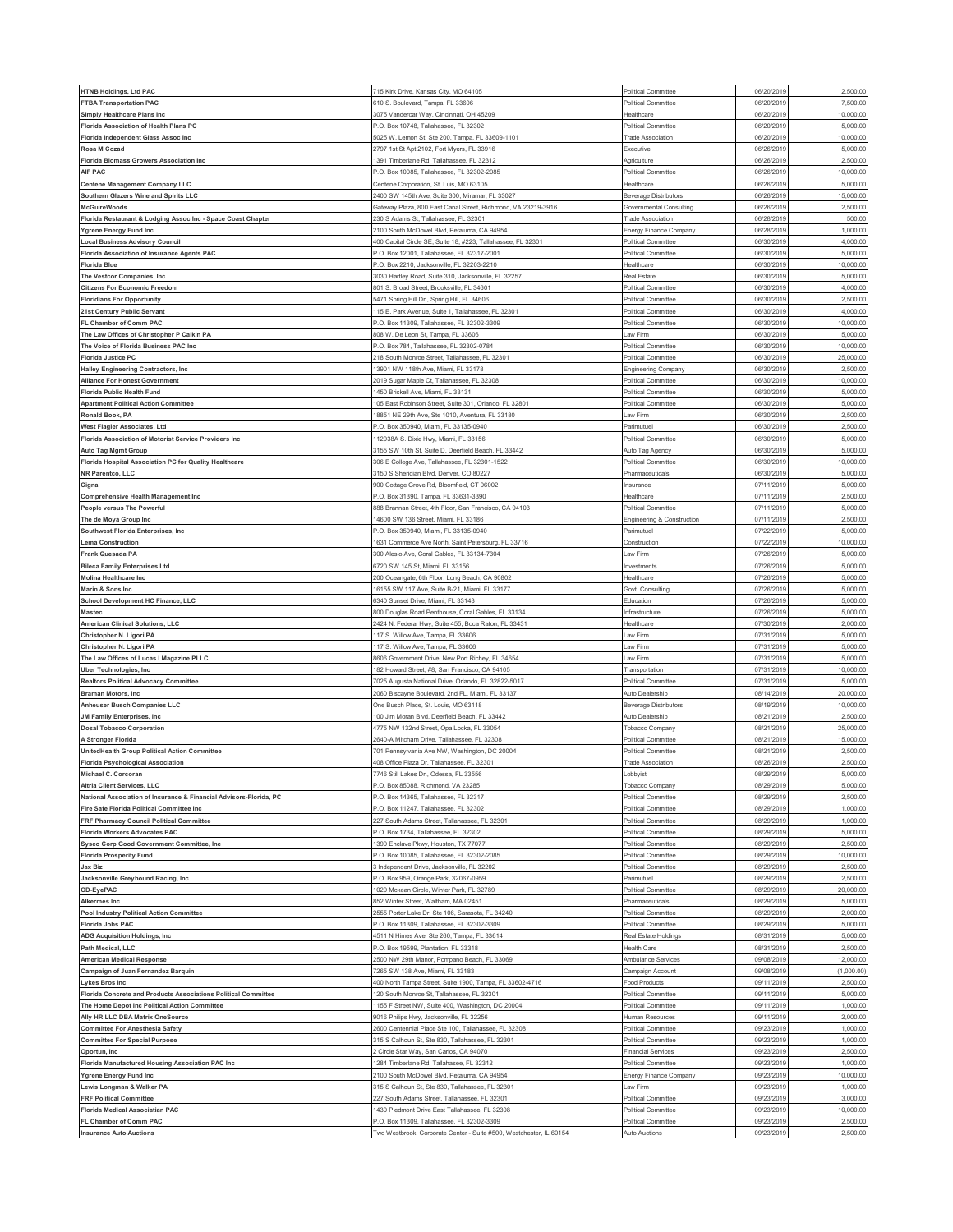| <b>HTNB Holdings, Ltd PAC</b>                                      | 715 Kirk Drive, Kansas City, MO 64105                                                                      | Political Committee                                 | 06/20/2019 | 2,500.00   |
|--------------------------------------------------------------------|------------------------------------------------------------------------------------------------------------|-----------------------------------------------------|------------|------------|
| <b>FTBA Transportation PAC</b>                                     | 610 S. Boulevard, Tampa, FL 33606                                                                          | <b>Political Committee</b>                          | 06/20/2019 | 7,500.00   |
| <b>Simply Healthcare Plans Inc</b>                                 | 3075 Vandercar Way, Cincinnati, OH 45209                                                                   | Healthcare                                          | 06/20/2019 | 10,000.00  |
| Florida Association of Health Plans PC                             | P.O. Box 10748, Tallahassee, FL 32302                                                                      | Political Committee                                 | 06/20/2019 | 5,000.0    |
| Florida Independent Glass Assoc Inc                                | 5025 W. Lemon St, Ste 200, Tampa, FL 33609-1101                                                            | <b>Trade Association</b>                            | 06/20/2019 | 10,000.0   |
| Rosa M Cozad                                                       | 2797 1st St Apt 2102, Fort Myers, FL 33916                                                                 | Executive                                           | 06/26/201  | 5,000.0    |
| <b>Florida Biomass Growers Association Inc</b>                     | 391 Timberlane Rd, Tallahassee, FL 32312                                                                   | Agriculture                                         | 06/26/201  | 2,500.00   |
| AIF PAC                                                            | P.O. Box 10085, Tallahassee, FL 32302-2085                                                                 | Political Committee                                 | 06/26/2019 | 10,000.00  |
| <b>Centene Management Company LLC</b>                              | Centene Corporation, St. Luis, MO 63105                                                                    | Healthcare                                          | 06/26/201  | 5,000.0    |
| Southern Glazers Wine and Spirits LLC                              | 2400 SW 145th Ave, Suite 300, Miramar, FL 33027                                                            | <b>Beverage Distributors</b>                        | 06/26/201  | 15,000.00  |
|                                                                    |                                                                                                            |                                                     | 06/26/201  | 2,500.00   |
| <b>McGuireWoods</b>                                                | Gateway Plaza, 800 East Canal Street, Richmond, VA 23219-3916<br>230 S Adams St, Tallahassee, FL 32301     | Governmental Consulting<br><b>Trade Association</b> | 06/28/2019 | 500.00     |
| Florida Restaurant & Lodging Assoc Inc - Space Coast Chapter       |                                                                                                            |                                                     |            | 1,000.0    |
| <b>Ygrene Energy Fund Inc</b>                                      | 100 South McDowel Blvd, Petaluma, CA 94954<br>400 Capital Circle SE, Suite 18, #223, Tallahassee, FL 32301 | Energy Finance Company                              | 06/28/201  | 4,000.00   |
| <b>Local Business Advisory Council</b>                             |                                                                                                            | Political Committee                                 | 06/30/2019 |            |
| Florida Association of Insurance Agents PAC                        | 0. Box 12001, Tallahassee, FL 32317-2001                                                                   | Political Committee                                 | 06/30/201  | 5,000.00   |
| <b>Florida Blue</b>                                                | P.O. Box 2210, Jacksonville, FL 32203-2210                                                                 | Healthcare                                          | 06/30/2019 | 10,000.00  |
| The Vestcor Companies, Inc                                         | 3030 Hartley Road, Suite 310, Jacksonville, FL 32257                                                       | Real Estate                                         | 06/30/201  | 5,000.0    |
| <b>Citizens For Economic Freedom</b>                               | 801 S. Broad Street. Brooksville. FL 34601                                                                 | Political Committee                                 | 06/30/2019 | 4,000.00   |
| <b>Floridians For Opportunity</b>                                  | 5471 Spring Hill Dr., Spring Hill, FL 34606                                                                | Political Committee                                 | 06/30/201  | 2,500.0    |
| 21st Century Public Servant                                        | 115 E. Park Avenue, Suite 1, Tallahassee, FL 32301                                                         | Political Committee                                 | 06/30/2019 | 4,000.00   |
| FL Chamber of Comm PAC                                             | P.O. Box 11309, Tallahassee, FL 32302-3309                                                                 | Political Committee                                 | 06/30/2019 | 10,000.0   |
| The Law Offices of Christopher P Calkin PA                         | 308 W. De Leon St, Tampa, FL 33606                                                                         | Law Firm                                            | 06/30/2019 | 5,000.00   |
| The Voice of Florida Business PAC Inc                              | <sup>2</sup> .O. Box 784, Tallahassee, FL 32302-0784                                                       | Political Committee                                 | 06/30/201  | 10,000.0   |
| <b>Florida Justice PC</b>                                          | 218 South Monroe Street, Tallahassee, FL 32301                                                             | Political Committee                                 | 06/30/2019 | 25,000.00  |
| Halley Engineering Contractors, Inc                                | 13901 NW 118th Ave, Miami, FL 33178                                                                        | Engineering Company                                 | 06/30/2019 | 2,500.0    |
| <b>Alliance For Honest Government</b>                              | 2019 Sugar Maple Ct, Tallahassee, FL 32308                                                                 | Political Committee                                 | 06/30/2019 | 10,000.0   |
| <b>Florida Public Health Fund</b>                                  | 1450 Brickell Ave, Miami, FL 33131                                                                         | Political Committee                                 | 06/30/2019 | 5,000.00   |
| <b>Apartment Political Action Committee</b>                        | 105 East Robinson Street, Suite 301, Orlando, FL 32801                                                     | Political Committee                                 | 06/30/2019 | 5,000.00   |
| Ronald Book, PA                                                    | 18851 NE 29th Ave. Ste 1010, Aventura, FL 33180                                                            | Law Firm                                            | 06/30/2019 | 2,500.0    |
| West Flagler Associates, Ltd                                       | 0. Box 350940, Miami, FL 33135-0940                                                                        | Parimutuel                                          | 06/30/2019 | 2,500.0    |
| Florida Association of Motorist Service Providers Inc              | 12938A S. Dixie Hwy, Miami, FL 33156                                                                       | <b>Political Committee</b>                          | 06/30/2019 | 5,000.00   |
| <b>Auto Tag Mgmt Group</b>                                         | 155 SW 10th St, Suite D, Deerfield Beach, FL 33442                                                         | Auto Tag Agency                                     | 06/30/201  | 5,000.00   |
| Florida Hospital Association PC for Quality Healthcare             | 306 E College Ave, Tallahassee, FL 32301-1522                                                              | Political Committee                                 | 06/30/201  | 10,000.00  |
| NR Parentco, LLC                                                   | 150 S Sheridian Blvd, Denver, CO 80227                                                                     | Pharmaceuticals                                     | 06/30/2019 | 5,000.0    |
|                                                                    |                                                                                                            |                                                     | 07/11/201  | 5,000.00   |
| Cigna                                                              | 300 Cottage Grove Rd, Bloomfield, CT 06002                                                                 | Insurance                                           |            |            |
| <b>Comprehensive Health Management Inc</b>                         | O. Box 31390, Tampa, FL 33631-3390                                                                         | Healthcare                                          | 07/11/201  | 2,500.00   |
| People versus The Powerful                                         | 388 Brannan Street, 4th Floor, San Francisco, CA 94103                                                     | Political Committee                                 | 07/11/201  | 5,000.00   |
| The de Moya Group Inc                                              | 4600 SW 136 Street, Miami, FL 33186                                                                        | Engineering & Construction                          | 07/11/201  | 2,500.0    |
| Southwest Florida Enterprises, Inc.                                | P.O. Box 350940, Miami, FL 33135-0940                                                                      | Parimutuel                                          | 07/22/201  | 5,000.00   |
| <b>Lema Construction</b>                                           | 1631 Commerce Ave North, Saint Petersburg, FL 33716                                                        | Construction                                        | 07/22/201  | 10,000.00  |
| Frank Quesada PA                                                   | 300 Alesio Ave, Coral Gables, FL 33134-7304                                                                | Law Firm                                            | 07/26/2019 | 5,000.00   |
| <b>Bileca Family Enterprises Ltd</b>                               | 3720 SW 145 St, Miami, FL 33156                                                                            | Investments                                         | 07/26/201  | 5,000.0    |
| Molina Healthcare Inc                                              | 200 Oceangate, 6th Floor, Long Beach, CA 90802                                                             | Healthcare                                          | 07/26/2019 | 5,000.00   |
| Marin & Sons Inc                                                   | 16155 SW 117 Ave, Suite B-21, Miami, FL 33177                                                              | Govt. Consulting                                    | 07/26/201  | 5,000.00   |
| School Development HC Finance, LLC                                 | 3340 Sunset Drive, Miami, FL 33143                                                                         | Education                                           | 07/26/2019 | 5,000.00   |
| <b>Mastec</b>                                                      | 300 Douglas Road Penthouse, Coral Gables, FL 33134                                                         | Infrastructure                                      | 07/26/201  | 5,000.0    |
| American Clinical Solutions, LLC                                   | 2424 N. Federal Hwy, Suite 455, Boca Raton, FL 33431                                                       | Healthcare                                          | 07/30/2019 | 2,000.00   |
| Christopher N. Ligori PA                                           | 117 S. Willow Ave, Tampa, FL 33606                                                                         | Law Firm                                            | 07/31/201  | 5,000.0    |
| Christopher N. Ligori PA                                           | 117 S. Willow Ave, Tampa, FL 33606                                                                         | Law Firm                                            | 07/31/2019 | 5,000.00   |
| The Law Offices of Lucas I Magazine PLLC                           | 8606 Government Drive, New Port Richey, FL 34654                                                           | Law Firm                                            | 07/31/2019 | 5,000.0    |
| <b>Uber Technologies, Inc.</b>                                     | 182 Howard Street, #8, San Francisco, CA 94105                                                             | Transportation                                      | 07/31/2019 | 10,000.00  |
| <b>Realtors Political Advocacy Committee</b>                       | 7025 Augusta National Drive, Orlando, FL 32822-5017                                                        | <b>Political Committee</b>                          | 07/31/2019 | 5,000.0    |
| Braman Motors, Inc.                                                | 2060 Biscayne Boulevard, 2nd FL, Miami, FL 33137                                                           | Auto Dealership                                     | 08/14/2019 | 20,000.00  |
|                                                                    |                                                                                                            |                                                     |            |            |
| Anheuser Busch Companies LLC                                       | One Busch Place, St. Louis, MO 63118                                                                       | <b>Beverage Distributors</b>                        | 08/19/2019 | 10,000.0   |
| JM Family Enterprises, Inc.                                        | 100 Jim Moran Blvd, Deerfield Beach, FL 33442                                                              | Auto Dealership                                     | 08/21/2019 | 2,500.0    |
| <b>Dosal Tobacco Corporation</b>                                   | 4775 NW 132nd Street, Opa Locka, FL 33054                                                                  | Tobacco Company                                     | 08/21/2019 | 25,000.00  |
| A Stronger Florida                                                 | 2640-A Mitcham Drive, Tallahassee, FL 32308                                                                | <b>Political Committee</b>                          | 08/21/2019 | 15,000.00  |
| UnitedHealth Group Political Action Committee                      | 701 Pennsylvania Ave NW, Washington, DC 20004                                                              | Political Committee                                 | 08/21/2019 | 2,500.00   |
| <b>Florida Psychological Association</b>                           | 108 Office Plaza Dr, Tallahassee, FL 32301                                                                 | <b>Trade Association</b>                            | 08/26/2019 | 2,500.0    |
| Michael C. Corcoran                                                | 7746 Still Lakes Dr., Odessa, FL 33556                                                                     | Lobbyist                                            | 08/29/2019 | 5,000.00   |
| Altria Client Services, LLC                                        | P.O. Box 85088, Richmond, VA 23285                                                                         | Tobacco Company                                     | 08/29/2019 | 5,000.00   |
| National Association of Insurance & Financial Advisors-Florida, PC | P.O. Box 14365, Tallahassee, FL 32317                                                                      | Political Committee                                 | 08/29/2019 | 2,500.00   |
| Fire Safe Florida Political Committee Inc                          | .O. Box 11247, Tallahassee, FL 32302                                                                       | Political Committee                                 | 08/29/201  | 1,000.00   |
| FRF Pharmacy Council Political Committee                           | 227 South Adams Street, Tallahassee, FL 32301                                                              | Political Committee                                 | 08/29/2019 | 1,000.00   |
| <b>Florida Workers Advocates PAC</b>                               | <sup>2</sup> .O. Box 1734, Tallahassee, FL 32302                                                           | Political Committee                                 | 08/29/2019 | 5,000.00   |
| Sysco Corp Good Government Committee, Inc                          | 1390 Enclave Pkwy, Houston, TX 77077                                                                       | Political Committee                                 | 08/29/2019 | 2,500.00   |
| <b>Florida Prosperity Fund</b>                                     | P.O. Box 10085, Tallahassee, FL 32302-2085                                                                 | Political Committee                                 | 08/29/201  | 10,000.00  |
| Jax Biz                                                            | 3 Independent Drive, Jacksonville, FL 32202                                                                | Political Committee                                 | 08/29/2019 | 2,500.00   |
| Jacksonville Greyhound Racing, Inc.                                | P.O. Box 959, Orange Park, 32067-0959                                                                      | Parimutuel                                          | 08/29/201  | 2,500.00   |
| OD-EyePAC                                                          | 1029 Mckean Circle, Winter Park, FL 32789                                                                  | Political Committee                                 | 08/29/2019 | 20,000.00  |
| Alkermes Inc                                                       |                                                                                                            |                                                     |            | 5,000.00   |
| Pool Industry Political Action Committee                           |                                                                                                            |                                                     |            |            |
|                                                                    | 852 Winter Street, Waltham, MA 02451                                                                       | Pharmaceuticals                                     | 08/29/2019 |            |
|                                                                    | 2555 Porter Lake Dr, Ste 106, Sarasota, FL 34240                                                           | Political Committee                                 | 08/29/2019 | 2,000.00   |
| <b>Florida Jobs PAC</b>                                            | P.O. Box 11309, Tallahassee, FL 32302-3309                                                                 | Political Committee                                 | 08/29/201  | 5,000.00   |
| ADG Acquisition Holdings, Inc.                                     | 4511 N Himes Ave, Ste 260, Tampa, FL 33614                                                                 | Real Estate Holdings                                | 08/31/2019 | 5,000.00   |
| Path Medical, LLC                                                  | P.O. Box 19599, Plantation, FL 33318                                                                       | Health Care                                         | 08/31/2019 | 2,500.00   |
| <b>American Medical Response</b>                                   | 2500 NW 29th Manor, Pompano Beach, FL 33069                                                                | Ambulance Services                                  | 09/08/2019 | 12,000.00  |
| Campaign of Juan Fernandez Barquin                                 | '265 SW 138 Ave, Miami, FL 33183                                                                           | Campaign Account                                    | 09/08/2019 | (1,000.00) |
| <b>Lykes Bros Inc</b>                                              | 400 North Tampa Street, Suite 1900, Tampa, FL 33602-4716                                                   | Food Products                                       | 09/11/2019 | 2,500.00   |
| Florida Concrete and Products Associations Political Committee     | 120 South Monroe St, Tallahassee, FL 32301                                                                 | <b>Political Committee</b>                          | 09/11/2019 | 5,000.00   |
| The Home Depot Inc Political Action Committee                      | 155 F Street NW, Suite 400, Washington, DC 20004                                                           | Political Committee                                 | 09/11/2019 | 1,000.00   |
| Ally HR LLC DBA Matrix OneSource                                   | 9016 Philips Hwy, Jacksonville, FL 32256                                                                   | Human Resources                                     | 09/11/2019 | 2,000.00   |
| <b>Committee For Anesthesia Safety</b>                             | 2600 Centennial Place Ste 100, Tallahassee, FL 32308                                                       | Political Committee                                 | 09/23/2019 | 1,000.00   |
| <b>Committee For Special Purpose</b>                               | 315 S Calhoun St, Ste 830, Tallahassee, FL 32301                                                           | Political Committee                                 | 09/23/2019 | 1,000.00   |
| Oportun, Inc.                                                      | Circle Star Way, San Carlos, CA 94070                                                                      | <b>Financial Services</b>                           | 09/23/2019 | 2,500.00   |
| Florida Manufactured Housing Association PAC Inc                   | 1284 Timberlane Rd, Tallahasee, FL 32312                                                                   | <b>Political Committee</b>                          | 09/23/2019 | 1,000.00   |
| <b>Ygrene Energy Fund Inc</b>                                      | 100 South McDowel Blvd, Petaluma, CA 94954                                                                 | Energy Finance Company                              | 09/23/2019 | 10,000.00  |
| Lewis Longman & Walker PA                                          | 315 S Calhoun St, Ste 830, Tallahassee, FL 32301                                                           | Law Firm                                            | 09/23/2019 | 1,000.00   |
| <b>FRF Political Committee</b>                                     | 27 South Adams Street, Tallahassee, FL 32301                                                               | Political Committee                                 | 09/23/2019 | 3,000.00   |
| <b>Florida Medical Associatian PAC</b>                             | 1430 Piedmont Drive East Tallahassee, FL 32308                                                             | Political Committee                                 | 09/23/2019 | 10,000.00  |
| FL Chamber of Comm PAC                                             | <sup>2</sup> .O. Box 11309, Tallahassee, FL 32302-3309                                                     | Political Committee                                 | 09/23/2019 | 2,500.00   |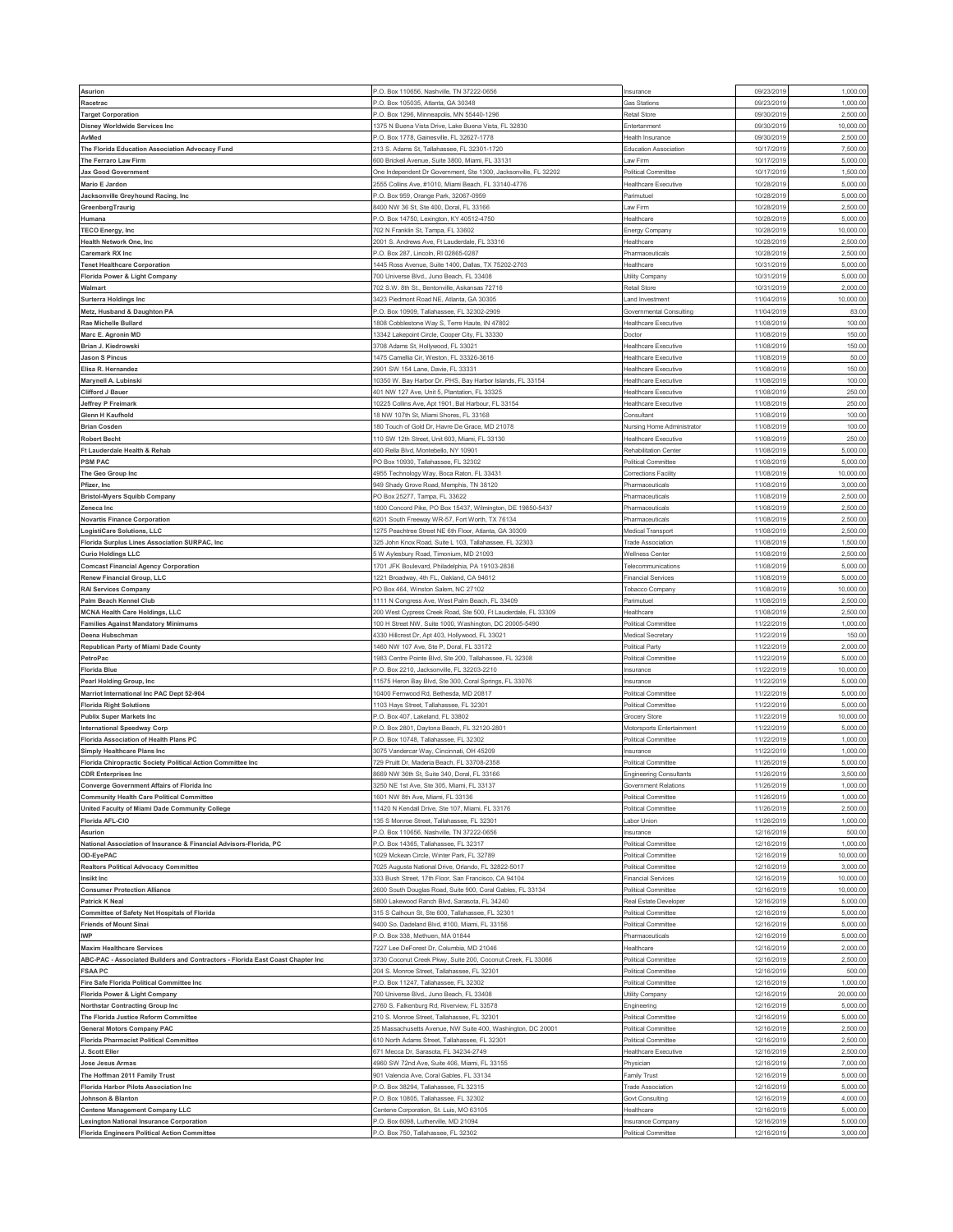| Asurion                                                                                                | P.O. Box 110656, Nashville, TN 37222-0656                                               | nsurance                       | 09/23/2019               | 1,000.00             |
|--------------------------------------------------------------------------------------------------------|-----------------------------------------------------------------------------------------|--------------------------------|--------------------------|----------------------|
| Racetrac                                                                                               | <sup>2</sup> .O. Box 105035, Atlanta, GA 30348                                          | <b>Gas Stations</b>            | 09/23/201                | 1,000.00             |
| <b>Target Corporation</b>                                                                              | P.O. Box 1296, Minneapolis, MN 55440-1296                                               | Retail Store                   | 09/30/2019               | 2,500.00             |
|                                                                                                        |                                                                                         |                                |                          |                      |
| <b>Disney Worldwide Services Inc</b>                                                                   | 1375 N Buena Vista Drive, Lake Buena Vista, FL 32830                                    | Entertanment                   | 09/30/2019               | 10,000.0             |
| AvMed                                                                                                  | <sup>2</sup> .O. Box 1778, Gainesville, FL 32627-1778                                   | Health Insurance               | 09/30/2019               | 2,500.00             |
| The Florida Education Association Advocacy Fund                                                        | 213 S. Adams St, Tallahassee, FL 32301-1720                                             | <b>Education Association</b>   | 10/17/201                | 7,500.0              |
|                                                                                                        |                                                                                         |                                |                          |                      |
| The Ferraro Law Firm                                                                                   | 600 Brickell Avenue, Suite 3800, Miami, FL 33131                                        | Law Firm                       | 10/17/2019               | 5,000.00             |
| <b>Jax Good Government</b>                                                                             | One Independent Dr Government, Ste 1300, Jacksonville, FL 32202                         | Political Committee            | 10/17/2019               | 1,500.0              |
| Mario E Jardon                                                                                         | 555 Collins Ave. #1010. Miami Beach. FL 33140-4776                                      | Healthcare Executive           | 10/28/2019               | 5,000.0              |
|                                                                                                        |                                                                                         |                                |                          |                      |
| Jacksonville Greyhound Racing, Inc.                                                                    | P.O. Box 959, Orange Park, 32067-0959                                                   | Parimutue                      | 10/28/2019               | 5,000.00             |
| GreenbergTraurig                                                                                       | 3400 NW 36 St, Ste 400, Doral, FL 33166                                                 | Law Firm                       | 10/28/2019               | 2,500.00             |
| Humana                                                                                                 | P.O. Box 14750, Lexington, KY 40512-4750                                                | Healthcare                     | 10/28/2019               | 5,000.0              |
|                                                                                                        |                                                                                         |                                |                          |                      |
| <b>TECO Energy, Inc.</b>                                                                               | '02 N Franklin St, Tampa, FL 33602                                                      | Energy Company                 | 10/28/2019               | 10,000.0             |
| <b>Health Network One, Inc</b>                                                                         | 2001 S. Andrews Ave, Ft Lauderdale, FL 33316                                            | Healthcare                     | 10/28/2019               | 2,500.00             |
|                                                                                                        |                                                                                         |                                | 10/28/2019               | 2,500.00             |
| Caremark RX Inc                                                                                        | O. Box 287, Lincoln, RI 02865-0287                                                      | Pharmaceuticals                |                          |                      |
| <b>Tenet Healthcare Corporation</b>                                                                    | 1445 Ross Avenue, Suite 1400, Dallas, TX 75202-2703                                     | Healthcare                     | 10/31/2019               | 5,000.00             |
| Florida Power & Light Company                                                                          | '00 Universe Blvd., Juno Beach, FL 33408                                                | Utility Company                | 10/31/201                | 5,000.0              |
|                                                                                                        |                                                                                         |                                |                          |                      |
| Walmart                                                                                                | 702 S.W. 8th St., Bentonville, Askansas 72716                                           | Retail Store                   | 10/31/2019               | 2,000.00             |
| <b>Surterra Holdings Inc</b>                                                                           | 3423 Piedmont Road NE, Atlanta, GA 30305                                                | and Investment                 | 11/04/201                | 10,000.00            |
| Metz, Husband & Daughton PA                                                                            | P.O. Box 10909, Tallahassee, FL 32302-2909                                              | Governmental Consulting        | 11/04/2019               | 83.00                |
|                                                                                                        |                                                                                         |                                |                          |                      |
| Rae Michelle Bullard                                                                                   | 1808 Cobblestone Way S, Terre Haute, IN 47802                                           | Healthcare Executive           | 11/08/2019               | 100.00               |
| Marc E. Agronin MD                                                                                     | 13342 Lakepoint Circle, Cooper City, FL 33330                                           | Doctor                         | 11/08/2019               | 150.00               |
| Brian J. Kiedrowski                                                                                    | 3708 Adams St, Hollywood, FL 33021                                                      | <b>Healthcare Executive</b>    | 11/08/201                | 150.00               |
|                                                                                                        |                                                                                         |                                |                          |                      |
| Jason S Pincus                                                                                         | 1475 Camellia Cir, Weston, FL 33326-3616                                                | <b>Healthcare Executive</b>    | 11/08/2019               | 50.00                |
| Elisa R. Hernandez                                                                                     | 2901 SW 154 Lane, Davie, FL 33331                                                       | Healthcare Executive           | 11/08/2019               | 150.00               |
| Marynell A. Lubinski                                                                                   | 10350 W. Bay Harbor Dr. PHS, Bay Harbor Islands, FL 33154                               | Healthcare Executive           | 11/08/2019               | 100.00               |
|                                                                                                        |                                                                                         |                                |                          |                      |
| Clifford J Bauer                                                                                       | 401 NW 127 Ave, Unit 5, Plantation, FL 33325                                            | Healthcare Executive           | 11/08/2019               | 250.00               |
| Jeffrey P Freimark                                                                                     | 10225 Collins Ave, Apt 1901, Bal Harbour, FL 33154                                      | Healthcare Executive           | 11/08/2019               | 250.00               |
| Glenn H Kaufhold                                                                                       | 18 NW 107th St, Miami Shores, FL 33168                                                  | Consultan                      | 11/08/2019               | 100.00               |
|                                                                                                        |                                                                                         |                                |                          |                      |
| <b>Brian Cosden</b>                                                                                    | 180 Touch of Gold Dr, Havre De Grace, MD 21078                                          | Nursing Home Administrator     | 11/08/2019               | 100.00               |
| <b>Robert Becht</b>                                                                                    | 110 SW 12th Street, Unit 603, Miami, FL 33130                                           | Healthcare Executive           | 11/08/2019               | 250.00               |
|                                                                                                        |                                                                                         | Rehabilitation Center          |                          |                      |
| Ft Lauderdale Health & Rehab                                                                           | 400 Rella Blvd, Montebello, NY 10901                                                    |                                | 11/08/2019               | 5,000.00             |
| <b>PSM PAC</b>                                                                                         | PO Box 10930, Tallahassee, FL 32302                                                     | Political Committee            | 11/08/2019               | 5,000.0              |
| The Geo Group Inc                                                                                      | 1955 Technology Way, Boca Raton, FL 33431                                               | Corrections Facility           | 11/08/2019               | 10,000.0             |
|                                                                                                        |                                                                                         |                                |                          |                      |
| Pfizer, Inc                                                                                            | 949 Shady Grove Road, Memphis, TN 38120                                                 | Pharmaceuticals                | 11/08/2019               | 3,000.00             |
| <b>Bristol-Myers Squibb Company</b>                                                                    | PO Box 25277, Tampa, FL 33622                                                           | Pharmaceuticals                | 11/08/2019               | 2,500.00             |
| Zeneca Inc                                                                                             | 1800 Concord Pike, PO Box 15437, Wilmington, DE 19850-5437                              | Pharmaceuticals                | 11/08/2019               | 2,500.0              |
|                                                                                                        |                                                                                         |                                |                          |                      |
| <b>Novartis Finance Corporation</b>                                                                    | 3201 South Freeway WR-57, Fort Worth, TX 76134                                          | Pharmaceuticals                | 11/08/2019               | 2,500.0              |
| LogistiCare Solutions, LLC                                                                             | 1275 Peachtree Street NE 6th Floor, Atlanta, GA 30309                                   | Medical Transport              | 11/08/2019               | 2,500.00             |
|                                                                                                        |                                                                                         |                                |                          |                      |
| Florida Surplus Lines Association SURPAC, Inc.                                                         | 325 John Knox Road, Suite L 103, Tallahassee, FL 32303                                  | <b>Trade Association</b>       | 11/08/2019               | 1,500.00             |
| <b>Curio Holdings LLC</b>                                                                              | 5 W Aylesbury Road, Timonium, MD 21093                                                  | Wellness Center                | 11/08/2019               | 2,500.00             |
| <b>Comcast Financial Agency Corporation</b>                                                            | 701 JFK Boulevard, Philadelphia, PA 19103-2838                                          | Telecommunications             | 11/08/2019               | 5,000.0              |
|                                                                                                        |                                                                                         |                                |                          |                      |
| Renew Financial Group, LLC                                                                             | 1221 Broadway, 4th FL, Oakland, CA 94612                                                | Financial Services             | 11/08/2019               | 5,000.00             |
| <b>RAI Services Company</b>                                                                            | <sup>2</sup> O Box 464, Winston Salem, NC 27102                                         | Tobacco Company                | 11/08/2019               | 10,000.00            |
| Palm Beach Kennel Club                                                                                 | 1111 N Congress Ave, West Palm Beach, FL 33409                                          | Parimutuel                     | 11/08/2019               | 2,500.00             |
|                                                                                                        |                                                                                         |                                |                          |                      |
| <b>MCNA Health Care Holdings, LLC</b>                                                                  | 200 West Cypress Creek Road, Ste 500, Ft Lauderdale, FL 33309                           | Healthcare                     | 11/08/201                | 2,500.0              |
|                                                                                                        |                                                                                         |                                |                          |                      |
| <b>Families Against Mandatory Minimums</b>                                                             | 100 H Street NW, Suite 1000, Washington, DC 20005-5490                                  | Political Committee            | 11/22/2019               | 1,000.00             |
|                                                                                                        |                                                                                         |                                |                          |                      |
| Deena Hubschman                                                                                        | 1330 Hillcrest Dr, Apt 403, Hollywood, FL 33021                                         | Medical Secretary              | 11/22/201                | 150.00               |
| Republican Party of Miami Dade County                                                                  | 1460 NW 107 Ave, Ste P, Doral, FL 33172                                                 | Political Party                | 11/22/2019               | 2,000.00             |
|                                                                                                        |                                                                                         |                                |                          |                      |
| PetroPac                                                                                               | 1983 Centre Pointe Blvd, Ste 200, Tallahassee, FL 32308                                 | Political Committee            | 11/22/2019               | 5,000.00             |
| <b>Florida Blue</b>                                                                                    | P.O. Box 2210, Jacksonville, FL 32203-2210                                              | Insurance                      | 11/22/2019               | 10,000.00            |
| Pearl Holding Group, Inc                                                                               | 1575 Heron Bay Blvd, Ste 300, Coral Springs, FL 33076                                   | nsurance                       | 11/22/201                | 5,000.0              |
|                                                                                                        |                                                                                         |                                |                          |                      |
| Marriot International Inc PAC Dept 52-904                                                              | 10400 Fernwood Rd, Bethesda, MD 20817                                                   | Political Committee            | 11/22/2019               | 5,000.00             |
| <b>Florida Right Solutions</b>                                                                         | 1103 Hays Street, Tallahassee, FL 32301                                                 | Political Committee            | 11/22/2019               | 5,000.0              |
|                                                                                                        | <sup>2</sup> .O. Box 407, Lakeland, FL 33802                                            |                                |                          | 10,000.00            |
| <b>Publix Super Markets Inc</b>                                                                        |                                                                                         | Grocery Store                  | 11/22/2019               |                      |
| <b>International Speedway Corp</b>                                                                     | <sup>2</sup> .O. Box 2801, Daytona Beach, FL 32120-2801                                 | Motorsports Entertainment      | 11/22/2019               | 5,000.00             |
| Florida Association of Health Plans PC                                                                 | P.O. Box 10748, Tallahassee, FL 32302                                                   | Political Committee            | 11/22/2019               | 1,000.00             |
| Simply Healthcare Plans Inc                                                                            | 3075 Vandercar Way, Cincinnati, OH 45209                                                | nsurance                       | 11/22/2019               | 1,000.00             |
|                                                                                                        |                                                                                         |                                |                          |                      |
| Florida Chiropractic Society Political Action Committee Inc                                            | 729 Pruitt Dr, Maderia Beach, FL 33708-2358                                             | Political Committee            | 11/26/2019               | 5,000.00             |
| <b>CDR Enterprises Inc</b>                                                                             | 3669 NW 36th St, Suite 340, Doral, FL 33166                                             | <b>Engineering Consultants</b> | 11/26/2019               | 3,500.00             |
| Converge Government Affairs of Florida Inc                                                             | 3250 NE 1st Ave, Ste 305, Miami, FL 33137                                               | Government Relations           | 11/26/2019               | 1,000.00             |
|                                                                                                        |                                                                                         |                                |                          |                      |
| <b>Community Health Care Political Committee</b>                                                       | 1601 NW 8th Ave, Miami, FL 33136                                                        | Political Committee            | 11/26/2019               | 1,000.00             |
| United Faculty of Miami Dade Community College                                                         | 11420 N Kendall Drive, Ste 107, Miami, FL 33176                                         | Political Committee            | 11/26/2019               | 2,500.00             |
| Florida AFL-CIO                                                                                        | 135 S Monroe Street, Tallahassee, FL 32301                                              | Labor Union                    | 11/26/2019               | 1,000.00             |
|                                                                                                        |                                                                                         |                                |                          |                      |
| <b>Asurion</b>                                                                                         | <sup>2</sup> .O. Box 110656, Nashville, TN 37222-0656                                   | nsurance                       | 12/16/2019               | 500.00               |
| National Association of Insurance & Financial Advisors-Florida, PC                                     | P.O. Box 14365, Tallahassee, FL 32317                                                   | Political Committee            | 12/16/2019               | 1,000.00             |
| OD-EyePAC                                                                                              | 1029 Mckean Circle, Winter Park, FL 32789                                               | Political Committee            | 12/16/2019               | 10,000.00            |
|                                                                                                        |                                                                                         |                                |                          |                      |
| <b>Realtors Political Advocacy Committee</b>                                                           | 7025 Augusta National Drive, Orlando, FL 32822-5017                                     | Political Committee            | 12/16/2019               | 3,000.00             |
| Insikt Inc                                                                                             | 333 Bush Street, 17th Floor, San Francisco, CA 94104                                    | <b>Financial Services</b>      | 12/16/2019               | 10,000.00            |
| <b>Consumer Protection Alliance</b>                                                                    | 2600 South Douglas Road, Suite 900, Coral Gables, FL 33134                              | Political Committee            | 12/16/2019               | 10,000.00            |
|                                                                                                        |                                                                                         |                                |                          |                      |
| <b>Patrick K Neal</b>                                                                                  | 5800 Lakewood Ranch Blvd, Sarasota, FL 34240                                            | Real Estate Developer          | 12/16/2019               | 5,000.00             |
| <b>Committee of Safety Net Hospitals of Florida</b>                                                    | 315 S Calhoun St, Ste 600, Tallahassee, FL 32301                                        | Political Committee            | 12/16/2019               | 5,000.00             |
| <b>Friends of Mount Sinai</b>                                                                          | 9400 So. Dadeland Blvd, #100, Miami, FL 33156                                           | Political Committee            | 12/16/2019               | 5,000.00             |
|                                                                                                        |                                                                                         |                                |                          |                      |
| IWP                                                                                                    | P.O. Box 338, Methuen, MA 01844                                                         | Pharmaceuticals                | 12/16/2019               | 5,000.00             |
| <b>Maxim Healthcare Services</b>                                                                       | 7227 Lee DeForest Dr, Columbia, MD 21046                                                | Healthcare                     | 12/16/2019               | 2,000.00             |
| ABC-PAC - Associated Builders and Contractors - Florida East Coast Chapter Inc                         | 3730 Coconut Creek Pkwy, Suite 200, Coconut Creek, FL 33066                             |                                |                          |                      |
|                                                                                                        |                                                                                         | Political Committee            | 12/16/2019               | 2,500.00             |
| <b>FSAA PC</b>                                                                                         | 204 S. Monroe Street, Tallahassee, FL 32301                                             | Political Committee            | 12/16/2019               | 500.00               |
| Fire Safe Florida Political Committee Inc                                                              | <sup>2</sup> .O. Box 11247, Tallahassee, FL 32302                                       | Political Committee            | 12/16/2019               | 1,000.00             |
|                                                                                                        |                                                                                         |                                |                          |                      |
| Florida Power & Light Company                                                                          | 700 Universe Blvd., Juno Beach, FL 33408                                                | Utility Company                | 12/16/2019               | 20,000.00            |
| Northstar Contracting Group Inc                                                                        | 2760 S. Falkenburg Rd, Riverview, FL 33578                                              | Engineering                    | 12/16/2019               | 5,000.00             |
|                                                                                                        | 210 S. Monroe Street, Tallahassee, FL 32301                                             | Political Committee            |                          | 5,000.00             |
| The Florida Justice Reform Committee                                                                   |                                                                                         |                                | 12/16/2019               |                      |
| <b>General Motors Company PAC</b>                                                                      | 25 Massachusetts Avenue, NW Suite 400, Washington, DC 20001                             | Political Committee            | 12/16/2019               | 2,500.00             |
| Florida Pharmacist Political Committee                                                                 | 610 North Adams Street, Tallahassee, FL 32301                                           | Political Committee            | 12/16/2019               | 2,500.00             |
| I. Scott Eller                                                                                         | 671 Mecca Dr, Sarasota, FL 34234-2749                                                   |                                |                          | 2,500.00             |
|                                                                                                        |                                                                                         | Healthcare Executive           | 12/16/2019               |                      |
| Jose Jesus Armas                                                                                       | 4960 SW 72nd Ave, Suite 406, Miami, FL 33155                                            | Physician                      | 12/16/2019               | 7,000.00             |
| The Hoffman 2011 Family Trust                                                                          | 901 Valencia Ave, Coral Gables, FL 33134                                                | Family Trust                   | 12/16/2019               | 5,000.00             |
|                                                                                                        | P.O. Box 38294, Tallahassee, FL 32315                                                   | <b>Trade Association</b>       |                          | 5,000.00             |
| <b>Florida Harbor Pilots Association Inc</b>                                                           |                                                                                         |                                | 12/16/2019               |                      |
| Johnson & Blanton                                                                                      | <sup>2</sup> .O. Box 10805, Tallahassee, FL 32302                                       | Govt Consulting                | 12/16/2019               | 4,000.00             |
| <b>Centene Management Company LLC</b>                                                                  | Centene Corporation, St. Luis, MO 63105                                                 | Healthcare                     | 12/16/2019               | 5,000.00             |
|                                                                                                        |                                                                                         | Insurance Company              |                          |                      |
| <b>Lexington National Insurance Corporation</b><br><b>Florida Engineers Political Action Committee</b> | <sup>2</sup> .O. Box 6098, Lutherville, MD 21094<br>P.O. Box 750, Tallahassee, FL 32302 | Political Committee            | 12/16/2019<br>12/16/2019 | 5,000.00<br>3,000.00 |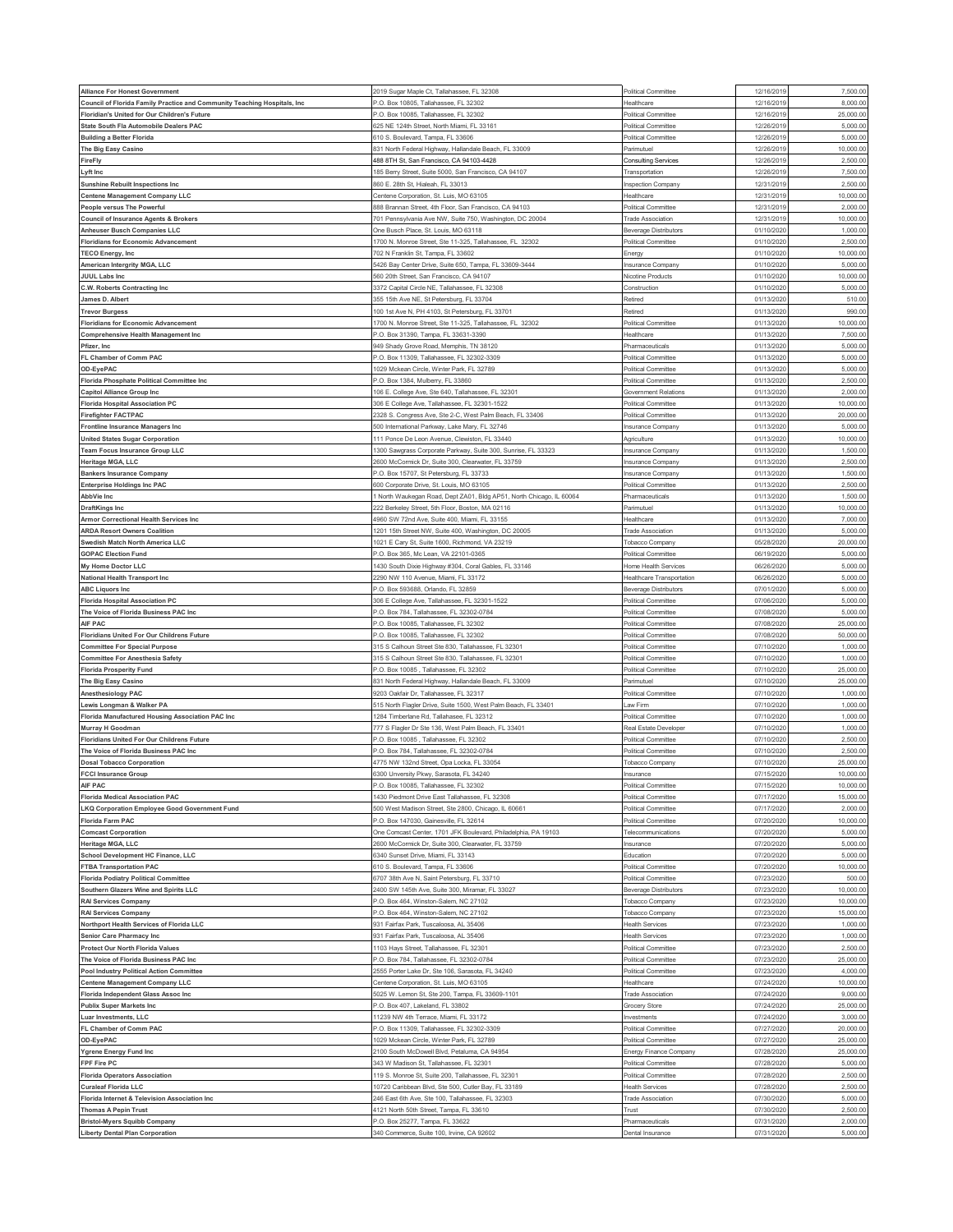| Alliance For Honest Government                                                | 2019 Sugar Maple Ct, Tallahassee, FL 32308                         | Political Committee          | 12/16/2019              | 7,500.00             |
|-------------------------------------------------------------------------------|--------------------------------------------------------------------|------------------------------|-------------------------|----------------------|
| Council of Florida Family Practice and Community Teaching Hospitals, Inc      | P.O. Box 10805, Tallahassee, FL 32302                              | Healthcare                   | 12/16/2019              | 8,000.00             |
| Floridian's United for Our Children's Future                                  | .O. Box 10085, Tallahassee, FL 32302                               | Political Committee          | 12/16/201               | 25,000.00            |
| State South Fla Automobile Dealers PAC                                        | 325 NE 124th Street, North Miami, FL 33161                         | Political Committee          | 12/26/201               | 5,000.00             |
| <b>Building a Better Florida</b>                                              | 10 S. Boulevard, Tampa, FL 33606                                   | Political Committee          | 12/26/201               | 5,000.0              |
| The Big Easy Casino                                                           | 831 North Federal Highway, Hallandale Beach, FL 33009              | Parimutuel                   | 12/26/2019              | 10,000.00            |
| FireFly                                                                       | 488 8TH St, San Francisco, CA 94103-4428                           | <b>Consulting Services</b>   | 12/26/201               | 2,500.00             |
| Lyft Inc                                                                      | 185 Berry Street, Suite 5000, San Francisco, CA 94107              | Transportation               | 12/26/2019              | 7,500.00             |
| <b>Sunshine Rebuilt Inspections Inc</b>                                       | 860 E. 28th St, Hialeah, FL 33013                                  | Inspection Company           | 12/31/201               | 2,500.0              |
| <b>Centene Management Company LLC</b>                                         | Centene Corporation, St. Luis, MO 63105                            | Healthcare                   | 12/31/2019              | 10,000.00            |
|                                                                               |                                                                    |                              |                         |                      |
| People versus The Powerful                                                    | 388 Brannan Street, 4th Floor, San Francisco, CA 94103             | Political Committee          | 12/31/201               | 2,000.0              |
| <b>Council of Insurance Agents &amp; Brokers</b>                              | 701 Pennsylvania Ave NW, Suite 750, Washington, DC 20004           | <b>Trade Association</b>     | 12/31/2019              | 10,000.00            |
| Anheuser Busch Companies LLC                                                  | One Busch Place, St. Louis, MO 63118                               | <b>Beverage Distributors</b> | 01/10/202               | 1,000.0              |
| <b>Floridians for Economic Advancement</b>                                    | 700 N. Monroe Street, Ste 11-325, Tallahassee, FL 32302            | Political Committee          | 01/10/2020              | 2,500.00             |
| <b>TECO Energy, Inc</b>                                                       | 702 N Franklin St, Tampa, FL 33602                                 | Energy                       | 01/10/202               | 10,000.00            |
| American Intergrity MGA, LLC                                                  | 5426 Bay Center Drive, Suite 650, Tampa, FL 33609-3444             | Insurance Company            | 01/10/2020              | 5,000.00             |
| <b>JUUL Labs Inc</b>                                                          | 560 20th Street, San Francisco, CA 94107                           | Nicotine Products            | 01/10/202               | 10,000.0             |
| C.W. Roberts Contracting Inc                                                  | 3372 Capital Circle NE, Tallahassee, FL 32308                      | Construction                 | 01/10/2020              | 5,000.00             |
| James D. Albert                                                               | 355 15th Ave NE, St Petersburg, FL 33704                           | Retired                      | 01/13/202               | 510.0                |
| <b>Trevor Burgess</b>                                                         | 100 1st Ave N, PH 4103, St Petersburg, FL 33701                    | Retired                      | 01/13/202               | 990.00               |
| <b>Floridians for Economic Advancement</b>                                    | 1700 N. Monroe Street, Ste 11-325, Tallahassee, FL 32302           | <b>Political Committee</b>   | 01/13/2020              | 10,000.00            |
| <b>Comprehensive Health Management Inc</b>                                    | 0. Box 31390, Tampa, FL 33631-3390                                 | Healthcare                   | 01/13/202               | 7,500.0              |
| Pfizer, Inc                                                                   | 949 Shady Grove Road, Memphis, TN 38120                            | Pharmaceuticals              | 01/13/202               | 5,000.0              |
| FL Chamber of Comm PAC                                                        | P.O. Box 11309, Tallahassee, FL 32302-3309                         | <b>Political Committee</b>   | 01/13/202               | 5,000.00             |
|                                                                               |                                                                    | Political Committee          |                         |                      |
| OD-EyePAC                                                                     | 1029 Mckean Circle, Winter Park, FL 32789                          |                              | 01/13/202               | 5,000.0              |
| Florida Phosphate Political Committee Inc                                     | .O. Box 1384, Mulberry, FL 33860                                   | Political Committee          | 01/13/202               | 2,500.0              |
| <b>Capitol Alliance Group Inc</b>                                             | 106 E. College Ave, Ste 640, Tallahassee, FL 32301                 | <b>Government Relations</b>  | 01/13/202               | 2,000.00             |
| <b>Florida Hospital Association PC</b>                                        | 606 E College Ave, Tallahassee, FL 32301-1522                      | Political Committee          | 01/13/202               | 10,000.00            |
| <b>Firefighter FACTPAC</b>                                                    | 2328 S. Congress Ave, Ste 2-C, West Palm Beach, FL 33406           | Political Committee          | 01/13/202               | 20,000.00            |
| Frontline Insurance Managers Inc                                              | 00 International Parkway, Lake Mary, FL 32746                      | Insurance Company            | 01/13/202               | 5,000.0              |
| <b>United States Sugar Corporation</b>                                        | 11 Ponce De Leon Avenue, Clewiston, FL 33440                       | Agriculture                  | 01/13/202               | 10,000.00            |
| <b>Team Focus Insurance Group LLC</b>                                         | 1300 Sawgrass Corporate Parkway, Suite 300, Sunrise, FL 33323      | Insurance Company            | 01/13/202               | 1,500.00             |
| Heritage MGA, LLC                                                             | 2600 McCormick Dr, Suite 300, Clearwater, FL 33759                 | Insurance Company            | 01/13/202               | 2,500.00             |
| <b>Bankers Insurance Company</b>                                              | P.O. Box 15707, St Petersburg, FL 33733                            | Insurance Company            | 01/13/202               | 1,500.0              |
| <b>Enterprise Holdings Inc PAC</b>                                            | 600 Corporate Drive, St. Louis, MO 63105                           | Political Committee          | 01/13/202               | 2,500.00             |
| AbbVie Inc                                                                    | North Waukegan Road, Dept ZA01, Bldg AP51, North Chicago, IL 60064 | Pharmaceuticals              | 01/13/202               | 1,500.00             |
| <b>DraftKings Inc</b>                                                         | 222 Berkeley Street, 5th Floor, Boston, MA 02116                   | Parimutuel                   | 01/13/202               | 10,000.00            |
| Armor Correctional Health Services Inc                                        | 4960 SW 72nd Ave, Suite 400, Miami, FL 33155                       | Healthcare                   | 01/13/202               | 7,000.0              |
|                                                                               | 201 15th Street NW, Suite 400, Washington, DC 20005                |                              | 01/13/202               | 5,000.0              |
| <b>ARDA Resort Owners Coalition</b>                                           |                                                                    | <b>Trade Association</b>     |                         |                      |
| wedish Match North America LLC                                                | 021 E Cary St, Suite 1600, Richmond, VA 23219                      | Tobacco Company              | 05/28/2020              | 20,000.00            |
| <b>GOPAC Election Fund</b>                                                    | P.O. Box 365, Mc Lean, VA 22101-0365                               | Political Committee          | 06/19/2020              | 5,000.00             |
| My Home Doctor LLC                                                            | 430 South Dixie Highway #304, Coral Gables, FL 33146               | Home Health Services         | 06/26/202               | 5,000.0              |
| National Health Transport Inc                                                 | 290 NW 110 Avenue, Miami, FL 33172                                 | Healthcare Transportation    | 06/26/2020              | 5,000.00             |
| <b>ABC Liquors Inc</b>                                                        | -. O. Box 593688, Orlando, FL 32859                                | <b>Beverage Distributors</b> | 07/01/202               | 5,000.00             |
| <b>Florida Hospital Association PC</b>                                        | 306 E College Ave, Tallahassee, FL 32301-1522                      | Political Committee          | 07/06/2020              | 5,000.00             |
| The Voice of Florida Business PAC Inc                                         | P.O. Box 784, Tallahassee, FL 32302-0784                           | <b>Political Committee</b>   | 07/08/202               | 5,000.0              |
| AIF PAC                                                                       | <sup>2</sup> .O. Box 10085, Tallahassee, FL 32302                  | Political Committee          | 07/08/202               | 25,000.0             |
| Floridians United For Our Childrens Future                                    | <sup>2</sup> .O. Box 10085, Tallahassee, FL 32302                  | Political Committee          | 07/08/202               | 50,000.0             |
| <b>Committee For Special Purpose</b>                                          | 315 S Calhoun Street Ste 830, Tallahassee, FL 32301                | Political Committee          | 07/10/202               | 1,000.00             |
| <b>Committee For Anesthesia Safety</b>                                        | 315 S Calhoun Street Ste 830, Tallahassee, FL 32301                | Political Committee          | 07/10/202               | 1,000.0              |
| <b>Florida Prosperity Fund</b>                                                | .O. Box 10085, Tallahassee, FL 32302                               | Political Committee          | 07/10/202               | 25,000.0             |
| The Big Easy Casino                                                           | 331 North Federal Highway, Hallandale Beach, FL 33009              | Parimutuel                   | 07/10/202               | 25,000.00            |
| Anesthesiology PAC                                                            | 3203 Oakfair Dr, Tallahassee, FL 32317                             | Political Committee          | 07/10/202               | 1,000.00             |
|                                                                               |                                                                    |                              |                         |                      |
| Lewis Longman & Walker PA                                                     | 515 North Flagler Drive, Suite 1500, West Palm Beach, FL 33401     | Law Firm                     | 07/10/202               | 1,000.00             |
| Florida Manufactured Housing Association PAC Inc                              | 284 Timberlane Rd, Tallahasee, FL 32312                            | Political Committee          | 07/10/202               | 1,000.0              |
| Murray H Goodman                                                              | 777 S Flagler Dr Ste 136, West Palm Beach, FL 33401                | Real Estate Developer        |                         |                      |
|                                                                               |                                                                    |                              | 07/10/2020              | 1,000.00             |
| Floridians United For Our Childrens Future                                    | .O. Box 10085, Tallahassee, FL 32302                               | Political Committee          | 07/10/202               | 2,500.00             |
| The Voice of Florida Business PAC Inc                                         | 0. Box 784, Tallahassee, FL 32302-0784                             | Political Committee          | 07/10/202               | 2,500.00             |
| <b>Dosal Tobacco Corporation</b>                                              | 1775 NW 132nd Street, Opa Locka, FL 33054                          | Tobacco Company              | 07/10/202               | 25,000.0             |
| <b>FCCI Insurance Group</b>                                                   | 6300 Unversity Pkwy, Sarasota, FL 34240                            | Insurance                    | 07/15/2020              | 10,000.00            |
| AIF PAC                                                                       | P.O. Box 10085, Tallahassee, FL 32302                              | Political Committee          | 07/15/2020              | 10,000.00            |
| <b>Florida Medical Association PAC</b>                                        | 1430 Piedmont Drive East Tallahassee, FL 32308                     | Political Committee          | 07/17/2020              | 15,000.00            |
|                                                                               | 500 West Madison Street, Ste 2800, Chicago, IL 60661               | Political Committee          | 07/17/202               | 2,000.00             |
| LKQ Corporation Employee Good Government Fund<br><b>Florida Farm PAC</b>      | P.O. Box 147030, Gainesville, FL 32614                             |                              | 07/20/2020              |                      |
|                                                                               |                                                                    | Political Committee          |                         | 10,000.00            |
| <b>Comcast Corporation</b>                                                    | One Comcast Center, 1701 JFK Boulevard, Philadelphia, PA 19103     | Telecommunications           | 07/20/202               | 5,000.00             |
| Heritage MGA, LLC                                                             | 2600 McCormick Dr, Suite 300, Clearwater, FL 33759                 | Insurance                    | 07/20/2020              | 5,000.00             |
| School Development HC Finance, LLC                                            | 3340 Sunset Drive, Miami, FL 33143                                 | Education                    | 07/20/202               | 5,000.0              |
| <b>FTBA Transportation PAC</b>                                                | 310 S. Boulevard, Tampa, FL 33606                                  | Political Committee          | 07/20/2020              | 10,000.00            |
| <b>Florida Podiatry Political Committee</b>                                   | 3707 38th Ave N, Saint Petersburg, FL 33710                        | Political Committee          | 07/23/2020              | 500.00               |
| Southern Glazers Wine and Spirits LLC                                         | 2400 SW 145th Ave, Suite 300, Miramar, FL 33027                    | Beverage Distributors        | 07/23/2020              | 10,000.00            |
| <b>RAI Services Company</b>                                                   | P.O. Box 464, Winston-Salem, NC 27102                              | Tobacco Company              | 07/23/2020              | 10,000.00            |
| <b>RAI Services Company</b>                                                   | P.O. Box 464, Winston-Salem, NC 27102                              | Tobacco Company              | 07/23/2020              | 15,000.00            |
| Northport Health Services of Florida LLC                                      | 931 Fairfax Park, Tuscaloosa, AL 35406                             | <b>Health Services</b>       | 07/23/2020              | 1,000.00             |
| Senior Care Pharmacy Inc                                                      | 931 Fairfax Park, Tuscaloosa, AL 35406                             | <b>Health Services</b>       | 07/23/2020              | 1,000.00             |
| <b>Protect Our North Florida Values</b>                                       | 1103 Hays Street, Tallahassee, FL 32301                            | Political Committee          | 07/23/2020              | 2,500.00             |
| The Voice of Florida Business PAC Inc                                         | P.O. Box 784, Tallahassee, FL 32302-0784                           | Political Committee          | 07/23/2020              | 25,000.00            |
| <b>Pool Industry Political Action Committee</b>                               | 2555 Porter Lake Dr, Ste 106, Sarasota, FL 34240                   | Political Committee          | 07/23/202               | 4,000.00             |
| <b>Centene Management Company LLC</b>                                         | Centene Corporation, St. Luis, MO 63105                            | Healthcare                   | 07/24/2020              | 10,000.00            |
| Florida Independent Glass Assoc Inc                                           | 5025 W. Lemon St, Ste 200, Tampa, FL 33609-1101                    | <b>Trade Association</b>     | 07/24/2020              | 9,000.00             |
| <b>Publix Super Markets Inc</b>                                               | .O. Box 407, Lakeland, FL 33802                                    | Grocery Store                | 07/24/202               | 25,000.00            |
|                                                                               |                                                                    |                              |                         |                      |
| Luar Investments, LLC                                                         | 1239 NW 4th Terrace, Miami, FL 33172                               | Investments                  | 07/24/2020              | 3,000.00             |
| FL Chamber of Comm PAC                                                        | <sup>2</sup> .O. Box 11309, Tallahassee, FL 32302-3309             | Political Committee          | 07/27/202               | 20,000.00            |
| OD-EyePAC                                                                     | 1029 Mckean Circle, Winter Park, FL 32789                          | Political Committee          | 07/27/2020              | 25,000.00            |
| Ygrene Energy Fund Inc                                                        | 100 South McDowell Blvd, Petaluma, CA 94954                        | Energy Finance Company       | 07/28/202               | 25,000.0             |
| FPF Fire PC                                                                   | 343 W Madison St, Tallahassee, FL 32301                            | Political Committee          | 07/28/2020              | 5,000.00             |
| <b>Florida Operators Association</b>                                          | 119 S. Monroe St, Suite 200, Tallahassee, FL 32301                 | Political Committee          | 07/28/202               | 2,500.00             |
| <b>Curaleaf Florida LLC</b>                                                   | 10720 Caribbean Blvd, Ste 500, Cutler Bay, FL 33189                | <b>Health Services</b>       | 07/28/2020              | 2,500.00             |
| Florida Internet & Television Association Inc                                 | 246 East 6th Ave, Ste 100, Tallahassee, FL 32303                   | <b>Trade Association</b>     | 07/30/202               | 5,000.00             |
| <b>Thomas A Pepin Trust</b>                                                   | 4121 North 50th Street, Tampa, FL 33610                            | Trust                        | 07/30/2020              | 2,500.00             |
| <b>Bristol-Myers Squibb Company</b><br><b>Liberty Dental Plan Corporation</b> | P.O. Box 25277, Tampa, FL 33622                                    | Pharmaceuticals              | 07/31/202<br>07/31/2020 | 2,000.00<br>5,000.00 |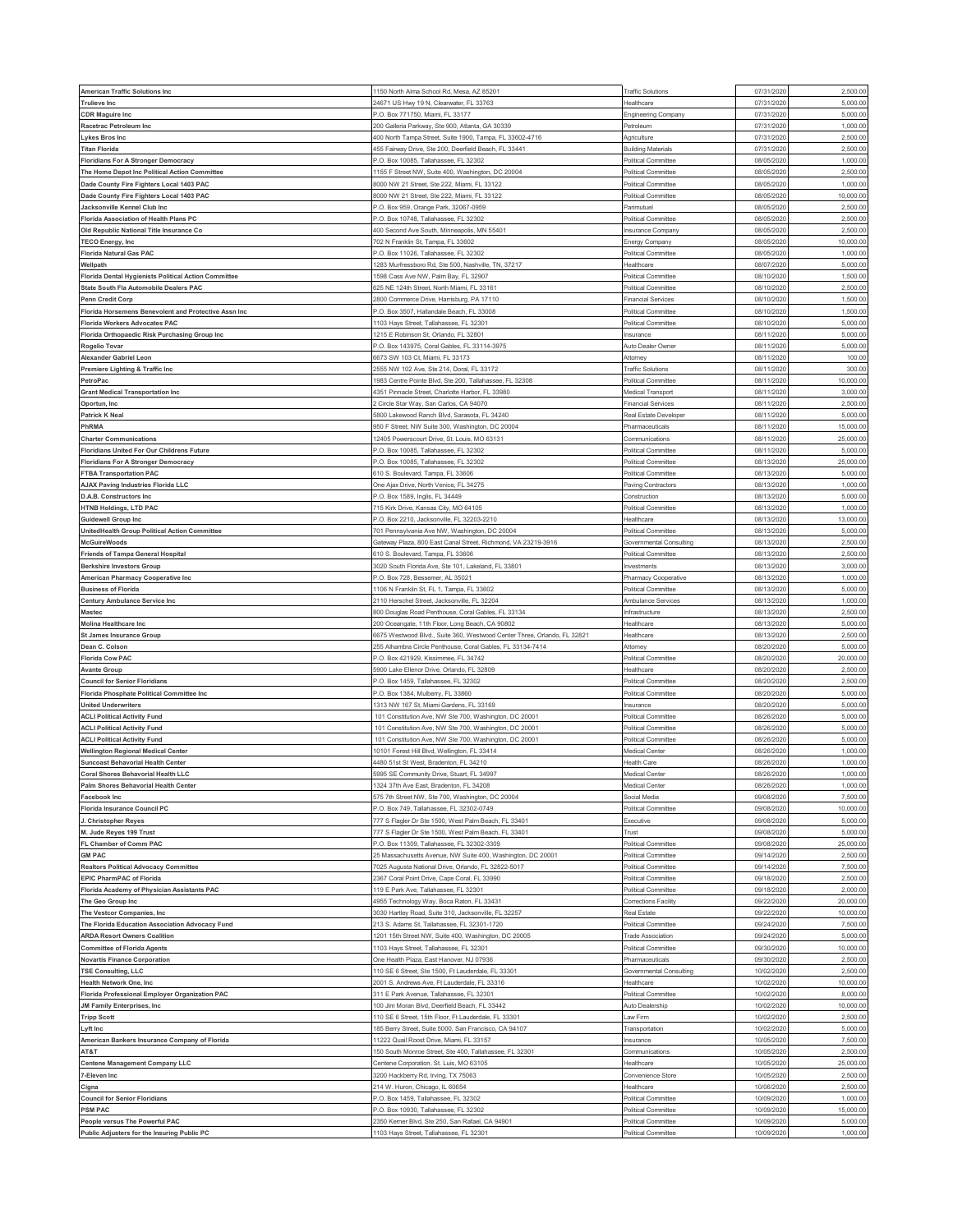| American Traffic Solutions Inc                                            | 1150 North Alma School Rd, Mesa, AZ 85201                                                        | <b>Traffic Solutions</b>                        | 07/31/202                | 2,500.00               |
|---------------------------------------------------------------------------|--------------------------------------------------------------------------------------------------|-------------------------------------------------|--------------------------|------------------------|
| <b>Trulieve Inc</b>                                                       | 24671 US Hwy 19 N, Clearwater, FL 33763                                                          | Healthcare                                      | 07/31/2020               | 5,000.00               |
| <b>CDR Maguire Inc</b>                                                    | P.O. Box 771750, Miami, FL 33177                                                                 | Engineering Company                             | 07/31/202                | 5,000.00               |
| Racetrac Petroleum Inc                                                    | 200 Galleria Parkway, Ste 900, Atlanta, GA 30339                                                 | Petroleum                                       | 07/31/202                | 1,000.00               |
| Lykes Bros Inc                                                            | 400 North Tampa Street, Suite 1900, Tampa, FL 33602-4716                                         | Agriculture                                     | 07/31/202                | 2,500.0                |
| <b>Titan Florida</b>                                                      | 455 Fairway Drive, Ste 200, Deerfield Beach, FL 33441                                            | <b>Building Materials</b>                       | 07/31/2020               | 2,500.00               |
| <b>Floridians For A Stronger Democracy</b>                                | <sup>2</sup> .O. Box 10085, Tallahassee, FL 32302                                                | Political Committee                             | 08/05/202                | 1,000.00               |
| The Home Depot Inc Political Action Committee                             | 1155 F Street NW, Suite 400, Washington, DC 20004                                                | Political Committee                             | 08/05/2020               | 2,500.00               |
| Dade County Fire Fighters Local 1403 PAC                                  | 8000 NW 21 Street, Ste 222, Miami, FL 33122                                                      | Political Committee                             | 08/05/202                | 1,000.0                |
| Dade County Fire Fighters Local 1403 PAC                                  | 8000 NW 21 Street, Ste 222, Miami, FL 33122                                                      | Political Committee                             | 08/05/2020               | 10,000.00              |
| Jacksonville Kennel Club Inc                                              | P.O. Box 959, Orange Park, 32067-0959                                                            | Parimutuel                                      | 08/05/202                | 2,500.00               |
| <b>Florida Association of Health Plans PC</b>                             | P.O. Box 10748. Tallahassee. FL 32302                                                            | Political Committee                             | 08/05/2020               | 2,500.00<br>2,500.0    |
| Old Republic National Title Insurance Co<br><b>TECO Energy, Inc</b>       | 400 Second Ave South, Minneapolis, MN 55401                                                      | Insurance Company                               | 08/05/202<br>08/05/2020  | 10,000.00              |
| <b>Florida Natural Gas PAC</b>                                            | 702 N Franklin St, Tampa, FL 33602<br>P.O. Box 11026, Tallahassee, FL 32302                      | Energy Company<br>Political Committee           | 08/05/202                | 1,000.00               |
| Wellpath                                                                  | 1283 Murfressboro Rd, Ste 500, Nashville, TN, 37217                                              | Healthcare                                      | 08/07/2020               | 5,000.00               |
| Florida Dental Hygienists Political Action Committee                      | 1598 Cass Ave NW, Palm Bay, FL 32907                                                             | Political Committee                             | 08/10/202                | 1,500.0                |
| State South Fla Automobile Dealers PAC                                    | 625 NE 124th Street, North Miami, FL 33161                                                       | Political Committee                             | 08/10/2020               | 2,500.00               |
| <b>Penn Credit Corp</b>                                                   | 2800 Commerce Drive, Harrisburg, PA 17110                                                        | <b>Financial Services</b>                       | 08/10/202                | 1,500.0                |
| Florida Horsemens Benevolent and Protective Assn Inc                      | P.O. Box 3507, Hallandale Beach, FL 33008                                                        | Political Committee                             | 08/10/2020               | 1,500.00               |
| <b>Florida Workers Advocates PAC</b>                                      | 1103 Hays Street, Tallahassee, FL 32301                                                          | Political Committee                             | 08/10/202                | 5,000.00               |
| Florida Orthopaedic Risk Purchasing Group Inc                             | 1215 E Robinson St, Orlando, FL 32801                                                            | nsurance                                        | 08/11/202                | 5,000.0                |
| Rogelio Tovar                                                             | P.O. Box 143975, Coral Gables, FL 33114-3975                                                     | Auto Dealer Owner                               | 08/11/202                | 5,000.00               |
| <b>Alexander Gabriel Leon</b>                                             | 6673 SW 103 Ct, Miami, FL 33173                                                                  | Attorney                                        | 08/11/2020               | 100.00                 |
| Premiere Lighting & Traffic Inc                                           | 2555 NW 102 Ave, Ste 214, Doral, FL 33172                                                        | <b>Traffic Solutions</b>                        | 08/11/202                | 300.00                 |
| PetroPac                                                                  | 1983 Centre Pointe Blvd, Ste 200, Tallahassee, FL 32308                                          | Political Committee                             | 08/11/202                | 10,000.0               |
| <b>Grant Medical Transportation Inc</b>                                   | 4351 Pinnacle Street, Charlotte Harbor, FL 33980                                                 | Medical Transport                               | 08/11/202                | 3,000.00               |
| Oportun, Inc                                                              | 2 Circle Star Way, San Carlos, CA 94070                                                          | <b>Financial Services</b>                       | 08/11/202                | 2,500.00               |
| <b>Patrick K Neal</b>                                                     | 5800 Lakewood Ranch Blvd, Sarasota, FL 34240                                                     | Real Estate Developer                           | 08/11/2020               | 5,000.00               |
| PhRMA<br><b>Charter Communications</b>                                    | 950 F Street, NW Suite 300, Washington, DC 20004<br>12405 Powerscourt Drive, St. Louis, MO 63131 | Pharmaceuticals<br>Communications               | 08/11/202<br>08/11/202   | 15,000.00<br>25,000.00 |
| Floridians United For Our Childrens Future                                | P.O. Box 10085, Tallahassee, FL 32302                                                            | Political Committee                             | 08/11/202                | 5,000.0                |
| <b>Floridians For A Stronger Democracy</b>                                | P.O. Box 10085, Tallahassee, FL 32302                                                            | Political Committee                             | 08/13/202                | 25,000.00              |
| <b>FTBA Transportation PAC</b>                                            | 610 S. Boulevard, Tampa, FL 33606                                                                | Political Committee                             | 08/13/202                | 5,000.0                |
| AJAX Paving Industries Florida LLC                                        | One Ajax Drive, North Venice, FL 34275                                                           | Paving Contractors                              | 08/13/2020               | 1,000.00               |
| D.A.B. Constructors Inc                                                   | P.O. Box 1589, Inglis, FL 34449                                                                  | Construction                                    | 08/13/202                | 5,000.00               |
| <b>HTNB Holdings, LTD PAC</b>                                             | 715 Kirk Drive, Kansas City, MO 64105                                                            | Political Committee                             | 08/13/2020               | 1,000.00               |
| <b>Guidewell Group Inc</b>                                                | P.O. Box 2210, Jacksonville, FL 32203-2210                                                       | Healthcare                                      | 08/13/202                | 13,000.0               |
| UnitedHealth Group Political Action Committee                             | 701 Pennsylvania Ave NW, Washington, DC 20004                                                    | Political Committee                             | 08/13/2020               | 5,000.00               |
| McGuireWoods                                                              | Gateway Plaza, 800 East Canal Street, Richmond, VA 23219-3916                                    | Governmental Consulting                         | 08/13/202                | 2,500.0                |
| <b>Friends of Tampa General Hospital</b>                                  | 610 S. Boulevard, Tampa, FL 33606                                                                | Political Committee                             | 08/13/2020               | 2,500.00               |
| <b>Berkshire Investors Group</b>                                          | 3020 South Florida Ave, Ste 101, Lakeland, FL 33801                                              | nvestments                                      | 08/13/202                | 3,000.0                |
| American Pharmacy Cooperative Inc                                         | P.O. Box 728, Bessemer, AL 35021                                                                 | Pharmacy Cooperative                            | 08/13/2020               | 1,000.00               |
| <b>Business of Florida</b><br>Century Ambulance Service Inc               | 1106 N Franklin St, FL 1, Tampa, FL 33602<br>2110 Herschel Street, Jacksonville, FL 32204        | Political Committe<br>Ambulance Services        | 08/13/202<br>08/13/2020  | 5,000.00<br>1,000.00   |
| Mastec                                                                    | 800 Douglas Road Penthouse, Coral Gables, FL 33134                                               | Infrastructure                                  | 08/13/202                | 2,500.0                |
| <b>Molina Healthcare Inc</b>                                              | 200 Oceangate, 11th Floor, Long Beach, CA 90802                                                  | Healthcare                                      | 08/13/2020               | 5,000.0                |
| <b>St James Insurance Group</b>                                           | 6675 Westwood Blvd., Suite 360, Westwood Center Three, Orlando, FL 32821                         | Healthcare                                      | 08/13/202                | 2,500.00               |
| Dean C. Colson                                                            | 255 Alhambra Circle Penthouse, Coral Gables, FL 33134-7414                                       | Attorney                                        | 08/20/202                | 5,000.00               |
| <b>Florida Cow PAC</b>                                                    | P.O. Box 421929, Kissimmee, FL 34742                                                             | Political Committee                             | 08/20/2020               | 20,000.00              |
| <b>Avante Group</b>                                                       | 5900 Lake Ellenor Drive, Orlando, FL 32809                                                       | Healthcare                                      | 08/20/202                | 2,500.0                |
| <b>Council for Senior Floridians</b>                                      | P.O. Box 1459, Tallahassee, FL 32302                                                             | Political Committee                             | 08/20/202                | 2,500.00               |
| Florida Phosphate Political Committee Inc                                 | P.O. Box 1384, Mulberry, FL 33860                                                                | Political Committee                             | 08/20/202                | 5,000.00               |
| <b>United Underwriters</b>                                                | 1313 NW 167 St, Miami Gardens, FL 33169                                                          | Insurance                                       |                          | 5,000.00               |
|                                                                           |                                                                                                  |                                                 | 08/20/2020               |                        |
| <b>ACLI Political Activity Fund</b>                                       | 101 Constitution Ave, NW Ste 700, Washington, DC 20001                                           | Political Committee                             | 08/26/202                | 5,000.0                |
| <b>ACLI Political Activity Fund</b>                                       | 101 Constitution Ave, NW Ste 700, Washington, DC 20001                                           | Political Committee                             | 08/26/2020               | 5,000.00               |
| <b>ACLI Political Activity Fund</b>                                       | 101 Constitution Ave, NW Ste 700, Washington, DC 20001                                           | Political Committee                             | 08/26/202                | 5,000.00               |
| <b>Wellington Regional Medical Center</b>                                 | 10101 Forest Hill Blvd, Wellington, FL 33414                                                     | Medical Center                                  | 08/26/202                | 1,000.00               |
| <b>Suncoast Behavorial Health Center</b>                                  | 4480 51st St West, Bradenton, FL 34210                                                           | Health Care                                     | 08/26/202                | 1,000.0                |
| <b>Coral Shores Behavorial Health LLC</b>                                 | 5995 SE Community Drive, Stuart, FL 34997                                                        | Medical Center                                  | 08/26/2020               | 1,000.00               |
| Palm Shores Behavorial Health Center                                      | 1324 37th Ave East, Bradenton, FL 34208<br>575 7th Street NW, Ste 700, Washington, DC 20004      | Medical Center                                  | 08/26/2020               | 1,000.00               |
| Facebook Inc<br>Florida Insurance Council PC                              | P.O. Box 749, Tallahassee, FL 32302-0749                                                         | Social Media<br>Political Committee             | 09/08/2020<br>09/08/202  | 7,500.00<br>10,000.00  |
| J. Christopher Reyes                                                      | 777 S Flagler Dr Ste 1500, West Palm Beach, FL 33401                                             | Executive                                       | 09/08/2020               | 5,000.00               |
| M. Jude Reyes 199 Trust                                                   | 777 S Flagler Dr Ste 1500, West Palm Beach, FL 33401                                             | Trust                                           | 09/08/202                | 5,000.00               |
| FL Chamber of Comm PAC                                                    | P.O. Box 11309, Tallahassee, FL 32302-3309                                                       | Political Committee                             | 09/08/2020               | 25,000.00              |
| <b>GM PAC</b>                                                             | 25 Massachusetts Avenue, NW Suite 400, Washington, DC 20001                                      | Political Committee                             | 09/14/202                | 2,500.0                |
| <b>Realtors Political Advocacy Committee</b>                              | 7025 Augusta National Drive, Orlando, FL 32822-5017                                              | Political Committee                             | 09/14/2020               | 7,500.00               |
| <b>EPIC PharmPAC of Florida</b>                                           | 2367 Coral Point Drive, Cape Coral, FL 33990                                                     | Political Committee                             | 09/18/202                | 2,500.00               |
| Florida Academy of Physician Assistants PAC                               | 119 E Park Ave, Tallahassee, FL 32301                                                            | Political Committee                             | 09/18/2020               | 2,000.00               |
| The Geo Group Inc                                                         | 4955 Technology Way, Boca Raton, FL 33431                                                        | Corrections Facility                            | 09/22/2020               | 20,000.00              |
| The Vestcor Companies, Inc.                                               | 3030 Hartley Road, Suite 310, Jacksonville, FL 32257                                             | Real Estate                                     | 09/22/2020               | 10,000.00              |
| The Florida Education Association Advocacy Fund                           | 213 S. Adams St, Tallahassee, FL 32301-1720                                                      | Political Committee<br><b>Trade Association</b> | 09/24/202                | 7,500.00               |
| <b>ARDA Resort Owners Coalition</b>                                       | 1201 15th Street NW, Suite 400, Washington, DC 20005                                             | Political Committee                             | 09/24/2020               | 5,000.00               |
| <b>Committee of Florida Agents</b><br><b>Novartis Finance Corporation</b> | 1103 Hays Street, Tallahassee, FL 32301<br>One Health Plaza, East Hanover, NJ 07936              | Pharmaceuticals                                 | 09/30/2020<br>09/30/2020 | 10,000.00<br>2,500.00  |
| <b>TSE Consulting, LLC</b>                                                | 110 SE 6 Street. Ste 1500. Ft Lauderdale. FL 33301                                               | Governmental Consulting                         | 10/02/2020               | 2,500.00               |
| <b>Health Network One, Inc.</b>                                           | 2001 S. Andrews Ave, Ft Lauderdale, FL 33316                                                     | Healthcare                                      | 10/02/2020               | 10,000.00              |
| Florida Professional Employer Organization PAC                            | 311 E Park Avenue, Tallahassee, FL 32301                                                         | Political Committee                             | 10/02/2020               | 8,000.00               |
| JM Family Enterprises, Inc.                                               | 100 Jim Moran Blvd, Deerfield Beach, FL 33442                                                    | Auto Dealership                                 | 10/02/2020               | 10,000.00              |
| <b>Tripp Scott</b>                                                        | 110 SE 6 Street, 15th Floor, Ft Lauderdale, FL 33301                                             | Law Firm                                        | 10/02/2020               | 2,500.00               |
| Lyft Inc                                                                  | 185 Berry Street, Suite 5000, San Francisco, CA 94107                                            | Transportation                                  | 10/02/202                | 5,000.00               |
| American Bankers Insurance Company of Florida                             | 11222 Quail Roost Drive, Miami, FL 33157                                                         | nsurance                                        | 10/05/2020               | 7,500.00               |
| AT&T                                                                      | 150 South Monroe Street, Ste 400, Tallahassee, FL 32301                                          | Communications                                  | 10/05/202                | 2,500.00               |
| <b>Centene Management Company LLC</b>                                     | Centene Corporation, St. Luis, MO 63105                                                          | Healthcare                                      | 10/05/2020               | 25,000.00              |
| 7-Eleven Inc                                                              | 3200 Hackberry Rd, Irving, TX 75063                                                              | Convenience Store                               | 10/05/202                | 2,500.00               |
| Cigna                                                                     | 214 W. Huron, Chicago, IL 60654                                                                  | Healthcare                                      | 10/06/2020               | 2,500.00               |
| <b>Council for Senior Floridians</b><br><b>PSM PAC</b>                    | P.O. Box 1459, Tallahassee, FL 32302<br>P.O. Box 10930, Tallahassee, FL 32302                    | Political Committee<br>Political Committee      | 10/09/202<br>10/09/2020  | 1,000.00<br>15,000.00  |
| People versus The Powerful PAC                                            | 2350 Kerner Blvd, Ste 250, San Rafael, CA 94901                                                  | Political Committee                             | 10/09/202                | 5,000.00               |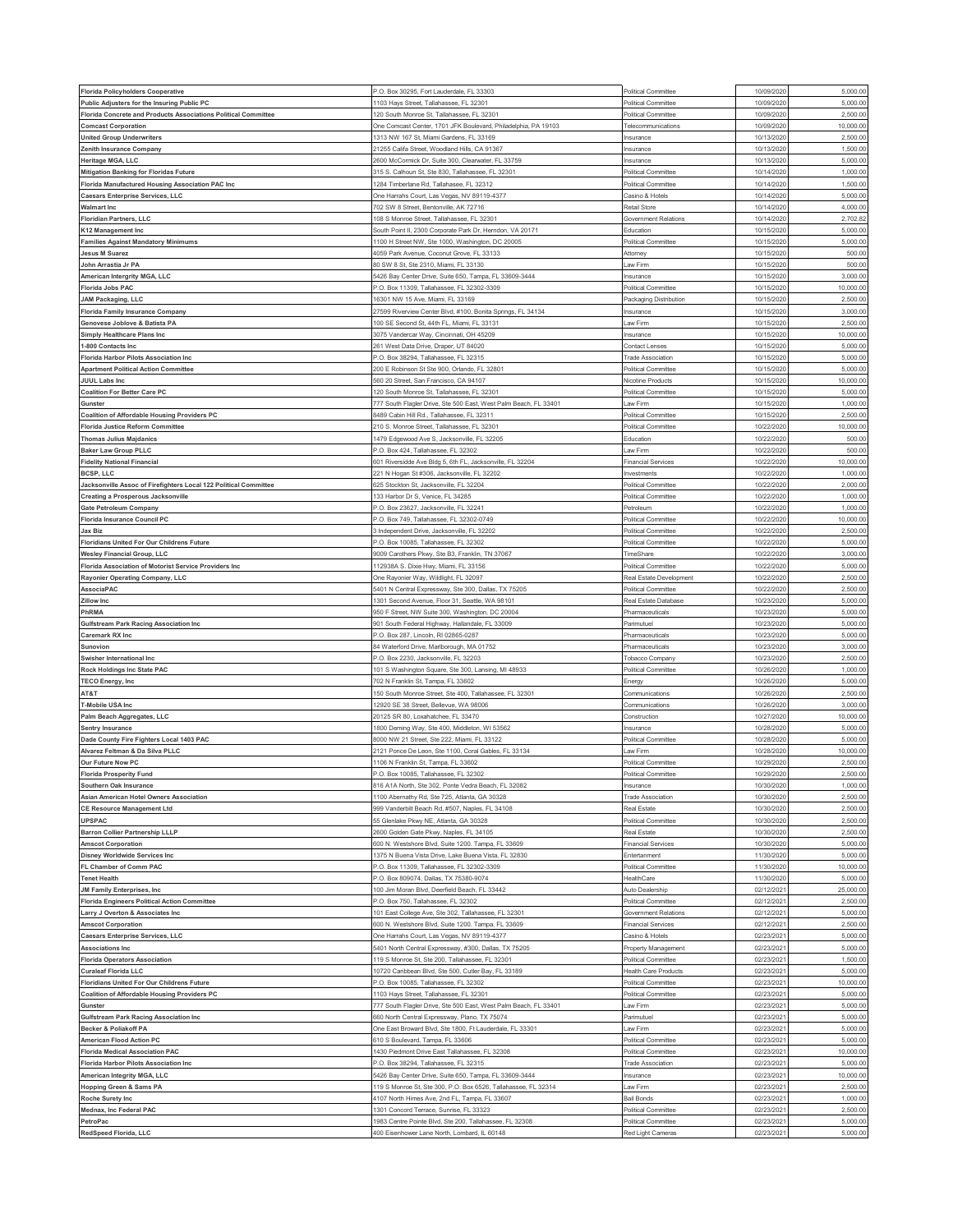| <b>Florida Policyholders Cooperative</b>                         | P.O. Box 30295, Fort Lauderdale, FL 33303                                                              | Political Committee                        | 10/09/2020              | 5,000.00             |
|------------------------------------------------------------------|--------------------------------------------------------------------------------------------------------|--------------------------------------------|-------------------------|----------------------|
| Public Adjusters for the Insuring Public PC                      | 1103 Havs Street, Tallahassee, FL 32301                                                                | Political Committee                        | 10/09/202               | 5,000.00             |
| Florida Concrete and Products Associations Political Committee   | 120 South Monroe St, Tallahassee, FL 32301                                                             | Political Committee                        | 10/09/202               | 2,500.00             |
| <b>Comcast Corporation</b>                                       | One Comcast Center, 1701 JFK Boulevard, Philadelphia, PA 19103                                         | Telecommunications                         | 10/09/202               | 10,000.00            |
| <b>United Group Underwriters</b>                                 | 313 NW 167 St, Miami Gardens, FL 33169                                                                 | Insurance                                  | 10/13/202               | 2,500.0              |
| Zenith Insurance Company                                         | 21255 Califa Street, Woodland Hills, CA 91367                                                          | Insurance                                  | 10/13/202               | 1,500.00             |
| Heritage MGA, LLC                                                | 600 McCormick Dr, Suite 300, Clearwater, FL 33759                                                      | Insurance                                  | 10/13/202               | 5,000.00             |
| <b>Mitigation Banking for Floridas Future</b>                    | 315 S. Calhoun St, Ste 830, Tallahassee, FL 32301                                                      | Political Committee                        | 10/14/2020              | 1,000.00             |
| Florida Manufactured Housing Association PAC Inc                 | 284 Timberlane Rd, Tallahasee, FL 32312                                                                | Political Committee                        | 10/14/202               | 1,500.0              |
| <b>Caesars Enterprise Services, LLC</b>                          | One Harrahs Court, Las Vegas, NV 89119-4377                                                            | Casino & Hotels                            | 10/14/202               | 5,000.00             |
| <b>Walmart Inc</b>                                               | 702 SW 8 Street, Bentonville, AK 72716                                                                 | <b>Retail Store</b>                        | 10/14/202               | 4,000.00             |
| <b>Floridian Partners, LLC</b>                                   | 108 S Monroe Street, Tallahassee, FL 32301                                                             | Government Relations                       | 10/14/202               | 2,702.82             |
| K12 Management Inc                                               | outh Point II, 2300 Corporate Park Dr, Herndon, VA 20171                                               | Education                                  | 10/15/202               | 5,000.0              |
| <b>Families Against Mandatory Minimums</b>                       | 1100 H Street NW, Ste 1000, Washington, DC 20005                                                       | Political Committee                        | 10/15/2020              | 5,000.00             |
| <b>Jesus M Suarez</b>                                            | 4059 Park Avenue, Coconut Grove, FL 33133                                                              | Attorney                                   | 10/15/202               | 500.00               |
|                                                                  | 80 SW 8 St, Ste 2310, Miami, FL 33130                                                                  |                                            |                         | 500.00               |
| John Arrastia Jr PA                                              |                                                                                                        | Law Firm                                   | 10/15/2020              |                      |
| American Intergrity MGA, LLC<br><b>Florida Jobs PAC</b>          | 5426 Bay Center Drive, Suite 650, Tampa, FL 33609-3444<br>P.O. Box 11309, Tallahassee, FL 32302-3309   | Insurance<br>Political Committee           | 10/15/202<br>10/15/2020 | 3,000.0<br>10,000.00 |
|                                                                  |                                                                                                        |                                            | 10/15/202               | 2,500.0              |
| JAM Packaging, LLC                                               | 16301 NW 15 Ave, Miami, FL 33169                                                                       | Packaging Distribution                     |                         | 3,000.00             |
| <b>Florida Family Insurance Company</b>                          | 27599 Riverview Center Blvd, #100, Bonita Springs, FL 34134                                            | Insurance                                  | 10/15/2020              |                      |
| Genovese Joblove & Batista PA                                    | 100 SE Second St, 44th FL, Miami, FL 33131                                                             | Law Firm                                   | 10/15/202               | 2,500.0              |
| Simply Healthcare Plans Inc                                      | 3075 Vandercar Way, Cincinnati, OH 45209                                                               | Insurance                                  | 10/15/2020              | 10,000.00            |
| 1-800 Contacts Inc                                               | 261 West Data Drive, Draper, UT 84020                                                                  | <b>Contact Lenses</b>                      | 10/15/202               | 5,000.00             |
| <b>Florida Harbor Pilots Association Inc</b>                     | <sup>2</sup> .O. Box 38294, Tallahassee, FL 32315                                                      | <b>Trade Association</b>                   | 10/15/2020              | 5,000.00             |
| <b>Apartment Political Action Committee</b>                      | 200 E Robinson St Ste 900, Orlando, FL 32801                                                           | Political Committee                        | 10/15/202               | 5,000.0              |
| <b>JUUL Labs Inc</b>                                             | 560 20 Street, San Francisco, CA 94107                                                                 | Nicotine Products                          | 10/15/2020              | 10,000.0             |
| <b>Coalition For Better Care PC</b>                              | 120 South Monroe St. Tallahassee. FL 32301                                                             | <b>Political Committee</b>                 | 10/15/2020              | 5,000.00             |
| Gunster                                                          | 777 South Flagler Drive, Ste 500 East, West Palm Beach, FL 33401                                       | Law Firm                                   | 10/15/2020              | 1,000.00             |
| <b>Coalition of Affordable Housing Providers PC</b>              | 8489 Cabin Hill Rd., Tallahassee, FL 32311                                                             | Political Committee                        | 10/15/202               | 2,500.0              |
| <b>Florida Justice Reform Committee</b>                          | 210 S. Monroe Street, Tallahassee, FL 32301                                                            | Political Committee                        | 10/22/202               | 10,000.0             |
| <b>Thomas Julius Majdanics</b>                                   | 1479 Edgewood Ave S, Jacksonville, FL 32205                                                            | Education                                  | 10/22/2020              | 500.00               |
| <b>Baker Law Group PLLC</b>                                      | <sup>2</sup> .O. Box 424, Tallahassee, FL 32302                                                        | Law Firm                                   | 10/22/202               | 500.00               |
| <b>Fidelity National Financial</b>                               | 601 Riversidde Ave Bldg 5, 6th FL, Jacksonville, FL 32204                                              | <b>Financial Services</b>                  | 10/22/202               | 10,000.00            |
| <b>BCSP, LLC</b>                                                 | 21 N Hogan St #306, Jacksonville, FL 32202                                                             | Investments                                | 10/22/202               | 1,000.0              |
| Jacksonville Assoc of Firefighters Local 122 Political Committee | 325 Stockton St, Jacksonville, FL 32204                                                                | Political Committee                        | 10/22/202               | 2,000.00             |
| Creating a Prosperous Jacksonville                               | 33 Harbor Dr S, Venice, FL 34285                                                                       | Political Committee                        | 10/22/202               | 1,000.00             |
| <b>Gate Petroleum Company</b>                                    | P.O. Box 23627, Jacksonville, FL 32241                                                                 | Petroleum                                  | 10/22/2020              | 1,000.00             |
| Florida Insurance Council PC                                     | O. Box 749, Tallahassee, FL 32302-0749                                                                 | Political Committee                        | 10/22/202               | 10,000.0             |
| <b>Jax Biz</b>                                                   | 3 Independent Drive, Jacksonville, FL 32202                                                            | Political Committee                        | 10/22/2020              | 2,500.00             |
| Floridians United For Our Childrens Future                       | <sup>2</sup> .O. Box 10085, Tallahassee, FL 32302                                                      | Political Committee                        | 10/22/202               | 5,000.00             |
| <b>Wesley Financial Group, LLC</b>                               | 9009 Carothers Pkwy, Ste B3, Franklin, TN 37067                                                        | TimeShare                                  | 10/22/2020              | 3,000.00             |
| Florida Association of Motorist Service Providers Inc            | 12938A S. Dixie Hwy, Miami, FL 33156                                                                   | Political Committee                        | 10/22/202               | 5,000.0              |
| Rayonier Operating Company, LLC                                  | One Rayonier Way, Wildlight, FL 32097                                                                  | Real Estate Development                    | 10/22/2020              | 2,500.00             |
| AssociaPAC                                                       | 5401 N Central Expressway, Ste 300, Dallas, TX 75205                                                   | Political Committee                        | 10/22/202               | 2,500.00             |
| <b>Zillow Inc</b>                                                | 1301 Second Avenue, Floor 31, Seattle, WA 98101                                                        | Real Estate Database                       | 10/23/2020              | 5,000.00             |
| PhRMA                                                            | 950 F Street, NW Suite 300, Washington, DC 20004                                                       | Pharmaceutical:                            | 10/23/202               | 5,000.0              |
|                                                                  |                                                                                                        |                                            | 10/23/2020              | 5,000.00             |
| Gulfstream Park Racing Association Inc                           | 901 South Federal Highway, Hallandale, FL 33009                                                        | Parimutuel                                 |                         |                      |
| <b>Caremark RX Inc</b>                                           | -. O. Box 287, Lincoln, RI 02865-0287                                                                  | Pharmaceuticals                            | 10/23/202               | 5,000.0              |
| Sunovion                                                         | 34 Waterford Drive, Marlborough, MA 01752                                                              | Pharmaceuticals                            | 10/23/2020              | 3,000.00             |
| Swisher International Inc                                        | <sup>2</sup> .O. Box 2230, Jacksonville, FL 32203                                                      | Tobacco Company                            | 10/23/202               | 2,500.0              |
| Rock Holdings Inc State PAC                                      | 101 S Washington Square, Ste 300, Lansing, MI 48933                                                    | Political Committee                        | 10/26/2020              | 1,000.00             |
| <b>TECO Energy, Inc</b>                                          | 702 N Franklin St, Tampa, FL 33602                                                                     | Energy                                     | 10/26/202               | 5,000.00             |
| AT&T                                                             | 150 South Monroe Street, Ste 400, Tallahassee, FL 32301                                                | Communications                             | 10/26/2020              | 2,500.00             |
| <b>T-Mobile USA Inc</b>                                          | 12920 SE 38 Street, Bellevue, WA 98006                                                                 | Communications                             | 10/26/202               | 3,000.0              |
| Palm Beach Aggregates, LLC                                       | 20125 SR 80, Loxahatchee, FL 33470                                                                     | Construction                               | 10/27/2020              | 10,000.0             |
| <b>Sentry Insurance</b>                                          | 1800 Deming Way, Ste 400, Middleton, WI 53562                                                          | Insurance                                  | 10/28/202               | 5,000.00             |
| Dade County Fire Fighters Local 1403 PAC                         | 3000 NW 21 Street, Ste 222, Miami, FL 33122                                                            | Political Committee                        |                         |                      |
| Alvarez Feltman & Da Silva PLLC                                  | 2121 Ponce De Leon, Ste 1100, Coral Gables, FL 33134                                                   |                                            | 10/28/202               | 5,000.00             |
| Our Future Now PC                                                |                                                                                                        | Law Firm                                   | 10/28/2020              | 10,000.00            |
|                                                                  | 106 N Franklin St, Tampa, FL 33602                                                                     | Political Committee                        | 10/29/202               | 2,500.0              |
| <b>Florida Prosperity Fund</b>                                   | P.O. Box 10085, Tallahassee, FL 32302                                                                  | Political Committee                        | 10/29/2020              | 2,500.00             |
| Southern Oak Insurance                                           | 816 A1A North, Ste 302, Ponte Vedra Beach, FL 32082                                                    | Insurance                                  | 10/30/2020              | 1,000.00             |
| Asian American Hotel Owners Association                          | 1100 Abernathy Rd, Ste 725, Atlanta, GA 30328                                                          | <b>Trade Association</b>                   | 10/30/2020              | 2,500.00             |
| <b>CE Resource Management Ltd</b>                                | 999 Vanderbilt Beach Rd, #507, Naples, FL 34108                                                        | Real Estate                                | 10/30/202               | 2,500.00             |
| <b>UPSPAC</b>                                                    | 55 Glenlake Pkwy NE, Atlanta, GA 30328                                                                 | Political Committee                        | 10/30/2020              | 2,500.00             |
| <b>Barron Collier Partnership LLLP</b>                           | 2600 Golden Gate Pkwy, Naples, FL 34105                                                                | Real Estate                                | 10/30/2020              | 2,500.00             |
| <b>Amscot Corporation</b>                                        | 600 N. Westshore Blvd, Suite 1200. Tampa, FL 33609                                                     | <b>Financial Services</b>                  | 10/30/2020              | 5,000.00             |
| <b>Disney Worldwide Services Inc</b>                             | 1375 N Buena Vista Drive, Lake Buena Vista, FL 32830                                                   | Entertanment                               | 11/30/202               | 5,000.00             |
| FL Chamber of Comm PAC                                           | P.O. Box 11309, Tallahassee, FL 32302-3309                                                             | Political Committee                        | 11/30/2020              | 10,000.00            |
| <b>Tenet Health</b>                                              | P.O. Box 809074, Dallas, TX 75380-9074                                                                 | HealthCare                                 | 11/30/202               | 5,000.00             |
| JM Family Enterprises, Inc.                                      | 100 Jim Moran Blvd, Deerfield Beach, FL 33442                                                          | Auto Dealership                            | 02/12/2021              | 25,000.00            |
| <b>Florida Engineers Political Action Committee</b>              | P.O. Box 750, Tallahassee, FL 32302                                                                    | Political Committee                        | 02/12/2021              | 2,500.00             |
| Larry J Overton & Associates Inc                                 | 101 East College Ave, Ste 302, Tallahassee, FL 32301                                                   | Government Relations                       | 02/12/2021              | 5,000.00             |
| <b>Amscot Corporation</b>                                        | 600 N. Westshore Blvd, Suite 1200. Tampa, FL 33609                                                     | <b>Financial Services</b>                  | 02/12/202               | 2,500.00             |
| <b>Caesars Enterprise Services, LLC</b>                          | One Harrahs Court, Las Vegas, NV 89119-4377                                                            | Casino & Hotels                            | 02/23/2021              | 5,000.00             |
| <b>Associations Inc</b>                                          |                                                                                                        |                                            | 02/23/2021              | 5,000.00             |
|                                                                  | 5401 North Central Expressway, #300, Dallas, TX 75205                                                  | Property Management<br>Political Committee |                         | 1,500.00             |
| <b>Florida Operators Association</b>                             | 19 S Monroe St, Ste 200, Tallahassee, FL 32301                                                         |                                            | 02/23/2021              |                      |
| <b>Curaleaf Florida LLC</b>                                      | 0720 Caribbean Blvd, Ste 500, Cutler Bay, FL 33189                                                     | <b>Health Care Products</b>                | 02/23/202               | 5,000.00             |
| Floridians United For Our Childrens Future                       | P.O. Box 10085, Tallahassee, FL 32302                                                                  | Political Committee                        | 02/23/2021              | 10,000.00            |
| <b>Coalition of Affordable Housing Providers PC</b>              | 1103 Hays Street, Tallahassee, FL 32301                                                                | Political Committee                        | 02/23/202               | 5,000.00             |
| Gunster                                                          | 777 South Flagler Drive, Ste 500 East, West Palm Beach, FL 33401                                       | Law Firm                                   | 02/23/2021              | 5,000.00             |
| <b>Gulfstream Park Racing Association Inc</b>                    | 660 North Central Expressway, Plano, TX 75074                                                          | Parimutuel                                 | 02/23/2021              | 5,000.00             |
| Becker & Poliakoff PA                                            | One East Broward Blvd, Ste 1800, Ft Lauderdale, FL 33301                                               | Law Firm                                   | 02/23/2021              | 5,000.00             |
| American Flood Action PC                                         | 610 S Boulevard, Tampa, FL 33606                                                                       | Political Committee                        | 02/23/2021              | 5,000.00             |
| <b>Florida Medical Association PAC</b>                           | 1430 Piedmont Drive East Tallahassee, FL 32308                                                         | Political Committee                        | 02/23/202               | 10,000.00            |
| <b>Florida Harbor Pilots Association Inc</b>                     | P.O. Box 38294, Tallahassee, FL 32315                                                                  | <b>Trade Association</b>                   | 02/23/202               | 5,000.00             |
| American Integrity MGA, LLC                                      | 426 Bay Center Drive, Suite 650, Tampa, FL 33609-3444                                                  | Insurance                                  | 02/23/202               | 10,000.00            |
| <b>Hopping Green &amp; Sams PA</b>                               | 119 S Monroe St, Ste 300, P.O. Box 6526, Tallahassee, FL 32314                                         | Law Firm                                   | 02/23/2021              | 2,500.00             |
| Roche Surety Inc                                                 | 107 North Himes Ave, 2nd FL, Tampa, FL 33607                                                           | <b>Bail Bonds</b>                          | 02/23/202               | 1,000.00             |
| Mednax, Inc Federal PAC                                          | 301 Concord Terrace, Sunrise, FL 33323                                                                 | Political Committee                        | 02/23/2021              | 2,500.00             |
| PetroPac<br>RedSpeed Florida, LLC                                | 983 Centre Pointe Blvd, Ste 200, Tallahassee, FL 32308<br>400 Eisenhower Lane North, Lombard, IL 60148 | Political Committee<br>Red Light Cameras   | 02/23/202<br>02/23/2021 | 5,000.00<br>5,000.00 |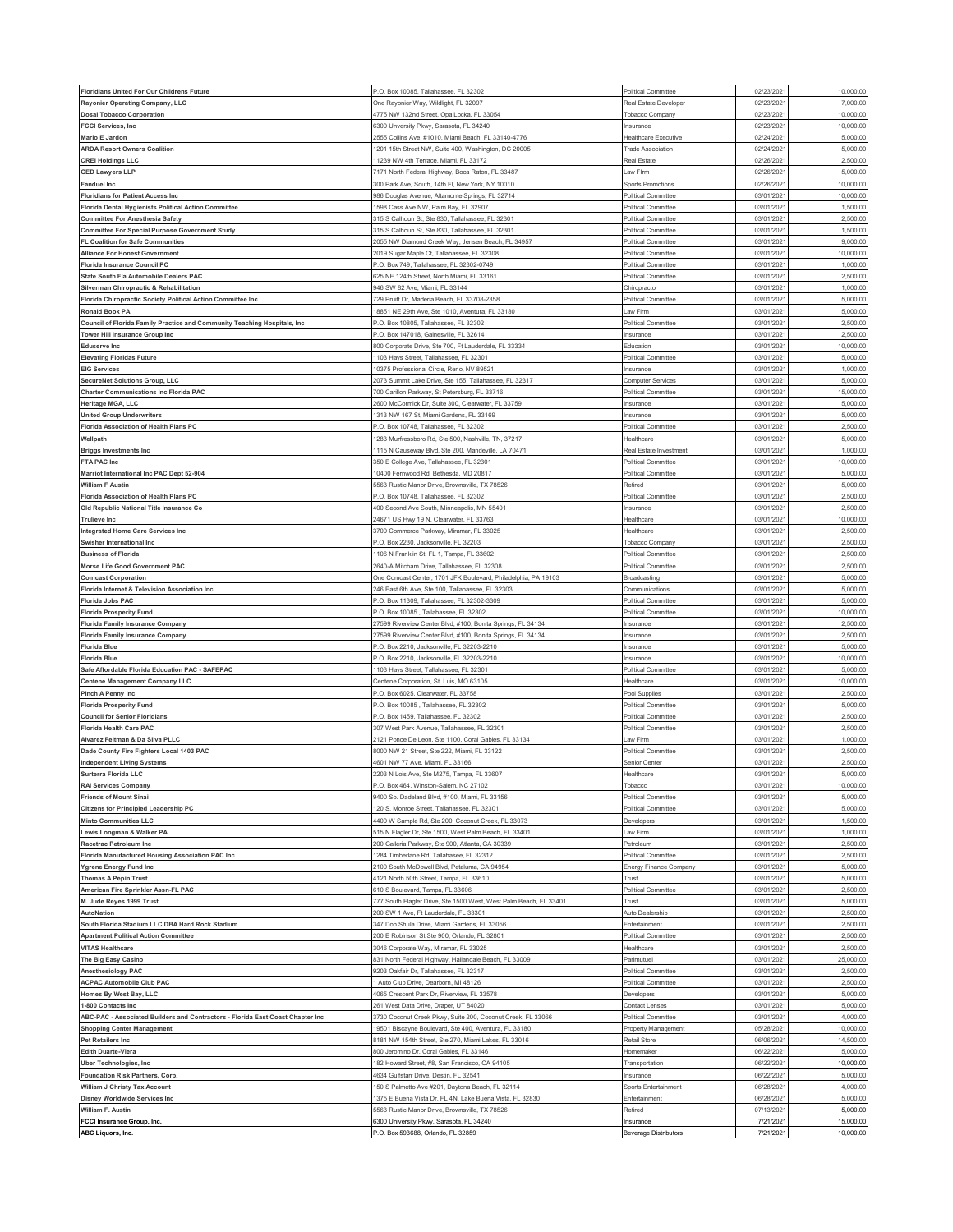| Floridians United For Our Childrens Future                                     | P.O. Box 10085, Tallahassee, FL 32302                             | Political Committee        | 02/23/202  | 10,000.00 |
|--------------------------------------------------------------------------------|-------------------------------------------------------------------|----------------------------|------------|-----------|
| Rayonier Operating Company, LLC                                                | One Rayonier Way, Wildlight, FL 32097                             | Real Estate Developer      | 02/23/202  | 7,000.00  |
| <b>Dosal Tobacco Corporation</b>                                               | 1775 NW 132nd Street, Opa Locka, FL 33054                         | Tobacco Company            | 02/23/202  | 10,000.00 |
| <b>FCCI Services, Inc</b>                                                      | 3300 Unversity Pkwy, Sarasota, FL 34240                           | Insurance                  | 02/23/202  | 10,000.00 |
| Mario E Jardon                                                                 | !555 Collins Ave, #1010, Miami Beach, FL 33140-4776               | Healthcare Executive       | 02/24/202  | 5,000.0   |
| <b>ARDA Resort Owners Coalition</b>                                            | 1201 15th Street NW, Suite 400, Washington, DC 20005              | <b>Trade Association</b>   | 02/24/202  | 5,000.00  |
| <b>CREI Holdings LLC</b>                                                       | 11239 NW 4th Terrace, Miami, FL 33172                             | Real Estate                | 02/26/202  | 2,500.00  |
| <b>GED Lawyers LLP</b>                                                         | 7171 North Federal Highway, Boca Raton, FL 33487                  | Law Firm                   | 02/26/2021 | 5,000.00  |
| <b>Fanduel Inc</b>                                                             | 300 Park Ave, South, 14th Fl, New York, NY 10010                  | Sports Promotions          | 02/26/202  | 10,000.0  |
| <b>Floridians for Patient Access Inc</b>                                       | 986 Douglas Avenue, Altamonte Springs, FL 32714                   | Political Committee        | 03/01/2021 | 10,000.00 |
|                                                                                |                                                                   |                            |            |           |
| Florida Dental Hygienists Political Action Committee                           | 598 Cass Ave NW, Palm Bay, FL 32907                               | Political Committee        | 03/01/202  | 1,500.00  |
| <b>Committee For Anesthesia Safety</b>                                         | 315 S Calhoun St, Ste 830, Tallahassee, FL 32301                  | Political Committee        | 03/01/202  | 2,500.00  |
| <b>Committee For Special Purpose Government Study</b>                          | 315 S Calhoun St, Ste 830, Tallahassee, FL 32301                  | Political Committee        | 03/01/202  | 1,500.0   |
| FL Coalition for Safe Communities                                              | 2055 NW Diamond Creek Way, Jensen Beach, FL 34957                 | Political Committee        | 03/01/2021 | 9,000.00  |
| <b>Alliance For Honest Government</b>                                          | 2019 Sugar Maple Ct, Tallahassee, FL 32308                        | Political Committee        | 03/01/202  | 10,000.00 |
| Florida Insurance Council PC                                                   | P.O. Box 749, Tallahassee, FL 32302-0749                          | Political Committee        | 03/01/2021 | 1,000.00  |
| State South Fla Automobile Dealers PAC                                         | 25 NE 124th Street, North Miami, FL 33161                         | Political Committee        | 03/01/202  | 2,500.0   |
| Silverman Chiropractic & Rehabilitation                                        | 346 SW 82 Ave, Miami, FL 33144                                    | Chiropractor               | 03/01/202  | 1,000.00  |
| Florida Chiropractic Society Political Action Committee Inc                    | 729 Pruitt Dr, Maderia Beach, FL 33708-2358                       | Political Committee        | 03/01/202  | 5,000.0   |
| <b>Ronald Book PA</b>                                                          | 8851 NE 29th Ave, Ste 1010, Aventura, FL 33180                    | Law Firm                   | 03/01/202  | 5,000.00  |
| Council of Florida Family Practice and Community Teaching Hospitals, Inc       | P.O. Box 10805, Tallahassee, FL 32302                             | <b>Political Committee</b> | 03/01/202  | 2,500.00  |
| <b>Tower Hill Insurance Group Inc</b>                                          | <sup>2</sup> .O. Box 147018, Gainesville, FL 32614                | Insurance                  | 03/01/202  | 2,500.0   |
| <b>Eduserve Inc</b>                                                            | 800 Corporate Drive, Ste 700, Ft Lauderdale, FL 33334             | Education                  | 03/01/202  | 10,000.0  |
| <b>Elevating Floridas Future</b>                                               | 103 Hays Street, Tallahassee, FL 32301                            | <b>Political Committee</b> | 03/01/202  | 5,000.00  |
| <b>EIG Services</b>                                                            | 10375 Professional Circle, Reno, NV 89521                         | Insurance                  | 03/01/202  | 1,000.0   |
| <b>SecureNet Solutions Group, LLC</b>                                          | 2073 Summit Lake Drive, Ste 155, Tallahassee, FL 32317            | Computer Services          | 03/01/202  | 5,000.0   |
| <b>Charter Communications Inc Florida PAC</b>                                  | 700 Carillon Parkway, St Petersburg, FL 33716                     | <b>Political Committee</b> | 03/01/202  | 15,000.00 |
|                                                                                |                                                                   |                            |            |           |
| Heritage MGA, LLC                                                              | 600 McCormick Dr, Suite 300, Clearwater, FL 33759                 | Insurance                  | 03/01/202  | 5,000.00  |
| <b>United Group Underwriters</b>                                               | 1313 NW 167 St, Miami Gardens, FL 33169                           | Insurance                  | 03/01/202  | 5,000.00  |
| Florida Association of Health Plans PC                                         | .O. Box 10748, Tallahassee, FL 32302                              | Political Committee        | 03/01/202  | 2,500.0   |
| Wellpath                                                                       | 283 Murfressboro Rd, Ste 500, Nashville, TN, 37217                | Healthcare                 | 03/01/202  | 5,000.00  |
| <b>Briggs Investments Inc</b>                                                  | 1115 N Causeway Blvd, Ste 200, Mandeville, LA 70471               | Real Estate Investment     | 03/01/202  | 1,000.00  |
| FTA PAC Inc                                                                    | 350 E College Ave, Tallahassee, FL 32301                          | Political Committee        | 03/01/2021 | 10,000.00 |
| Marriot International Inc PAC Dept 52-904                                      | 10400 Fernwood Rd, Bethesda, MD 20817                             | Political Committee        | 03/01/202  | 5,000.00  |
| <b>William F Austin</b>                                                        | 5563 Rustic Manor Drive, Brownsville, TX 78526                    | Retired                    | 03/01/202  | 5,000.00  |
| Florida Association of Health Plans PC                                         | <sup>2</sup> .O. Box 10748, Tallahassee, FL 32302                 | Political Committee        | 03/01/202  | 2,500.00  |
| Old Republic National Title Insurance Co                                       | 400 Second Ave South, Minneapolis, MN 55401                       | Insurance                  | 03/01/2021 | 2,500.00  |
| <b>Trulieve Inc</b>                                                            | 24671 US Hwy 19 N, Clearwater, FL 33763                           | Healthcare                 | 03/01/202  | 10,000.0  |
| <b>Integrated Home Care Services Inc</b>                                       | 3700 Commerce Parkway, Miramar, FL 33025                          | Healthcare                 | 03/01/202  | 2,500.0   |
| Swisher International Inc                                                      | <sup>2</sup> .O. Box 2230, Jacksonville, FL 32203                 | Tobacco Compan             | 03/01/202  | 2,500.00  |
| <b>Business of Florida</b>                                                     | 106 N Franklin St, FL 1, Tampa, FL 33602                          | <b>Political Committee</b> | 03/01/2021 | 2,500.00  |
|                                                                                |                                                                   |                            |            | 2,500.0   |
| <b>Morse Life Good Government PAC</b>                                          | 2640-A Mitcham Drive, Tallahassee, FL 32308                       | Political Committee        | 03/01/202  |           |
| <b>Comcast Corporation</b>                                                     | One Comcast Center, 1701 JFK Boulevard, Philadelphia, PA 19103    | Broadcasting               | 03/01/2021 | 5,000.00  |
| Florida Internet & Television Association Inc                                  | 246 East 6th Ave, Ste 100, Tallahassee, FL 32303                  | Communications             | 03/01/202  | 5,000.00  |
| <b>Florida Jobs PAC</b>                                                        | <sup>2</sup> .O. Box 11309, Tallahassee, FL 32302-3309            | Political Committee        | 03/01/202  | 5,000.00  |
| <b>Florida Prosperity Fund</b>                                                 | <sup>2</sup> .O. Box 10085, Tallahassee, FL 32302                 | Political Committee        | 03/01/202  | 10,000.0  |
| Florida Family Insurance Company                                               | 27599 Riverview Center Blvd, #100, Bonita Springs, FL 34134       | Insurance                  | 03/01/202  | 2,500.0   |
| <b>Florida Family Insurance Company</b>                                        | 27599 Riverview Center Blvd, #100, Bonita Springs, FL 34134       | Insurance                  | 03/01/202  | 2,500.0   |
| <b>Florida Blue</b>                                                            | <sup>2</sup> .O. Box 2210, Jacksonville, FL 32203-2210            | Insurance                  | 03/01/202  | 5,000.00  |
| <b>Florida Blue</b>                                                            | P.O. Box 2210, Jacksonville, FL 32203-2210                        | Insurance                  | 03/01/202  | 10,000.0  |
| Safe Affordable Florida Education PAC - SAFEPAC                                | 103 Hays Street, Tallahassee, FL 32301                            | Political Committee        | 03/01/202  | 5,000.0   |
| <b>Centene Management Company LLC</b>                                          | Centene Corporation, St. Luis, MO 63105                           | Healthcare                 | 03/01/202  | 10,000.00 |
| Pinch A Penny Inc                                                              | .O. Box 6025, Clearwater, FL 33758                                | Pool Supplies              | 03/01/202  | 2,500.00  |
| <b>Florida Prosperity Fund</b>                                                 | P.O. Box 10085, Tallahassee, FL 32302                             | Political Committee        | 03/01/202  | 5,000.00  |
| <b>Council for Senior Floridians</b>                                           | .O. Box 1459, Tallahassee, FL 32302                               | Political Committee        | 03/01/202  | 2,500.0   |
| <b>Florida Health Care PAC</b>                                                 | 307 West Park Avenue, Tallahassee, FL 32301                       | Political Committee        | 03/01/202  | 2,500.00  |
| Alvarez Feltman & Da Silva PLLC                                                | 121 Ponce De Leon, Ste 1100, Coral Gables, FL 33134               | Law Firm                   | 03/01/202  | 1,000.00  |
| Dade County Fire Fighters Local 1403 PAC                                       | 3000 NW 21 Street, Ste 222, Miami, FL 33122                       | Political Committee        | 03/01/202  | 2,500.00  |
|                                                                                |                                                                   |                            |            |           |
| <b>Independent Living Systems</b>                                              | 4601 NW 77 Ave, Miami, FL 33166                                   | Senior Center              | 03/01/202  | 2,500.0   |
| Surterra Florida LLC                                                           | 2203 N Lois Ave, Ste M275, Tampa, FL 33607                        | Healthcare                 | 03/01/2021 | 5,000.00  |
| <b>RAI Services Company</b>                                                    | P.O. Box 464, Winston-Salem, NC 27102                             | Tobacco                    | 03/01/2021 | 10,000.00 |
| <b>Friends of Mount Sinai</b>                                                  | 9400 So. Dadeland Blvd, #100, Miami, FL 33156                     | Political Committee        | 03/01/2021 | 5,000.00  |
| <b>Citizens for Principled Leadership PC</b>                                   | 120 S. Monroe Street, Tallahassee, FL 32301                       | Political Committee        | 03/01/202  | 5,000.00  |
| <b>Minto Communities LLC</b>                                                   | 4400 W Sample Rd, Ste 200, Coconut Creek, FL 33073                | Developers                 | 03/01/2021 | 1,500.00  |
| Lewis Longman & Walker PA                                                      | 515 N Flagler Dr, Ste 1500, West Palm Beach, FL 33401             | Law Firm                   | 03/01/202  | 1,000.00  |
| Racetrac Petroleum Inc                                                         | 200 Galleria Parkway, Ste 900, Atlanta, GA 30339                  | Petroleum                  | 03/01/2021 | 2,500.00  |
| Florida Manufactured Housing Association PAC Inc                               | 1284 Timberlane Rd, Tallahasee, FL 32312                          | Political Committee        | 03/01/202  | 2,500.00  |
| <b>Ygrene Energy Fund Inc</b>                                                  | 2100 South McDowell Blvd, Petaluma, CA 94954                      | Energy Finance Company     | 03/01/2021 | 5,000.00  |
| <b>Thomas A Pepin Trust</b>                                                    | 1121 North 50th Street, Tampa, FL 33610                           | Trust                      | 03/01/2021 | 5,000.00  |
| American Fire Sprinkler Assn-FL PAC                                            | 610 S Boulevard, Tampa, FL 33606                                  | Political Committee        | 03/01/2021 | 2,500.00  |
| M. Jude Reyes 1999 Trust                                                       | 777 South Flagler Drive, Ste 1500 West, West Palm Beach, FL 33401 | Trust                      | 03/01/2021 | 5,000.00  |
| AutoNation                                                                     |                                                                   |                            |            | 2,500.00  |
| South Florida Stadium LLC DBA Hard Rock Stadium                                | 200 SW 1 Ave. Ft Lauderdale. FL 33301                             | Auto Dealership            | 03/01/2021 |           |
| <b>Apartment Political Action Committee</b>                                    |                                                                   | Entertainment              |            | 2,500.00  |
|                                                                                | 347 Don Shula Drive, Miami Gardens, FL 33056                      | Political Committee        | 03/01/202  | 2,500.00  |
|                                                                                | 200 E Robinson St Ste 900, Orlando, FL 32801                      |                            | 03/01/2021 |           |
| <b>VITAS Healthcare</b>                                                        | 3046 Corporate Way, Miramar, FL 33025                             | Healthcare                 | 03/01/2021 | 2,500.00  |
| The Big Easy Casino                                                            | 831 North Federal Highway, Hallandale Beach, FL 33009             | Parimutuel                 | 03/01/202  | 25,000.00 |
| Anesthesiology PAC                                                             | 9203 Oakfair Dr, Tallahassee, FL 32317                            | Political Committee        | 03/01/202  | 2,500.00  |
| <b>ACPAC Automobile Club PAC</b>                                               | Auto Club Drive, Dearborn, MI 48126                               | Political Committee        | 03/01/2021 | 2,500.00  |
| Homes By West Bay, LLC                                                         | 4065 Crescent Park Dr, Riverview, FL 33578                        | Developers                 | 03/01/202  | 5,000.00  |
| 1-800 Contacts Inc                                                             | 261 West Data Drive, Draper, UT 84020                             | Contact Lenses             | 03/01/202  | 5,000.00  |
| ABC-PAC - Associated Builders and Contractors - Florida East Coast Chapter Inc | 3730 Coconut Creek Pkwy, Suite 200, Coconut Creek, FL 33066       | Political Committee        | 03/01/2021 | 4,000.00  |
| <b>Shopping Center Management</b>                                              | 9501 Biscayne Boulevard, Ste 400, Aventura, FL 33180              | Property Management        | 05/28/202  | 10,000.00 |
| <b>Pet Retailers Inc</b>                                                       | 8181 NW 154th Street, Ste 270, Miami Lakes, FL 33016              | Retail Store               | 06/06/2021 | 14,500.00 |
| <b>Edith Duarte-Viera</b>                                                      | 800 Jeromino Dr. Coral Gables, FL 33146                           | Homemaker                  | 06/22/202  | 5,000.0   |
| <b>Uber Technologies, Inc.</b>                                                 | 82 Howard Street, #8, San Francisco, CA 94105                     | Transportation             | 06/22/2021 | 10,000.00 |
| Foundation Risk Partners, Corp.                                                | 4634 Gulfstarr Drive, Destin, FL 32541                            | Insurance                  | 06/22/202  | 5,000.00  |
| William J Christy Tax Account                                                  | 150 S Palmetto Ave #201, Daytona Beach, FL 32114                  | Sports Entertainment       | 06/28/2021 | 4,000.00  |
| Disney Worldwide Services Inc                                                  | 1375 E Buena Vista Dr, FL 4N, Lake Buena Vista, FL 32830          | Entertainment              | 06/28/2021 | 5,000.00  |
| William F. Austin                                                              | 5563 Rustic Manor Drive, Brownsville, TX 78526                    | Retired                    | 07/13/2021 | 5,000.00  |
| FCCI Insurance Group, Inc.                                                     | 6300 University Pkwy, Sarasota, FL 34240                          | Insurance                  | 7/21/2021  | 15,000.00 |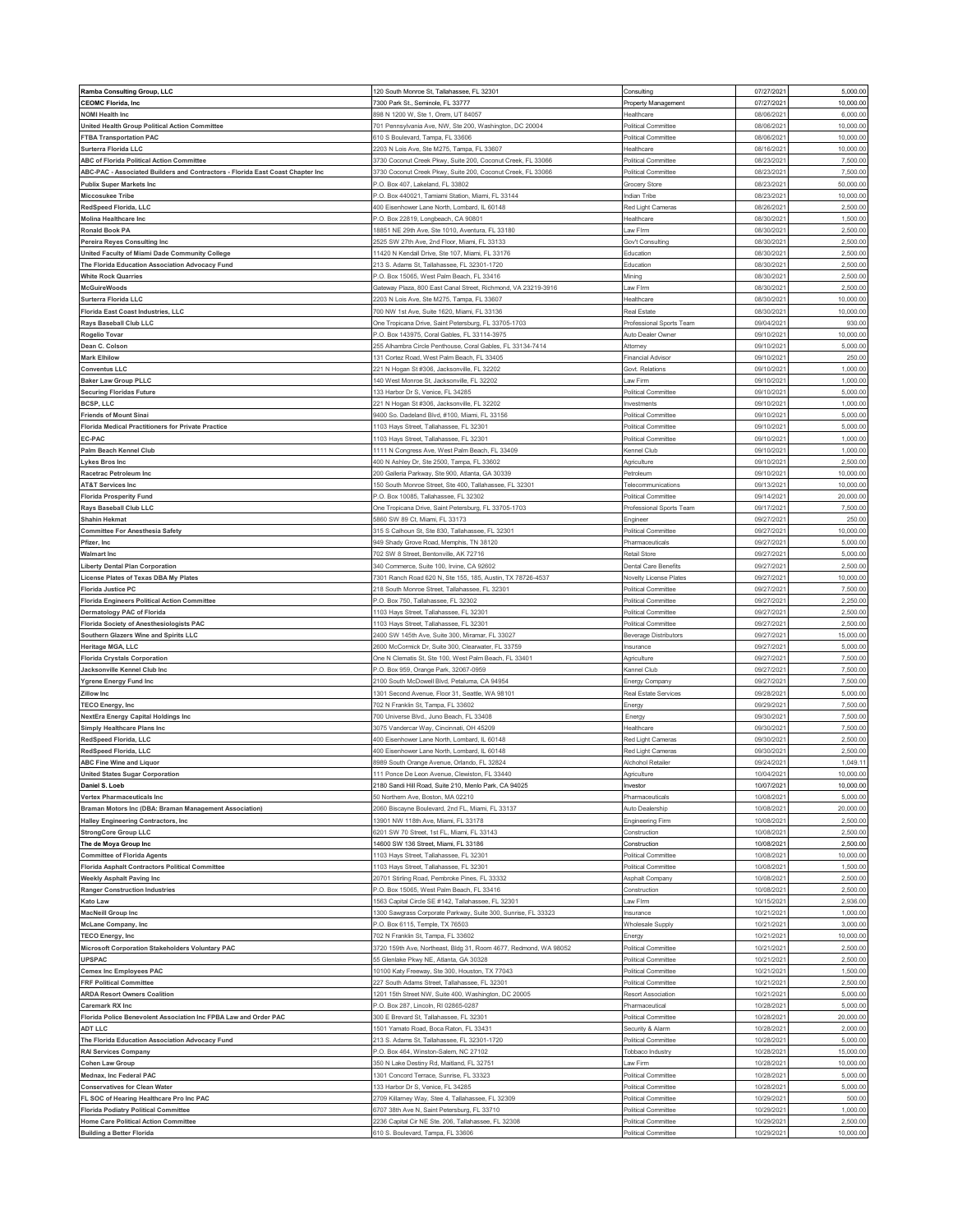| Ramba Consulting Group, LLC                                                    | 120 South Monroe St, Tallahassee, FL 32301                                                   | Consulting                                 | 07/27/2021               | 5,000.00              |
|--------------------------------------------------------------------------------|----------------------------------------------------------------------------------------------|--------------------------------------------|--------------------------|-----------------------|
| <b>CEOMC Florida, Inc</b>                                                      | 7300 Park St., Seminole, FL 33777                                                            | Property Management                        | 07/27/202                | 10,000.00             |
| <b>NOMI Health Inc</b>                                                         | 898 N 1200 W, Ste 1, Orem, UT 84057                                                          | Healthcare                                 | 08/06/202                | 6,000.00              |
|                                                                                |                                                                                              |                                            |                          |                       |
| United Health Group Political Action Committee                                 | 701 Pennsylvania Ave, NW, Ste 200, Washington, DC 20004                                      | Political Committee                        | 08/06/202                | 10,000.0              |
| <b>FTBA Transportation PAC</b>                                                 | 610 S Boulevard, Tampa, FL 33606                                                             | Political Committee                        | 08/06/202                | 10,000.0              |
| Surterra Florida LLC                                                           | 2203 N Lois Ave, Ste M275, Tampa, FL 33607                                                   | Healthcare                                 | 08/16/202                | 10,000.0              |
| ABC of Florida Political Action Committee                                      | 3730 Coconut Creek Pkwy, Suite 200, Coconut Creek, FL 33066                                  | Political Committee                        | 08/23/202                | 7,500.00              |
| ABC-PAC - Associated Builders and Contractors - Florida East Coast Chapter Inc | 3730 Coconut Creek Pkwy, Suite 200, Coconut Creek, FL 33066                                  | Political Committee                        | 08/23/2021               | 7,500.00              |
| <b>Publix Super Markets Inc</b>                                                | <sup>2</sup> .O. Box 407, Lakeland, FL 33802                                                 | Grocery Store                              | 08/23/202                | 50,000.0              |
| <b>Miccosukee Tribe</b>                                                        | P.O. Box 440021, Tamiami Station, Miami, FL 33144                                            | Indian Tribe                               | 08/23/202                | 10,000.00             |
| RedSpeed Florida, LLC                                                          | 400 Eisenhower Lane North, Lombard, IL 60148                                                 | Red Light Cameras                          | 08/26/202                | 2,500.00              |
| Molina Healthcare Inc                                                          | P.O. Box 22819, Longbeach, CA 90801                                                          | Healthcare                                 | 08/30/202                | 1,500.00              |
| Ronald Book PA                                                                 | 18851 NE 29th Ave, Ste 1010, Aventura, FL 33180                                              | .aw Flrm                                   | 08/30/202                | 2,500.0               |
| Pereira Reyes Consulting Inc                                                   | 2525 SW 27th Ave, 2nd Floor, Miami, FL 33133                                                 | Gov't Consulting                           | 08/30/2021               | 2,500.00              |
| United Faculty of Miami Dade Community College                                 | 11420 N Kendall Drive, Ste 107, Miami, FL 33176                                              | Education                                  | 08/30/202                | 2,500.00              |
| The Florida Education Association Advocacy Fund                                | 213 S. Adams St, Tallahassee, FL 32301-1720                                                  | Education                                  | 08/30/2021               | 2,500.00              |
| <b>White Rock Quarries</b>                                                     | P.O. Box 15065, West Palm Beach, FL 33416                                                    | Mining                                     | 08/30/202                | 2,500.0               |
| <b>McGuireWoods</b>                                                            | Gateway Plaza, 800 East Canal Street, Richmond, VA 23219-3916                                | Law Firm                                   | 08/30/202                | 2,500.00              |
| Surterra Florida LLC                                                           | 2203 N Lois Ave, Ste M275, Tampa, FL 33601                                                   | Healthcare                                 | 08/30/202                | 10,000.0              |
| Florida East Coast Industries, LLC                                             | 700 NW 1st Ave, Suite 1620, Miami, FL 33136                                                  | Real Estate                                | 08/30/2021               | 10,000.00             |
| Rays Baseball Club LLC                                                         | One Tropicana Drive, Saint Petersburg, FL 33705-1703                                         | Professional Sports Team                   | 09/04/202                | 930.0                 |
| Rogelio Tovar                                                                  | P.O. Box 143975, Coral Gables, FL 33114-3975                                                 | Auto Dealer Owner                          | 09/10/2021               | 10,000.00             |
| Dean C. Colson                                                                 | 255 Alhambra Circle Penthouse, Coral Gables, FL 33134-7414                                   | Attorney                                   | 09/10/202                | 5,000.00              |
|                                                                                |                                                                                              |                                            |                          |                       |
| <b>Mark Elhilow</b>                                                            | 131 Cortez Road, West Palm Beach, FL 33405                                                   | Financial Advisor                          | 09/10/2021               | 250.00                |
| <b>Conventus LLC</b>                                                           | 221 N Hogan St #306, Jacksonville, FL 32202                                                  | Govt. Relations                            | 09/10/202                | 1,000.00              |
| <b>Baker Law Group PLLC</b>                                                    | 140 West Monroe St, Jacksonville, FL 32202                                                   | Law Firm                                   | 09/10/2021               | 1,000.00              |
| <b>Securing Floridas Future</b>                                                | 133 Harbor Dr S, Venice, FL 34285                                                            | Political Committee                        | 09/10/202                | 5,000.00              |
| <b>BCSP, LLC</b>                                                               | 221 N Hogan St #306, Jacksonville, FL 32202                                                  | nvestments                                 | 09/10/202                | 1,000.00              |
| <b>Friends of Mount Sinal</b>                                                  | 9400 So. Dadeland Blvd, #100, Miami, FL 33156                                                | Political Committee                        | 09/10/202                | 5,000.00              |
| <b>Florida Medical Practitioners for Private Practice</b>                      | 1103 Hays Street, Tallahassee, FL 32301                                                      | Political Committee                        | 09/10/202                | 5,000.0               |
| EC-PAC                                                                         | 1103 Hays Street, Tallahassee, FL 32301                                                      | Political Committee                        | 09/10/202                | 1,000.00              |
| Palm Beach Kennel Club                                                         | 1111 N Congress Ave, West Palm Beach, FL 33409                                               | Kennel Club                                | 09/10/202                | 1,000.00              |
| <b>Lykes Bros Inc</b>                                                          | 400 N Ashley Dr, Ste 2500, Tampa, FL 33602                                                   | Agriculture                                | 09/10/202                | 2,500.0               |
| Racetrac Petroleum Inc                                                         | 200 Galleria Parkway, Ste 900, Atlanta, GA 30339                                             | Petroleum                                  | 09/10/202                | 10,000.0              |
| <b>AT&amp;T Services Inc</b>                                                   | 150 South Monroe Street, Ste 400, Tallahassee, FL 32301                                      | Telecommunications                         | 09/13/2021               | 10,000.00             |
| <b>Florida Prosperity Fund</b>                                                 | <sup>2</sup> .O. Box 10085, Tallahassee, FL 32302                                            | Political Committee                        | 09/14/202                | 20,000.00             |
| Rays Baseball Club LLC                                                         | One Tropicana Drive, Saint Petersburg, FL 33705-1703                                         | Professional Sports Team                   | 09/17/2021               | 7,500.00              |
| <b>Shahin Hekmat</b>                                                           | 5860 SW 89 Ct, Miami, FL 33173                                                               | Engineer                                   | 09/27/202                | 250.0                 |
| <b>Committee For Anesthesia Safety</b>                                         | 315 S Calhoun St, Ste 830, Tallahassee, FL 32301                                             | Political Committee                        | 09/27/202                | 10,000.00             |
| Pfizer, Inc.                                                                   | 949 Shady Grove Road, Memphis, TN 38120                                                      | Pharmaceuticals                            | 09/27/202                | 5,000.00              |
|                                                                                |                                                                                              |                                            | 09/27/2021               | 5,000.00              |
| <b>Walmart Inc</b>                                                             | 702 SW 8 Street, Bentonville, AK 72716                                                       | Retail Store                               |                          |                       |
| <b>Liberty Dental Plan Corporation</b>                                         | 340 Commerce, Suite 100, Irvine, CA 92602                                                    | Dental Care Benefits                       | 09/27/202                | 2,500.0               |
| License Plates of Texas DBA My Plates                                          | 7301 Ranch Road 620 N, Ste 155, 185, Austin, TX 78726-4537                                   | Novelty License Plates                     | 09/27/2021               | 10,000.00             |
| <b>Florida Justice PC</b>                                                      | 218 South Monroe Street, Tallahassee, FL 32301                                               | Political Committee                        | 09/27/202                | 7,500.00              |
| <b>Florida Engineers Political Action Committee</b>                            | P.O. Box 750, Tallahassee, FL 32302                                                          | Political Committee                        | 09/27/2021               | 2,250.00              |
| Dermatology PAC of Florida                                                     | 1103 Hays Street, Tallahassee, FL 32301                                                      | Political Committer                        | 09/27/202                | 2,500.0               |
| Florida Society of Anesthesiologists PAC                                       | 1103 Hays Street, Tallahassee, FL 32301                                                      | Political Committee                        | 09/27/2021               | 2,500.00              |
| Southern Glazers Wine and Spirits LLC                                          | 2400 SW 145th Ave, Suite 300, Miramar, FL 33027                                              | Beverage Distributors                      | 09/27/202                | 15,000.0              |
| Heritage MGA, LLC                                                              | 2600 McCormick Dr, Suite 300, Clearwater, FL 33759                                           | Insurance                                  | 09/27/2021               | 5,000.00              |
| <b>Florida Crystals Corporation</b>                                            | One N Clematis St, Ste 100, West Palm Beach, FL 33401                                        | Agriculture                                | 09/27/202                | 7,500.0               |
| Jacksonville Kennel Club Inc                                                   | P.O. Box 959, Orange Park, 32067-0959                                                        | Kannel Club                                | 09/27/2021               | 7,500.00              |
| Ygrene Energy Fund Inc                                                         | 2100 South McDowell Blvd, Petaluma, CA 94954                                                 | Energy Company                             | 09/27/202                | 7,500.0               |
| <b>Zillow Inc</b>                                                              | 1301 Second Avenue, Floor 31, Seattle, WA 98101                                              | Real Estate Services                       | 09/28/202                | 5,000.00              |
|                                                                                |                                                                                              |                                            |                          |                       |
|                                                                                | 702 N Franklin St, Tampa, FL 33602                                                           |                                            | 09/29/202                | 7,500.0               |
| <b>TECO Energy, Inc.</b>                                                       | 700 Universe Blvd., Juno Beach, FL 33408                                                     | Energy                                     | 09/30/202                | 7,500.0               |
| <b>NextEra Energy Capital Holdings Inc</b>                                     |                                                                                              | Energy<br>Healthcare                       |                          |                       |
| <b>Simply Healthcare Plans Inc</b>                                             | 3075 Vandercar Way, Cincinnati, OH 45209                                                     |                                            | 09/30/202                | 7,500.00              |
| RedSpeed Florida, LLC                                                          | 400 Eisenhower Lane North, Lombard, IL 60148                                                 | Red Light Cameras                          | 09/30/202                | 2,500.00              |
| RedSpeed Florida, LLC                                                          | 400 Eisenhower Lane North, Lombard, IL 60148<br>3989 South Orange Avenue, Orlando, FL 32824  | Red Light Cameras<br>Alchohol Retailer     | 09/30/202<br>09/24/202   | 2,500.00<br>1,049.1   |
| <b>ABC Fine Wine and Liquor</b>                                                |                                                                                              |                                            |                          |                       |
| <b>United States Sugar Corporation</b>                                         | 111 Ponce De Leon Avenue, Clewiston, FL 33440                                                | Agriculture                                | 10/04/2021               | 10,000.00             |
| Daniel S. Loeb                                                                 | 2180 Sandi Hill Road, Suite 210, Menlo Park, CA 94025                                        | Investor                                   | 10/07/2021               | 10,000.00             |
| <b>Vertex Pharmaceuticals Inc</b>                                              | 50 Northern Ave, Boston, MA 02210                                                            | Pharmaceuticals                            | 10/08/2021               | 5,000.00              |
| Braman Motors Inc (DBA: Braman Management Association)                         | 2060 Biscayne Boulevard, 2nd FL, Miami, FL 33137                                             | Auto Dealership                            | 10/08/202                | 20,000.00             |
| <b>Halley Engineering Contractors, Inc.</b>                                    | 13901 NW 118th Ave, Miami, FL 33178                                                          | Engineering Firm                           | 10/08/2021               | 2,500.00              |
| <b>StrongCore Group LLC</b>                                                    | 6201 SW 70 Street, 1st FL, Miami, FL 33143                                                   | Construction                               | 10/08/2021               | 2,500.00              |
| The de Moya Group Inc                                                          | 14600 SW 136 Street, Miami, FL 33186                                                         | Construction                               | 10/08/2021               | 2,500.00              |
| <b>Committee of Florida Agents</b>                                             | 1103 Hays Street, Tallahassee, FL 32301                                                      | Political Committee                        | 10/08/2021               | 10,000.00             |
| <b>Florida Asphalt Contractors Political Committee</b>                         | 1103 Hays Street, Tallahassee, FL 32301                                                      | Political Committee                        | 10/08/2021               | 1,500.00              |
| <b>Weekly Asphalt Paving Inc.</b>                                              | 20701 Stirling Road, Pembroke Pines, FL 33332                                                | Asphalt Company                            | 10/08/202                | 2,500.00              |
| <b>Ranger Construction Industries</b>                                          | P.O. Box 15065, West Palm Beach, FL 33416                                                    | Construction                               | 10/08/2021               | 2,500.00              |
| <b>Kato Law</b>                                                                | 1563 Capital Circle SE #142, Tallahassee, FL 32301                                           | Law Firm                                   | 10/15/2021               | 2,936.00              |
| MacNeill Group Inc                                                             | 1300 Sawgrass Corporate Parkway, Suite 300, Sunrise, FL 33323                                | Insurance                                  | 10/21/2021               | 1,000.00              |
| McLane Company, Inc                                                            | P.O. Box 6115, Temple, TX 76503                                                              | Wholesale Supply                           | 10/21/202                | 3,000.00              |
| <b>TECO Energy, Inc.</b>                                                       | 702 N Franklin St, Tampa, FL 33602                                                           | Energy                                     | 10/21/2021               | 10,000.00             |
| Microsoft Corporation Stakeholders Voluntary PAC                               | 3720 159th Ave, Northeast, Bldg 31, Room 4677, Redmond, WA 98052                             | Political Committee                        | 10/21/2021               | 2,500.00              |
| <b>UPSPAC</b>                                                                  | 55 Glenlake Pkwy NE, Atlanta, GA 30328                                                       | Political Committee                        | 10/21/2021               | 2,500.00              |
| <b>Cemex Inc Employees PAC</b>                                                 | 10100 Katy Freeway, Ste 300, Houston, TX 77043                                               | Political Committee                        | 10/21/2021               | 1,500.00              |
| <b>FRF Political Committee</b>                                                 | 227 South Adams Street, Tallahassee, FL 32301                                                | Political Committee                        | 10/21/2021               | 2,500.00              |
| <b>ARDA Resort Owners Coalition</b>                                            |                                                                                              | Resort Association                         | 10/21/2021               | 5,000.00              |
| <b>Caremark RX Inc</b>                                                         | 1201 15th Street NW, Suite 400, Washington, DC 20005<br>P.O. Box 287, Lincoln, RI 02865-0287 | Pharmaceutical                             | 10/28/2021               | 5,000.00              |
|                                                                                |                                                                                              |                                            |                          |                       |
| Florida Police Benevolent Association Inc FPBA Law and Order PAC               | 300 E Brevard St, Tallahassee, FL 32301                                                      | Political Committee                        | 10/28/202                | 20,000.00             |
| <b>ADT LLC</b>                                                                 | 1501 Yamato Road, Boca Raton, FL 33431                                                       | Security & Alarm                           | 10/28/2021               | 2,000.00              |
| The Florida Education Association Advocacy Fund                                | 213 S. Adams St, Tallahassee, FL 32301-1720                                                  | Political Committee                        | 10/28/2021               | 5,000.00              |
| <b>RAI Services Company</b>                                                    | <sup>2</sup> .O. Box 464, Winston-Salem, NC 27102                                            | Tobbaco Industry                           | 10/28/202                | 15,000.0              |
| <b>Cohen Law Group</b>                                                         | 350 N Lake Destiny Rd, Maitland, FL 32751                                                    | Law Firm                                   | 10/28/2021               | 10,000.00             |
| Mednax, Inc Federal PAC                                                        | 1301 Concord Terrace, Sunrise, FL 33323                                                      | Political Committee                        | 10/28/2021               | 5,000.00              |
| <b>Conservatives for Clean Water</b>                                           | 133 Harbor Dr S, Venice, FL 34285                                                            | Political Committee                        | 10/28/2021               | 5,000.00              |
| FL SOC of Hearing Healthcare Pro Inc PAC                                       | 2709 Killarney Way, Stee 4, Tallahassee, FL 32309                                            | Political Committee                        | 10/29/202                | 500.00                |
| <b>Florida Podiatry Political Committee</b>                                    | 6707 38th Ave N, Saint Petersburg, FL 33710                                                  | Political Committee                        | 10/29/2021               | 1,000.00              |
| Home Care Political Action Committee<br><b>Building a Better Florida</b>       | 2236 Capital Cir NE Ste. 206, Tallahassee, FL 32308<br>610 S. Boulevard, Tampa, FL 33606     | Political Committee<br>Political Committee | 10/29/2021<br>10/29/2021 | 2,500.00<br>10,000.00 |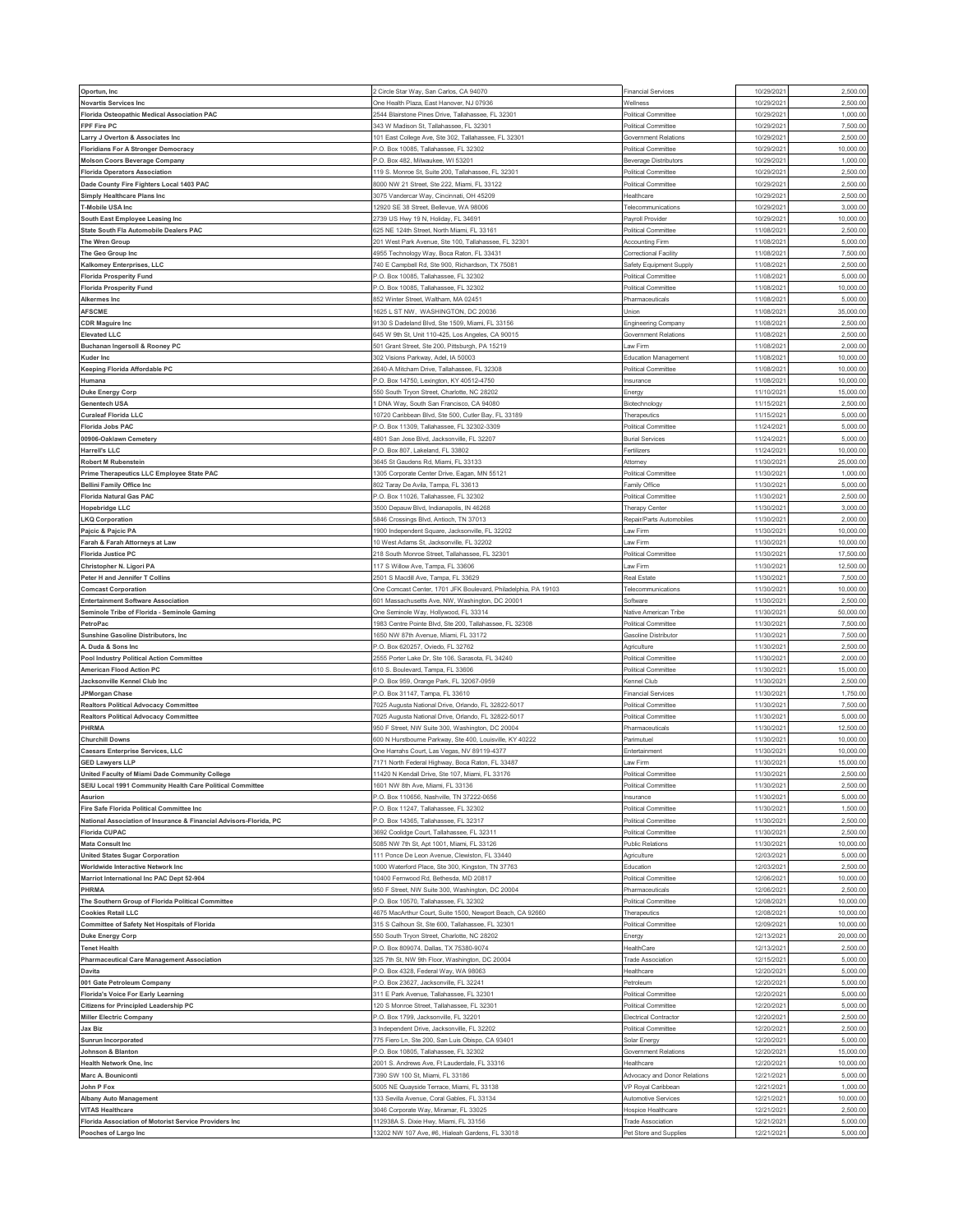| Oportun, Inc                                                                  | Circle Star Way, San Carlos, CA 94070                                                  | <b>Financial Services</b>                          | 10/29/202                | 2,500.00             |
|-------------------------------------------------------------------------------|----------------------------------------------------------------------------------------|----------------------------------------------------|--------------------------|----------------------|
| <b>Novartis Services Inc</b>                                                  | One Health Plaza, East Hanover, NJ 07936                                               | Wellness                                           | 10/29/202                | 2,500.00             |
| Florida Osteopathic Medical Association PAC                                   | 2544 Blairstone Pines Drive, Tallahassee, FL 32301                                     | Political Committee                                | 10/29/202                | 1,000.00             |
| FPF Fire PC                                                                   | 343 W Madison St, Tallahassee, FL 32301                                                | Political Committee                                | 10/29/202                | 7,500.00             |
| Larry J Overton & Associates Inc                                              | 101 East College Ave, Ste 302, Tallahassee, FL 32301                                   | Government Relations                               | 10/29/202                | 2,500.0              |
| <b>Floridians For A Stronger Democracy</b>                                    | <sup>2</sup> .O. Box 10085, Tallahassee, FL 32302                                      | Political Committee                                | 10/29/202                | 10,000.00            |
| <b>Molson Coors Beverage Company</b>                                          | .O. Box 482, Milwaukee, WI 53201                                                       | <b>Beverage Distributors</b>                       | 10/29/202                | 1,000.00             |
| <b>Florida Operators Association</b>                                          | 119 S. Monroe St, Suite 200, Tallahassee, FL 32301                                     | Political Committee                                | 10/29/2021               | 2,500.00             |
| Dade County Fire Fighters Local 1403 PAC                                      | 000 NW 21 Street, Ste 222, Miami, FL 33122                                             | Political Committee                                | 10/29/202                | 2,500.0              |
| <b>Simply Healthcare Plans Inc</b>                                            | 3075 Vandercar Way, Cincinnati, OH 45209                                               | Healthcare                                         | 10/29/202                | 2,500.00             |
| T-Mobile USA Inc                                                              | 2920 SE 38 Street, Bellevue, WA 98006                                                  | Telecommunications                                 | 10/29/202                | 3,000.00             |
| South East Employee Leasing Inc                                               | 2739 US Hwy 19 N, Holiday, FL 34691                                                    | Payroll Provider                                   | 10/29/202                | 10,000.00            |
| State South Fla Automobile Dealers PAC                                        | 325 NE 124th Street, North Miami, FL 33161                                             | Political Committee                                | 11/08/202                | 2,500.0              |
| The Wren Group                                                                | 201 West Park Avenue, Ste 100, Tallahassee, FL 32301                                   | <b>Accounting Firm</b>                             | 11/08/2021               | 5,000.00             |
| The Geo Group Inc                                                             | 4955 Technology Way, Boca Raton, FL 33431                                              | Correctional Facility                              | 11/08/202                | 7,500.00             |
| Kalkomey Enterprises, LLC                                                     | 740 E Campbell Rd, Ste 900, Richardson, TX 75081                                       | Safety Equipment Supply                            | 11/08/2021               | 2,500.00             |
| <b>Florida Prosperity Fund</b>                                                | -. O. Box 10085, Tallahassee, FL 32302                                                 | Political Committee                                | 11/08/202                | 5,000.0              |
| <b>Florida Prosperity Fund</b>                                                | P.O. Box 10085, Tallahassee, FL 32302                                                  | Political Committee                                | 11/08/2021               | 10,000.00            |
| Alkermes Inc                                                                  | 352 Winter Street, Waltham, MA 02451                                                   | Pharmaceuticals                                    | 11/08/202                | 5,000.0              |
| <b>AFSCME</b>                                                                 | 1625 L ST NW, WASHINGTON, DC 20036                                                     | Union                                              | 11/08/2021               | 35,000.00            |
| <b>CDR Maguire Inc</b>                                                        | 9130 S Dadeland Blvd, Ste 1509, Miami, FL 33156                                        |                                                    | 11/08/2021               | 2,500.0              |
| <b>Elevated LLC</b>                                                           | 345 W 9th St, Unit 110-425, Los Angeles, CA 90015                                      | Engineering Company                                | 11/08/2021               | 2,500.00             |
|                                                                               | 501 Grant Street, Ste 200, Pittsburgh, PA 15219                                        | Government Relations<br>Law Firm                   | 11/08/202                | 2,000.00             |
| Buchanan Ingersoll & Rooney PC                                                |                                                                                        |                                                    |                          |                      |
| <b>Kuder Inc</b>                                                              | 302 Visions Parkway, Adel, IA 50003                                                    | Education Management                               | 11/08/2021               | 10,000.00            |
| Keeping Florida Affordable PC                                                 | 2640-A Mitcham Drive, Tallahassee, FL 32308                                            | Political Committee                                | 11/08/202                | 10,000.0<br>10,000.0 |
| Humana                                                                        | 0. Box 14750, Lexington, KY 40512-4750                                                 | Insurance                                          | 11/08/202                |                      |
| <b>Duke Energy Corp</b>                                                       | 550 South Tryon Street, Charlotte, NC 28202                                            | Energy                                             | 11/10/202                | 15,000.00            |
| <b>Genentech USA</b>                                                          | DNA Way, South San Francisco, CA 94080                                                 | Biotechnology                                      | 11/15/202                | 2,500.00             |
| <b>Curaleaf Florida LLC</b>                                                   | 10720 Caribbean Blvd, Ste 500, Cutler Bay, FL 33189                                    | Therapeutics                                       | 11/15/202                | 5,000.0              |
| <b>Florida Jobs PAC</b>                                                       | 0. Box 11309, Tallahassee, FL 32302-3309                                               | Political Committee                                | 11/24/202                | 5,000.0              |
| 00906-Oaklawn Cemetery                                                        | 4801 San Jose Blvd, Jacksonville, FL 32207                                             | <b>Burial Services</b>                             | 11/24/202                | 5,000.00             |
| <b>Harrell's LLC</b>                                                          | .O. Box 807, Lakeland, FL 33802                                                        | Fertilizers                                        | 11/24/202                | 10,000.00            |
| Robert M Rubenstein                                                           | 3645 St Gaudens Rd, Miami, FL 33133                                                    | Attorney                                           | 11/30/202                | 25,000.00            |
| Prime Therapeutics LLC Employee State PAC                                     | 305 Corporate Center Drive, Eagan, MN 55121                                            | Political Committee                                | 11/30/202                | 1,000.0              |
| <b>Bellini Family Office Inc</b>                                              | 302 Taray De Avila, Tampa, FL 33613                                                    | Family Office                                      | 11/30/202                | 5,000.00             |
| <b>Florida Natural Gas PAC</b>                                                | .O. Box 11026, Tallahassee, FL 32302                                                   | Political Committee                                | 11/30/202                | 2,500.00             |
| <b>Hopebridge LLC</b>                                                         | 3500 Depauw Blvd, Indianapolis, IN 46268                                               | Therapy Center                                     | 11/30/2021               | 3,000.00             |
| <b>LKQ Corporation</b>                                                        | 5846 Crossings Blvd, Antioch, TN 37013                                                 | Repair/Parts Automobiles                           | 11/30/202                | 2,000.0              |
| Pajcic & Pajcic PA                                                            | 900 Independent Square, Jacksonville, FL 32202                                         | Law Firm                                           | 11/30/2021               | 10,000.00            |
| Farah & Farah Attorneys at Law                                                | 10 West Adams St, Jacksonville, FL 32202                                               | Law Firm                                           | 11/30/202                | 10,000.00            |
| <b>Florida Justice PC</b>                                                     | 218 South Monroe Street, Tallahassee, FL 32301                                         | Political Committee                                | 11/30/2021               | 17,500.00            |
| Christopher N. Ligori PA                                                      | 117 S Willow Ave, Tampa, FL 33606                                                      | Law Firm                                           | 11/30/202                | 12,500.0             |
| Peter H and Jennifer T Collins                                                | 2501 S Macdill Ave, Tampa, FL 33629                                                    | Real Estate                                        | 11/30/2021               | 7,500.00             |
| <b>Comcast Corporation</b>                                                    | One Comcast Center, 1701 JFK Boulevard, Philadelphia, PA 19103                         | Telecommunications                                 | 11/30/202                | 10,000.00            |
| <b>Entertainment Software Association</b>                                     | 601 Massachusetts Ave, NW, Washington, DC 20001                                        | Software                                           | 11/30/2021               | 2,500.00             |
| Seminole Tribe of Florida - Seminole Gaming                                   | One Seminole Way, Hollywood, FL 33314                                                  | Native American Tribe                              | 11/30/202                | 50,000.0             |
| PetroPac                                                                      | 983 Centre Pointe Blvd, Ste 200, Tallahassee, FL 32308                                 | Political Committee                                | 11/30/2021               | 7,500.00             |
| Sunshine Gasoline Distributors, Inc.                                          | 650 NW 87th Avenue, Miami, FL 33172                                                    | Gasoline Distributor                               | 11/30/202                | 7,500.0              |
| A. Duda & Sons Inc                                                            | P.O. Box 620257, Oviedo, FL 32762                                                      | Agriculture                                        | 11/30/2021               | 2,500.00             |
| <b>Pool Industry Political Action Committee</b>                               | 555 Porter Lake Dr, Ste 106, Sarasota, FL 34240                                        | Political Committee                                | 11/30/202                | 2,000.0              |
| American Flood Action PC                                                      | 310 S. Boulevard, Tampa, FL 33606                                                      | Political Committee                                | 11/30/202                | 15,000.00            |
| Jacksonville Kennel Club Inc                                                  | <sup>2</sup> .O. Box 959, Orange Park, FL 32067-0959                                   | Kennel Club                                        | 11/30/202                | 2,500.00             |
| JPMorgan Chase                                                                | -. O. Box 31147, Tampa, FL 33610                                                       | <b>Financial Services</b>                          | 11/30/202                | 1,750.00             |
| Realtors Political Advocacy Committee                                         | 7025 Augusta National Drive, Orlando, FL 32822-5017                                    | <b>Political Committee</b>                         | 11/30/202                | 7,500.0              |
| <b>Realtors Political Advocacy Committee</b>                                  | 025 Augusta National Drive, Orlando, FL 32822-5017                                     | Political Committee                                | 11/30/202                | 5,000.0              |
| PHRMA                                                                         | 950 F Street, NW Suite 300, Washington, DC 20004                                       | Pharmaceuticals                                    | 11/30/202                | 12,500.00            |
| <b>Churchill Downs</b>                                                        | 600 N Hurstbourne Parkway, Ste 400, Louisville, KY 40222                               | Parimutuel                                         | 11/30/202                | 10,000.00            |
| <b>Caesars Enterprise Services, LLC</b>                                       | One Harrahs Court, Las Vegas, NV 89119-4377                                            | Entertainment                                      | 11/30/202                | 10,000.00            |
| <b>GED Lawyers LLP</b>                                                        | 171 North Federal Highway, Boca Raton, FL 33487                                        | Law Firm                                           | 11/30/202                | 15,000.0             |
| United Faculty of Miami Dade Community College                                | 11420 N Kendall Drive, Ste 107, Miami, FL 33176                                        | Political Committee                                | 11/30/2021               | 2,500.00             |
| SEIU Local 1991 Community Health Care Political Committee                     | 1601 NW 8th Ave, Miami, FL 33136                                                       | Political Committee                                | 11/30/2021               | 2,500.00             |
| Asurion                                                                       | P.O. Box 110656, Nashville, TN 37222-0656                                              | Insurance                                          | 11/30/2021               | 5,000.00             |
| Fire Safe Florida Political Committee Inc                                     | .O. Box 11247, Tallahassee, FL 32302                                                   | Political Committee                                | 11/30/202                | 1,500.00             |
| National Association of Insurance & Financial Advisors-Florida, PC            | <sup>2</sup> .O. Box 14365, Tallahassee, FL 32317                                      | Political Committee                                | 11/30/2021               | 2,500.00             |
| <b>Florida CUPAC</b>                                                          | 3692 Coolidge Court, Tallahassee, FL 32311                                             | Political Committee                                | 11/30/2021               | 2,500.00             |
| <b>Mata Consult Inc</b>                                                       | 5085 NW 7th St, Apt 1001, Miami, FL 33126                                              | Public Relations                                   | 11/30/2021               | 10,000.00            |
| <b>United States Sugar Corporation</b>                                        | 111 Ponce De Leon Avenue, Clewiston, FL 33440                                          | Agriculture                                        | 12/03/2021               | 5,000.00             |
| Worldwide Interactive Network Inc                                             | 1000 Waterford Place, Ste 300, Kingston, TN 37763                                      | Education                                          | 12/03/2021               | 2,500.00             |
| Marriot International Inc PAC Dept 52-904                                     | 10400 Fernwood Rd, Bethesda, MD 20817                                                  | Political Committee                                | 12/06/202                | 10,000.00            |
| PHRMA                                                                         | 950 F Street, NW Suite 300, Washington, DC 20004                                       | Pharmaceuticals                                    | 12/06/2021               | 2,500.00             |
| The Southern Group of Florida Political Committee                             | P.O. Box 10570, Tallahassee, FL 32302                                                  | Political Committee                                | 12/08/2021               | 10,000.00            |
| <b>Cookies Retail LLC</b>                                                     | 4675 MacArthur Court, Suite 1500, Newport Beach, CA 92660                              | Therapeutics                                       | 12/08/2021               | 10,000.00            |
| <b>Committee of Safety Net Hospitals of Florida</b>                           | 315 S Calhoun St, Ste 600, Tallahassee, FL 32301                                       | Political Committee                                | 12/09/202                | 10,000.00            |
| <b>Duke Energy Corp</b>                                                       | 550 South Tryon Street, Charlotte, NC 28202                                            | Energy                                             | 12/13/2021               | 20,000.00            |
| <b>Tenet Health</b>                                                           | P.O. Box 809074, Dallas, TX 75380-9074                                                 | HealthCare                                         | 12/13/2021               | 2,500.00             |
| <b>Pharmaceutical Care Management Association</b>                             | 325 7th St, NW 9th Floor, Washington, DC 20004                                         | <b>Trade Association</b>                           | 12/15/2021               | 5,000.00             |
| Davita                                                                        | P.O. Box 4328, Federal Way, WA 98063                                                   | Healthcare                                         | 12/20/202                | 5,000.00             |
| 001 Gate Petroleum Company                                                    | P.O. Box 23627, Jacksonville, FL 32241                                                 | Petroleum                                          | 12/20/2021               | 5,000.00             |
| Florida's Voice For Early Learning                                            | 311 E Park Avenue, Tallahassee, FL 32301                                               | <b>Political Committee</b>                         | 12/20/202                | 5,000.00             |
| <b>Citizens for Principled Leadership PC</b>                                  | 20 S Monroe Street, Tallahassee, FL 32301                                              | Political Committee                                | 12/20/2021               | 5,000.00             |
| <b>Miller Electric Company</b>                                                | P.O. Box 1799, Jacksonville, FL 32201                                                  | Electrical Contractor                              | 12/20/2021               | 2,500.00             |
| Jax Biz                                                                       | 3 Independent Drive, Jacksonville, FL 32202                                            | Political Committee                                | 12/20/2021               | 2,500.00             |
|                                                                               |                                                                                        |                                                    | 12/20/2021               | 5,000.00             |
| Sunrun Incorporated                                                           |                                                                                        | Solar Energy                                       |                          |                      |
|                                                                               | 775 Fiero Ln, Ste 200, San Luis Obispo, CA 93401                                       |                                                    |                          | 15,000.00            |
| Johnson & Blanton                                                             | <sup>2</sup> .O. Box 10805, Tallahassee, FL 32302                                      | Government Relations                               | 12/20/2021               |                      |
| <b>Health Network One, Inc.</b>                                               | 2001 S. Andrews Ave, Ft Lauderdale, FL 33316                                           | Healthcare                                         | 12/20/202                | 10,000.00            |
| Marc A. Bouniconti                                                            | '390 SW 100 St, Miami, FL 33186                                                        | Advocacy and Donor Relations                       | 12/21/202                | 5,000.00             |
| John P Fox                                                                    | 5005 NE Quayside Terrace, Miami, FL 33138                                              | VP Royal Caribbean                                 | 12/21/2021               | 1,000.00             |
| Albany Auto Management                                                        | 33 Sevilla Avenue, Coral Gables, FL 33134                                              | Automotive Services                                | 12/21/202                | 10,000.00            |
| <b>VITAS Healthcare</b>                                                       | 3046 Corporate Way, Miramar, FL 33025                                                  | Hospice Healthcare                                 | 12/21/2021               | 2,500.00             |
| Florida Association of Motorist Service Providers Inc<br>Pooches of Largo Inc | 12938A S. Dixie Hwy, Miami, FL 33156<br>3202 NW 107 Ave, #6, Hialeah Gardens, FL 33018 | <b>Trade Association</b><br>Pet Store and Supplies | 12/21/2021<br>12/21/2021 | 5,000.00<br>5,000.00 |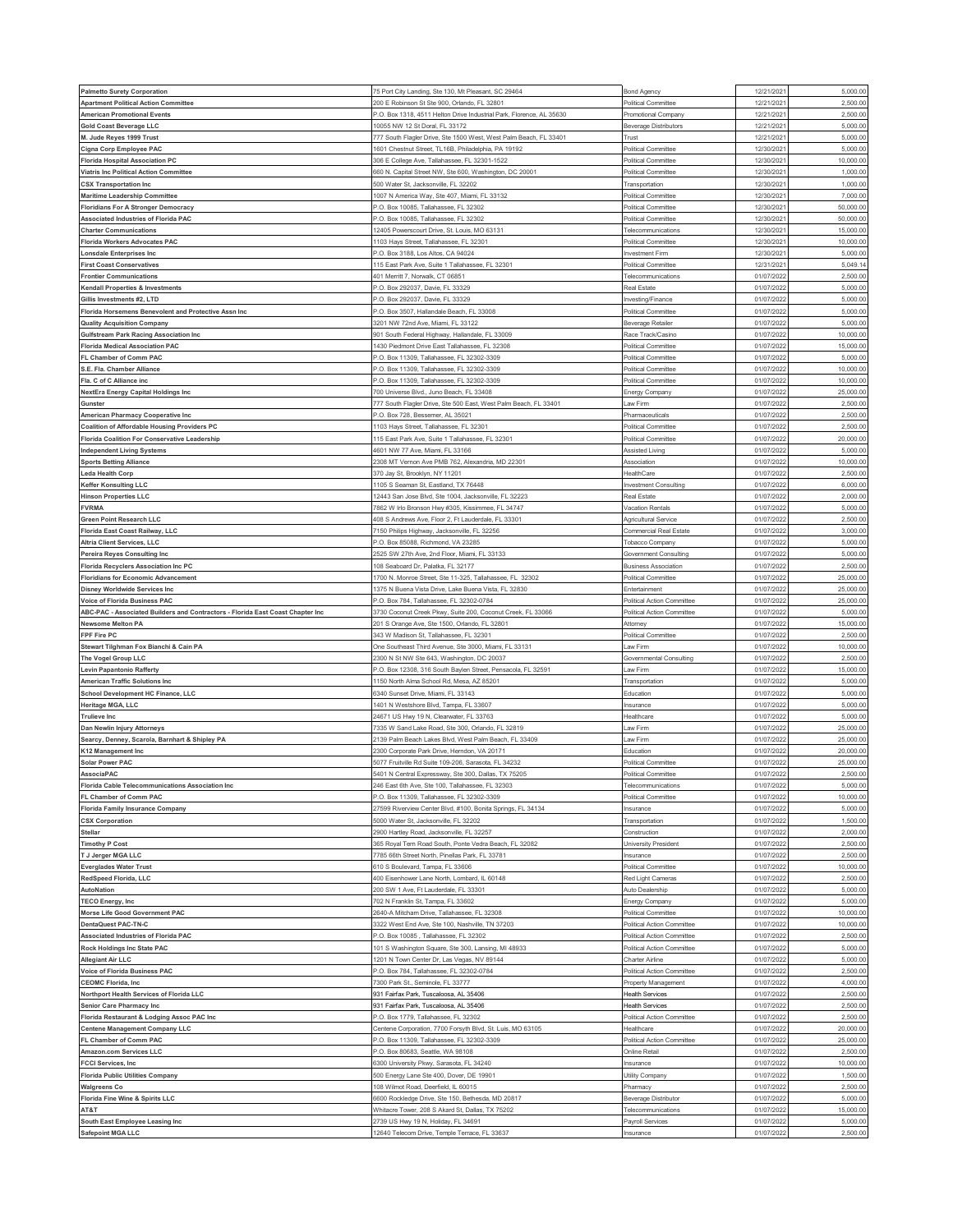| <b>Palmetto Surety Corporation</b>                                             | 75 Port City Landing, Ste 130, Mt Pleasant, SC 29464                             | <b>Bond Agency</b>                                | 12/21/202                | 5,000.00             |
|--------------------------------------------------------------------------------|----------------------------------------------------------------------------------|---------------------------------------------------|--------------------------|----------------------|
| <b>Apartment Political Action Committee</b>                                    | 200 E Robinson St Ste 900, Orlando, FL 32801                                     | Political Committee                               | 12/21/202                | 2,500.00             |
| <b>American Promotional Events</b>                                             | '.O. Box 1318, 4511 Helton Drive Industrial Park, Florence, AL 35630             | Promotional Company                               | 12/21/202                | 2,500.00             |
| <b>Gold Coast Beverage LLC</b>                                                 | 10055 NW 12 St Doral, FL 33172                                                   | <b>Beverage Distributors</b>                      | 12/21/202                | 5,000.00             |
| M. Jude Reyes 1999 Trust                                                       | 777 South Flagler Drive, Ste 1500 West, West Palm Beach, FL 33401                | Trust                                             | 12/21/202                | 5,000.0              |
| Cigna Corp Employee PAC                                                        | 1601 Chestnut Street, TL16B, Philadelphia, PA 19192                              | Political Committee                               | 12/30/2021               | 5,000.00             |
| <b>Florida Hospital Association PC</b>                                         | 606 E College Ave, Tallahassee, FL 32301-1522                                    | Political Committee                               | 12/30/202                | 10,000.00            |
| <b>Viatris Inc Political Action Committee</b>                                  | 660 N. Capital Street NW, Ste 600, Washington, DC 20001                          | Political Committee                               | 12/30/2021               | 1,000.00             |
| <b>CSX Transportation Inc</b>                                                  | 500 Water St, Jacksonville, FL 32202                                             | Transportation                                    | 12/30/202                | 1,000.00             |
| <b>Maritime Leadership Committee</b>                                           | 1007 N America Way, Ste 407, Miami, FL 33132                                     | Political Committee                               | 12/30/2021               | 7,000.00             |
| <b>Floridians For A Stronger Democracy</b>                                     | <sup>2</sup> .O. Box 10085, Tallahassee, FL 32302                                | Political Committee                               | 12/30/202                | 50,000.00            |
| Associated Industries of Florida PAC                                           | P.O. Box 10085, Tallahassee, FL 32302                                            | <b>Political Committee</b>                        | 12/30/2021               | 50,000.00            |
| <b>Charter Communications</b>                                                  | 12405 Powerscourt Drive, St. Louis, MO 63131                                     | Telecommunications                                | 12/30/202                | 15,000.0             |
| <b>Florida Workers Advocates PAC</b>                                           | 103 Hays Street, Tallahassee, FL 32301                                           | <b>Political Committee</b>                        | 12/30/2021               | 10,000.00            |
| onsdale Enterprises Inc.                                                       | <sup>2</sup> .O. Box 3188, Los Altos, CA 94024                                   | Investment Firm                                   | 12/30/202                | 5,000.00             |
| <b>First Coast Conservatives</b>                                               | 115 East Park Ave, Suite 1 Tallahassee, FL 32301                                 | Political Committee                               | 12/31/2021               | 5,049.14             |
| <b>Frontier Communications</b>                                                 | 101 Merritt 7, Norwalk, CT 06851                                                 | Telecommunication:                                | 01/07/202                | 2,500.0              |
| Kendall Properties & Investments                                               | 0. Box 292037, Davie, FL 33329                                                   | Real Estate                                       | 01/07/2022               | 5,000.00             |
| Gillis Investments #2, LTD                                                     | <sup>2</sup> .O. Box 292037, Davie, FL 33329                                     | Investing/Finance                                 | 01/07/202                | 5,000.0              |
| Florida Horsemens Benevolent and Protective Assn Inc                           | O. Box 3507, Hallandale Beach, FL 33008                                          | Political Committee                               | 01/07/202                | 5,000.00             |
| <b>Quality Acquisition Company</b>                                             | 3201 NW 72nd Ave, Miami, FL 33122                                                | <b>Beverage Retailer</b>                          | 01/07/2022               | 5,000.00             |
| Gulfstream Park Racing Association Inc                                         | 901 South Federal Highway, Hallandale, FL 33009                                  | Race Track/Casino                                 | 01/07/202                | 10,000.0             |
| <b>Florida Medical Association PAC</b>                                         | 1430 Piedmont Drive East Tallahassee, FL 32308                                   | Political Committee                               | 01/07/202                | 15,000.0             |
| FL Chamber of Comm PAC                                                         | <sup>2</sup> .O. Box 11309, Tallahassee, FL 32302-3309                           | Political Committee                               | 01/07/202                | 5,000.00             |
| S.E. Fla. Chamber Alliance                                                     | P.O. Box 11309, Tallahassee, FL 32302-3309                                       | Political Committee                               | 01/07/2022               | 10,000.0             |
| Fla. C of C Alliance inc                                                       | .O. Box 11309, Tallahassee, FL 32302-3309                                        | Political Committee                               | 01/07/202                | 10,000.0             |
| NextEra Energy Capital Holdings Inc                                            | 700 Universe Blvd., Juno Beach, FL 33408                                         | Energy Company                                    | 01/07/2022               | 25,000.00            |
| Gunster                                                                        | 777 South Flagler Drive, Ste 500 East, West Palm Beach, FL 33401                 | Law Firm                                          | 01/07/202                | 2,500.00             |
| American Pharmacy Cooperative Inc                                              | <sup>2</sup> .O. Box 728, Bessemer, AL 35021                                     | Pharmaceuticals                                   | 01/07/202                | 2,500.00             |
| <b>Coalition of Affordable Housing Providers PC</b>                            | 103 Hays Street, Tallahassee, FL 32301                                           | <b>Political Committee</b>                        | 01/07/202                | 2,500.0              |
| <b>Florida Coalition For Conservative Leadership</b>                           | 15 East Park Ave, Suite 1 Tallahassee, FL 32301                                  | Political Committee                               | 01/07/2022               | 20,000.00            |
| <b>Independent Living Systems</b>                                              | 4601 NW 77 Ave, Miami, FL 33166                                                  | Assisted Living                                   | 01/07/202                | 5,000.00             |
| <b>Sports Betting Alliance</b>                                                 | 2308 MT Vernon Ave PMB 762, Alexandria, MD 22301                                 | Association                                       | 01/07/2022               | 10,000.00            |
| eda Health Corp.                                                               | 370 Jay St, Brooklyn, NY 11201                                                   | HealthCare                                        | 01/07/202                | 2,500.00             |
| <b>Keffer Konsulting LLC</b>                                                   | 1105 S Seaman St, Eastland, TX 76448                                             | <b>Investment Consulting</b>                      | 01/07/2022               | 6,000.00             |
| <b>Hinson Properties LLC</b>                                                   | 2443 San Jose Blvd, Ste 1004, Jacksonville, FL 32223                             | Real Estate                                       | 01/07/202                | 2,000.00             |
| <b>FVRMA</b>                                                                   | 7862 W Irlo Bronson Hwy #305, Kissimmee, FL 34747                                | Vacation Rentals                                  | 01/07/2022               | 5,000.00             |
| <b>Green Point Research LLC</b>                                                | 408 S Andrews Ave, Floor 2, Ft Lauderdale, FL 33301                              | Agricultural Service                              | 01/07/202                | 2,500.0              |
| Florida East Coast Railway, LLC                                                | '150 Philips Highway, Jacksonville, FL 32256                                     | Commercial Real Estate                            | 01/07/2022               | 3,000.0              |
| Altria Client Services, LLC                                                    | -. O. Box 85088, Richmond, VA 23285                                              | Tobacco Compar                                    | 01/07/202                | 5,000.00             |
| Pereira Reyes Consulting Inc                                                   | 2525 SW 27th Ave, 2nd Floor, Miami, FL 33133                                     | Government Consulting                             | 01/07/2022               | 5,000.00             |
| Florida Recyclers Association Inc PC                                           | 08 Seaboard Dr, Palatka, FL 32177                                                | <b>Business Association</b>                       | 01/07/202                | 2,500.0              |
| <b>Floridians for Economic Advancement</b>                                     | 700 N. Monroe Street, Ste 11-325, Tallahassee, FL 32302                          | Political Committee                               | 01/07/2022               | 25,000.00            |
| Disney Worldwide Services Inc                                                  | 375 N Buena Vista Drive, Lake Buena Vista, FL 32830                              | Entertainment                                     | 01/07/202                | 25,000.0             |
| Voice of Florida Business PAC                                                  | <sup>2</sup> .O. Box 784, Tallahassee, FL 32302-0784                             | Political Action Committee                        | 01/07/2022               | 25,000.00            |
|                                                                                |                                                                                  |                                                   |                          |                      |
| ABC-PAC - Associated Builders and Contractors - Florida East Coast Chapter Inc | 3730 Coconut Creek Pkwy, Suite 200, Coconut Creek, FL 33066                      | Political Action Committee                        | 01/07/2022               | 5,000.0              |
| <b>Newsome Melton PA</b>                                                       | 201 S Orange Ave, Ste 1500, Orlando, FL 32801                                    | Attorney                                          | 01/07/2022               | 15,000.0             |
| FPF Fire PC                                                                    | 343 W Madison St, Tallahassee, FL 32301                                          | <b>Political Committee</b>                        | 01/07/202                | 2,500.0              |
| Stewart Tilghman Fox Bianchi & Cain PA                                         | One Southeast Third Avenue, Ste 3000, Miami, FL 33131                            | Law Firm                                          | 01/07/202                | 10,000.00            |
| The Vogel Group LLC                                                            | 2300 N St NW Ste 643, Washington, DC 20037                                       | Governmental Consulting                           | 01/07/2022               | 2,500.0              |
| Levin Papantonio Rafferty                                                      | .O. Box 12308, 316 South Baylen Street, Pensacola, FL 32591                      | Law Firm                                          | 01/07/202                | 15,000.0             |
| <b>American Traffic Solutions Inc</b>                                          | 150 North Alma School Rd, Mesa, AZ 85201                                         | Transportation                                    | 01/07/202                | 5,000.00             |
| School Development HC Finance, LLC                                             | 340 Sunset Drive, Miami, FL 33143                                                | Education                                         | 01/07/202                | 5,000.00             |
| Heritage MGA, LLC                                                              | 1401 N Westshore Blvd, Tampa, FL 33607                                           | Insurance                                         | 01/07/2022               | 5,000.00             |
| <b>Trulieve Inc</b>                                                            | !4671 US Hwy 19 N, Clearwater, FL 33763                                          | Healthcare                                        | 01/07/202                | 5,000.0              |
| Dan Newlin Injury Attorneys                                                    | '335 W Sand Lake Road, Ste 300, Orlando, FL 32819                                | Law Firm                                          | 01/07/2022               | 25,000.00            |
| Searcy, Denney, Scarola, Barnhart & Shipley PA                                 | 139 Palm Beach Lakes Blvd, West Palm Beach, FL 33409                             | Law Firm                                          | 01/07/202                | 25,000.00            |
| K12 Management Inc                                                             | 300 Corporate Park Drive, Herndon, VA 20171                                      | Education                                         | 01/07/2022               | 20,000.00            |
| <b>Solar Power PAC</b>                                                         | 5077 Fruitville Rd Suite 109-206, Sarasota, FL 34232                             | Political Committee                               | 01/07/202                | 25,000.0             |
| AssociaPAC                                                                     | 5401 N Central Expressway, Ste 300, Dallas, TX 75205                             | Political Committee                               | 01/07/2022               | 2,500.00             |
| Florida Cable Telecommunications Association Inc                               | 246 East 6th Ave, Ste 100, Tallahassee, FL 32303                                 | Telecommunications                                | 01/07/2022               | 5,000.00             |
| FL Chamber of Comm PAC                                                         | P.O. Box 11309, Tallahassee, FL 32302-3309                                       | Political Committee                               | 01/07/2022               | 10,000.00            |
| <b>Florida Family Insurance Company</b>                                        | 27599 Riverview Center Blvd, #100, Bonita Springs, FL 34134                      | Insurance                                         | 01/07/202                | 5,000.00             |
| <b>CSX Corporation</b>                                                         | 5000 Water St, Jacksonville, FL 32202                                            | Transportation                                    | 01/07/2022               | 1,500.00             |
| Stellar                                                                        | 2900 Hartley Road, Jacksonville, FL 32257                                        | Construction                                      | 01/07/2022               | 2,000.00             |
| <b>Timothy P Cost</b>                                                          | 365 Royal Tern Road South, Ponte Vedra Beach, FL 32082                           | University President                              | 01/07/2022               | 2,500.00             |
| T J Jerger MGA LLC                                                             | 785 66th Street North, Pinellas Park, FL 33781                                   | Insurance                                         | 01/07/202                | 2,500.00             |
| <b>Everglades Water Trust</b>                                                  | 610 S Boulevard, Tampa, FL 33606                                                 | Political Committee                               | 01/07/2022               | 10,000.00            |
| RedSpeed Florida, LLC                                                          | 400 Eisenhower Lane North, Lombard, IL 60148                                     | Red Light Cameras                                 | 01/07/2022               | 2,500.00             |
| AutoNation                                                                     | 200 SW 1 Ave, Ft Lauderdale, FL 33301                                            | Auto Dealership                                   | 01/07/2022               | 5,000.00             |
| <b>TECO Energy, Inc</b>                                                        | 702 N Franklin St, Tampa, FL 33602                                               | Energy Company                                    | 01/07/2022               | 5,000.00             |
| <b>Morse Life Good Government PAC</b>                                          | 2640-A Mitcham Drive, Tallahassee, FL 32308                                      | Political Committee                               | 01/07/2022               | 10,000.00            |
| <b>DentaQuest PAC-TN-C</b>                                                     | 3322 West End Ave, Ste 100, Nashville, TN 37203                                  | Political Action Committee                        | 01/07/2022               | 10,000.00            |
| Associated Industries of Florida PAC                                           | P.O. Box 10085 . Tallahassee. FL 32302                                           | Political Action Committee                        | 01/07/2022               | 2,500.00             |
| Rock Holdings Inc State PAC                                                    | 101 S Washington Square, Ste 300, Lansing, MI 48933                              | Political Action Committee                        | 01/07/2022               | 5,000.00             |
| <b>Allegiant Air LLC</b>                                                       | 1201 N Town Center Dr, Las Vegas, NV 89144                                       | Charter Airline                                   | 01/07/2022               | 5,000.00             |
| <b>Voice of Florida Business PAC</b><br><b>CEOMC Florida, Inc</b>              | P.O. Box 784, Tallahassee, FL 32302-0784<br>7300 Park St., Seminole, FL 33777    | Political Action Committee<br>Property Management | 01/07/202<br>01/07/2022  | 2,500.00<br>4,000.00 |
|                                                                                |                                                                                  |                                                   |                          |                      |
| Northport Health Services of Florida LLC                                       | 931 Fairfax Park, Tuscaloosa, AL 35406<br>931 Fairfax Park, Tuscaloosa, AL 35406 | <b>Health Services</b><br><b>Health Services</b>  | 01/07/2022<br>01/07/2022 | 2,500.00<br>2,500.00 |
| Senior Care Pharmacy Inc<br>Florida Restaurant & Lodging Assoc PAC Inc         | P.O. Box 1779, Tallahassee, FL 32302                                             | Political Action Committee                        | 01/07/2022               | 2,500.00             |
| <b>Centene Management Company LLC</b>                                          | Centene Corporation, 7700 Forsyth Blvd, St. Luis, MO 63105                       | Healthcare                                        | 01/07/202                | 20,000.00            |
| FL Chamber of Comm PAC                                                         | P.O. Box 11309, Tallahassee, FL 32302-3309                                       | Political Action Committee                        | 01/07/2022               | 25,000.00            |
| Amazon.com Services LLC                                                        | .O. Box 80683, Seattle, WA 98108                                                 | Online Retail                                     | 01/07/202                | 2,500.0              |
| <b>FCCI Services, Inc.</b>                                                     | 6300 University Pkwy, Sarasota, FL 34240                                         | Insurance                                         | 01/07/2022               | 10,000.00            |
| <b>Florida Public Utilities Company</b>                                        | 500 Energy Lane Ste 400, Dover, DE 19901                                         | Utility Company                                   | 01/07/202                | 1,500.00             |
| <b>Walgreens Co</b>                                                            | 108 Wilmot Road, Deerfield, IL 60015                                             | Pharmacy                                          | 01/07/2022               | 2,500.00             |
| Florida Fine Wine & Spirits LLC                                                | 6600 Rockledge Drive, Ste 150, Bethesda, MD 20817                                | Beverage Distributor                              | 01/07/2022               | 5,000.00             |
| AT&T                                                                           | Whitacre Tower, 208 S Akard St, Dallas, TX 75202                                 | Telecommunications                                | 01/07/2022               | 15,000.00            |
| South East Employee Leasing Inc                                                | 2739 US Hwy 19 N, Holiday, FL 34691                                              | Payroll Services                                  | 01/07/202                | 5,000.00             |